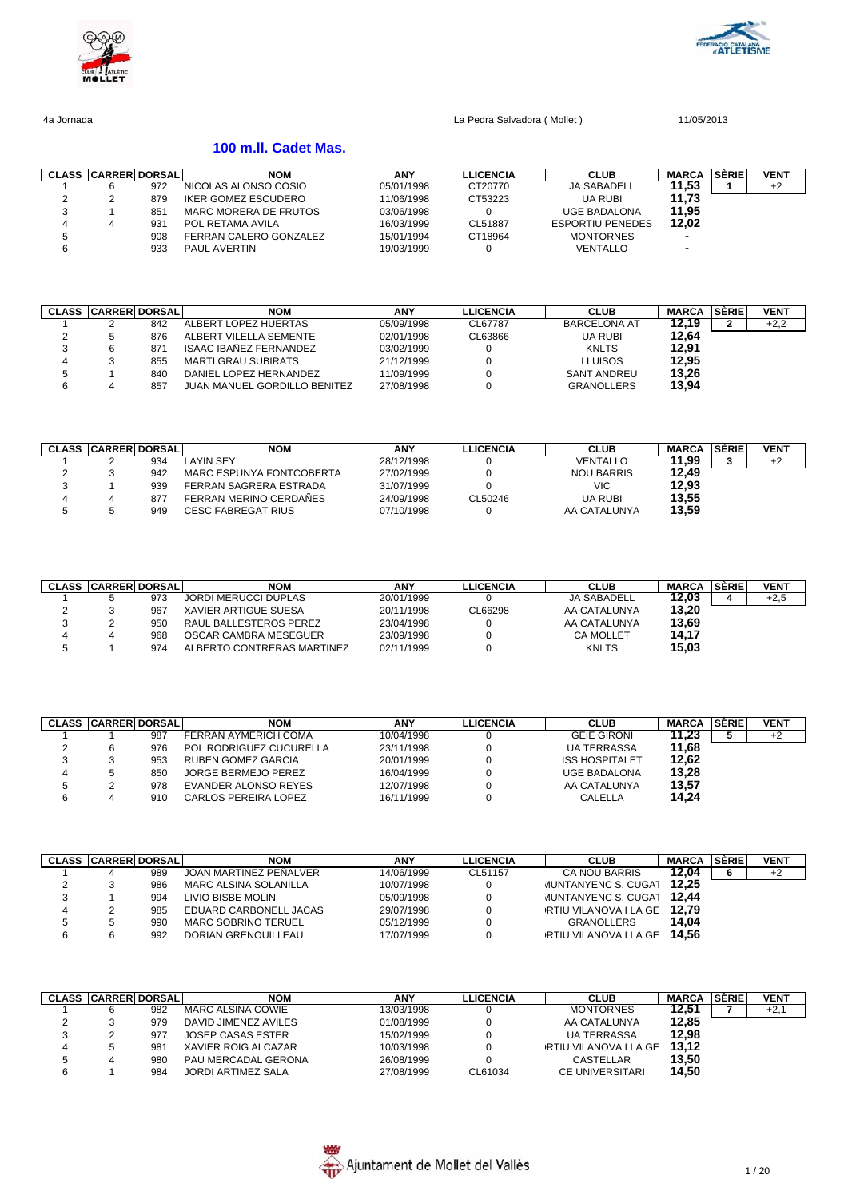



### **100 m.ll. Cadet Mas.**

| <b>CLASS CARRER DORSAL</b> |     | <b>NOM</b>             | <b>ANY</b> | LLICENCIA | <b>CLUB</b>             | <b>MARCA</b> | SERIE | <b>VENT</b> |
|----------------------------|-----|------------------------|------------|-----------|-------------------------|--------------|-------|-------------|
|                            | 972 | NICOLAS ALONSO COSIO   | 05/01/1998 | CT20770   | <b>JA SABADELL</b>      | 11.53        |       | +2          |
|                            | 879 | IKER GOMEZ ESCUDERO    | 11/06/1998 | CT53223   | <b>UA RUBI</b>          | 11.73        |       |             |
|                            | 851 | MARC MORERA DE FRUTOS  | 03/06/1998 |           | <b>UGE BADALONA</b>     | 11.95        |       |             |
|                            | 931 | POL RETAMA AVILA       | 16/03/1999 | CL51887   | <b>ESPORTIU PENEDES</b> | 12.02        |       |             |
|                            | 908 | FERRAN CALERO GONZALEZ | 15/01/1994 | CT18964   | <b>MONTORNES</b>        |              |       |             |
|                            | 933 | PAUL AVERTIN           | 19/03/1999 |           | VENTALLO                |              |       |             |

| <b>CLASS</b> | <b>CARRER DORSAL</b> |     | <b>NOM</b>                    | ANY        | <b>LLICENCIA</b> | <b>CLUB</b>         | <b>MARCA</b> | SÈRIE | <b>VENT</b> |
|--------------|----------------------|-----|-------------------------------|------------|------------------|---------------------|--------------|-------|-------------|
|              |                      | 842 | ALBERT LOPEZ HUERTAS          | 05/09/1998 | CL67787          | <b>BARCELONA AT</b> | 12.19        |       | $+2,2$      |
|              |                      | 876 | ALBERT VILELLA SEMENTE        | 02/01/1998 | CL63866          | <b>UA RUBI</b>      | 12.64        |       |             |
|              |                      | 871 | <b>ISAAC IBAÑEZ FERNANDEZ</b> | 03/02/1999 |                  | <b>KNLTS</b>        | 12.91        |       |             |
|              |                      | 855 | <b>MARTI GRAU SUBIRATS</b>    | 21/12/1999 |                  | <b>LLUISOS</b>      | 12,95        |       |             |
|              |                      | 840 | DANIEL LOPEZ HERNANDEZ        | 11/09/1999 |                  | <b>SANT ANDREU</b>  | 13,26        |       |             |
|              |                      | 857 | JUAN MANUEL GORDILLO BENITEZ  | 27/08/1998 |                  | <b>GRANOLLERS</b>   | 13,94        |       |             |

| <b>CLASS CARRER DORSAL</b> |     | NOM                       | <b>ANY</b> | LLICENCIA | <b>CLUB</b>       | <b>MARCA</b> | <b>SÉRIE</b> | <b>VENT</b> |
|----------------------------|-----|---------------------------|------------|-----------|-------------------|--------------|--------------|-------------|
|                            | 934 | LAYIN SEY                 | 28/12/1998 |           | VENTALLO          | 1.99         |              |             |
|                            | 942 | MARC ESPUNYA FONTCOBERTA  | 27/02/1999 |           | <b>NOU BARRIS</b> | 12.49        |              |             |
|                            | 939 | FERRAN SAGRERA ESTRADA    | 31/07/1999 |           | VIC               | 12,93        |              |             |
|                            | 877 | FERRAN MERINO CERDAÑES    | 24/09/1998 | CL50246   | UA RUBI           | 13,55        |              |             |
|                            | 949 | <b>CESC FABREGAT RIUS</b> | 07/10/1998 |           | AA CATALUNYA      | 13,59        |              |             |

| <b>CLASS</b> | <b>CARRER DORSAL</b> |     | <b>NOM</b>                  | ANY        | <b>LLICENCIA</b> | <b>CLUB</b>        | <b>MARCA</b> | SERIEI | <b>VENT</b> |
|--------------|----------------------|-----|-----------------------------|------------|------------------|--------------------|--------------|--------|-------------|
|              |                      | 973 | <b>JORDI MERUCCI DUPLAS</b> | 20/01/1999 |                  | <b>JA SABADELL</b> | 12.03        |        | $+2.5$      |
|              |                      | 967 | XAVIER ARTIGUE SUESA        | 20/11/1998 | CL66298          | AA CATALUNYA       | 13.20        |        |             |
|              |                      | 950 | RAUL BALLESTEROS PEREZ      | 23/04/1998 |                  | AA CATALUNYA       | 13,69        |        |             |
|              |                      | 968 | OSCAR CAMBRA MESEGUER       | 23/09/1998 |                  | <b>CA MOLLET</b>   | 14.17        |        |             |
|              |                      | 974 | ALBERTO CONTRERAS MARTINEZ  | 02/11/1999 |                  | <b>KNLTS</b>       | 15,03        |        |             |

| <b>CLASS</b> | <b>CARRER DORSALI</b> | NOM                         | <b>ANY</b> | LLICENCIA | <b>CLUB</b>           | <b>MARCA</b> | <b>SERIE</b> | <b>VENT</b> |
|--------------|-----------------------|-----------------------------|------------|-----------|-----------------------|--------------|--------------|-------------|
|              | 987                   | FERRAN AYMERICH COMA        | 10/04/1998 |           | <b>GEIE GIRONI</b>    | 11.23        |              | $+2$        |
|              | 976                   | POL RODRIGUEZ CUCURELLA     | 23/11/1998 |           | <b>UA TERRASSA</b>    | 11.68        |              |             |
|              | 953                   | RUBEN GOMEZ GARCIA          | 20/01/1999 |           | <b>ISS HOSPITALET</b> | 12.62        |              |             |
|              | 850                   | JORGE BERMEJO PEREZ         | 16/04/1999 |           | <b>UGE BADALONA</b>   | 13.28        |              |             |
|              | 978                   | EVANDER ALONSO REYES        | 12/07/1998 |           | AA CATALUNYA          | 13,57        |              |             |
|              | 910                   | <b>CARLOS PEREIRA LOPEZ</b> | 16/11/1999 |           | CALELLA               | 14.24        |              |             |

| <b>CLASS CARRER DORSAL</b> |     | <b>NOM</b>                 | ANY        | <b>LLICENCIA</b> | <b>CLUB</b>                | <b>MARCA SÈRIE</b> | <b>VENT</b> |
|----------------------------|-----|----------------------------|------------|------------------|----------------------------|--------------------|-------------|
|                            | 989 | JOAN MARTINEZ PENALVER     | 14/06/1999 | CL51157          | CA NOU BARRIS              | 12.04              | +2          |
|                            | 986 | MARC ALSINA SOLANILLA      | 10/07/1998 |                  | <b>JUNTANYENC S. CUGAT</b> | 12.25              |             |
|                            | 994 | LIVIO BISBE MOLIN          | 05/09/1998 |                  | <b>JUNTANYENC S. CUGAT</b> | 12.44              |             |
|                            | 985 | EDUARD CARBONELL JACAS     | 29/07/1998 |                  | RTIU VILANOVA I LA GE      | 12.79              |             |
|                            | 990 | <b>MARC SOBRINO TERUEL</b> | 05/12/1999 |                  | <b>GRANOLLERS</b>          | 14.04              |             |
|                            | 992 | DORIAN GRENOUILLEAU        | 17/07/1999 |                  | RTIU VILANOVA I LA GE      | 14.56              |             |

| <b>CLASS CARRER DORSALI</b> |      | <b>NOM</b>               | <b>ANY</b> | <b>LLICENCIA</b> | <b>CLUB</b>                 | <b>MARCA</b> | SERIE | <b>VENT</b> |
|-----------------------------|------|--------------------------|------------|------------------|-----------------------------|--------------|-------|-------------|
|                             | 982  | MARC ALSINA COWIE        | 13/03/1998 |                  | <b>MONTORNES</b>            | 12.51        |       | $+2,1$      |
|                             | 979  | DAVID JIMENEZ AVILES     | 01/08/1999 |                  | AA CATALUNYA                | 12.85        |       |             |
|                             | 977  | <b>JOSEP CASAS ESTER</b> | 15/02/1999 |                  | <b>UA TERRASSA</b>          | 12.98        |       |             |
|                             | .981 | XAVIER ROIG ALCAZAR      | 10/03/1998 |                  | RTIU VILANOVA I LA GE 13.12 |              |       |             |
|                             | 980  | PAU MERCADAL GERONA      | 26/08/1999 |                  | CASTELLAR                   | 13.50        |       |             |
|                             | 984  | JORDI ARTIMEZ SALA       | 27/08/1999 | CL61034          | <b>CE UNIVERSITARI</b>      | 14.50        |       |             |

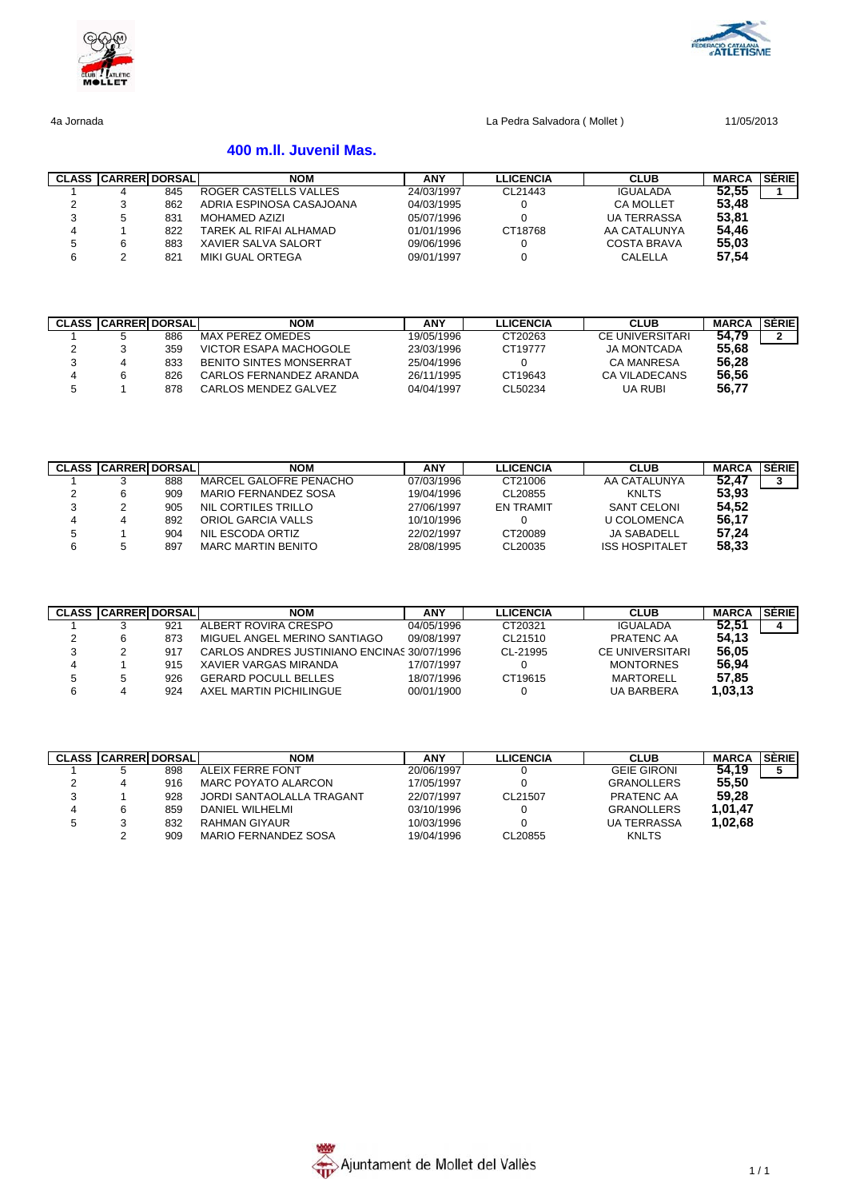



# **400 m.ll. Juvenil Mas.**

|   | <b>CLASS CARRERIDORSALI</b> |     | <b>NOM</b>               | ANY        | <b>LLICENCIA</b> | <b>CLUB</b>        | <b>MARCA</b> | <b>SERIE</b> |
|---|-----------------------------|-----|--------------------------|------------|------------------|--------------------|--------------|--------------|
|   |                             | 845 | ROGER CASTELLS VALLES    | 24/03/1997 | CL21443          | <b>IGUALADA</b>    | 52.55        |              |
|   |                             | 862 | ADRIA ESPINOSA CASAJOANA | 04/03/1995 |                  | <b>CA MOLLET</b>   | 53.48        |              |
|   |                             | 831 | MOHAMED AZIZI            | 05/07/1996 |                  | <b>UA TERRASSA</b> | 53.81        |              |
| 4 |                             | 822 | TAREK AL RIFAI ALHAMAD   | 01/01/1996 | CT18768          | AA CATALUNYA       | 54,46        |              |
|   |                             | 883 | XAVIER SALVA SALORT      | 09/06/1996 |                  | COSTA BRAVA        | 55,03        |              |
| 6 |                             | 821 | <b>MIKI GUAL ORTEGA</b>  | 09/01/1997 |                  | CALELLA            | 57,54        |              |

|   | <b>CLASS CARRERIDORSALI</b> |     | <b>NOM</b>                     | <b>ANY</b> | <b>LLICENCIA</b> | <b>CLUB</b>        | <b>MARCA</b> | <b>SÉRIE</b> |
|---|-----------------------------|-----|--------------------------------|------------|------------------|--------------------|--------------|--------------|
|   |                             | 886 | MAX PEREZ OMEDES               | 19/05/1996 | CT20263          | CE UNIVERSITARI    | 54.79        |              |
|   |                             | 359 | VICTOR ESAPA MACHOGOLE         | 23/03/1996 | CT19777          | <b>JA MONTCADA</b> | 55.68        |              |
|   |                             | 833 | <b>BENITO SINTES MONSERRAT</b> | 25/04/1996 |                  | <b>CA MANRESA</b>  | 56,28        |              |
| 4 |                             | 826 | CARLOS FERNANDEZ ARANDA        | 26/11/1995 | CT19643          | CA VILADECANS      | 56,56        |              |
|   |                             | 878 | CARLOS MENDEZ GALVEZ           | 04/04/1997 | CL50234          | <b>UA RUBI</b>     | 56.77        |              |

|   | <b>CLASS CARRERIDORSALI</b> |     | <b>NOM</b>             | <b>ANY</b> | <b>LLICENCIA</b> | <b>CLUB</b>           | <b>MARCA</b> | SÈRIE |
|---|-----------------------------|-----|------------------------|------------|------------------|-----------------------|--------------|-------|
|   |                             | 888 | MARCEL GALOFRE PENACHO | 07/03/1996 | CT21006          | AA CATALUNYA          | 52.47        |       |
| າ |                             | 909 | MARIO FERNANDEZ SOSA   | 19/04/1996 | CL20855          | <b>KNLTS</b>          | 53,93        |       |
| 3 |                             | 905 | NIL CORTILES TRILLO    | 27/06/1997 | <b>EN TRAMIT</b> | SANT CELONI           | 54,52        |       |
| 4 |                             | 892 | ORIOL GARCIA VALLS     | 10/10/1996 |                  | <b>U COLOMENCA</b>    | 56,17        |       |
|   |                             | 904 | NIL ESCODA ORTIZ       | 22/02/1997 | CT20089          | <b>JA SABADELL</b>    | 57,24        |       |
| 6 |                             | 897 | MARC MARTIN BENITO     | 28/08/1995 | CL20035          | <b>ISS HOSPITALET</b> | 58,33        |       |

|   | <b>CLASS CARRER DORSAL</b> |     | <b>NOM</b>                                  | ANY        | <b>LLICENCIA</b> | <b>CLUB</b>            | <b>MARCA</b> | <b>SERIE</b> |
|---|----------------------------|-----|---------------------------------------------|------------|------------------|------------------------|--------------|--------------|
|   |                            | 921 | ALBERT ROVIRA CRESPO                        | 04/05/1996 | CT20321          | <b>IGUALADA</b>        | 52.51        | 4            |
|   |                            | 873 | MIGUEL ANGEL MERINO SANTIAGO                | 09/08/1997 | CL21510          | PRATENC AA             | 54.13        |              |
| 3 |                            | 917 | CARLOS ANDRES JUSTINIANO ENCINAS 30/07/1996 |            | CL-21995         | <b>CE UNIVERSITARI</b> | 56,05        |              |
| 4 |                            | 915 | XAVIER VARGAS MIRANDA                       | 17/07/1997 |                  | <b>MONTORNES</b>       | 56,94        |              |
|   |                            | 926 | <b>GERARD POCULL BELLES</b>                 | 18/07/1996 | CT19615          | MARTORELL              | 57.85        |              |
| 6 |                            | 924 | AXEL MARTIN PICHILINGUE                     | 00/01/1900 |                  | <b>UA BARBERA</b>      | 1,03,13      |              |

|   | <b>CLASS CARRER DORSAL</b> |     | <b>NOM</b>                | <b>ANY</b> | <b>LLICENCIA</b> | <b>CLUB</b>        | <b>MARCA</b> | <b>SERIE</b> |
|---|----------------------------|-----|---------------------------|------------|------------------|--------------------|--------------|--------------|
|   |                            | 898 | ALEIX FERRE FONT          | 20/06/1997 |                  | <b>GEIE GIRONI</b> | 54.19        |              |
|   |                            | 916 | MARC POYATO ALARCON       | 17/05/1997 |                  | <b>GRANOLLERS</b>  | 55,50        |              |
| 3 |                            | 928 | JORDI SANTAOLALLA TRAGANT | 22/07/1997 | CL21507          | PRATENC AA         | 59,28        |              |
| 4 |                            | 859 | DANIEL WILHELMI           | 03/10/1996 |                  | <b>GRANOLLERS</b>  | 1.01.47      |              |
|   |                            | 832 | <b>RAHMAN GIYAUR</b>      | 10/03/1996 |                  | <b>UA TERRASSA</b> | 1.02.68      |              |
|   |                            | 909 | MARIO FERNANDEZ SOSA      | 19/04/1996 | CL20855          | <b>KNLTS</b>       |              |              |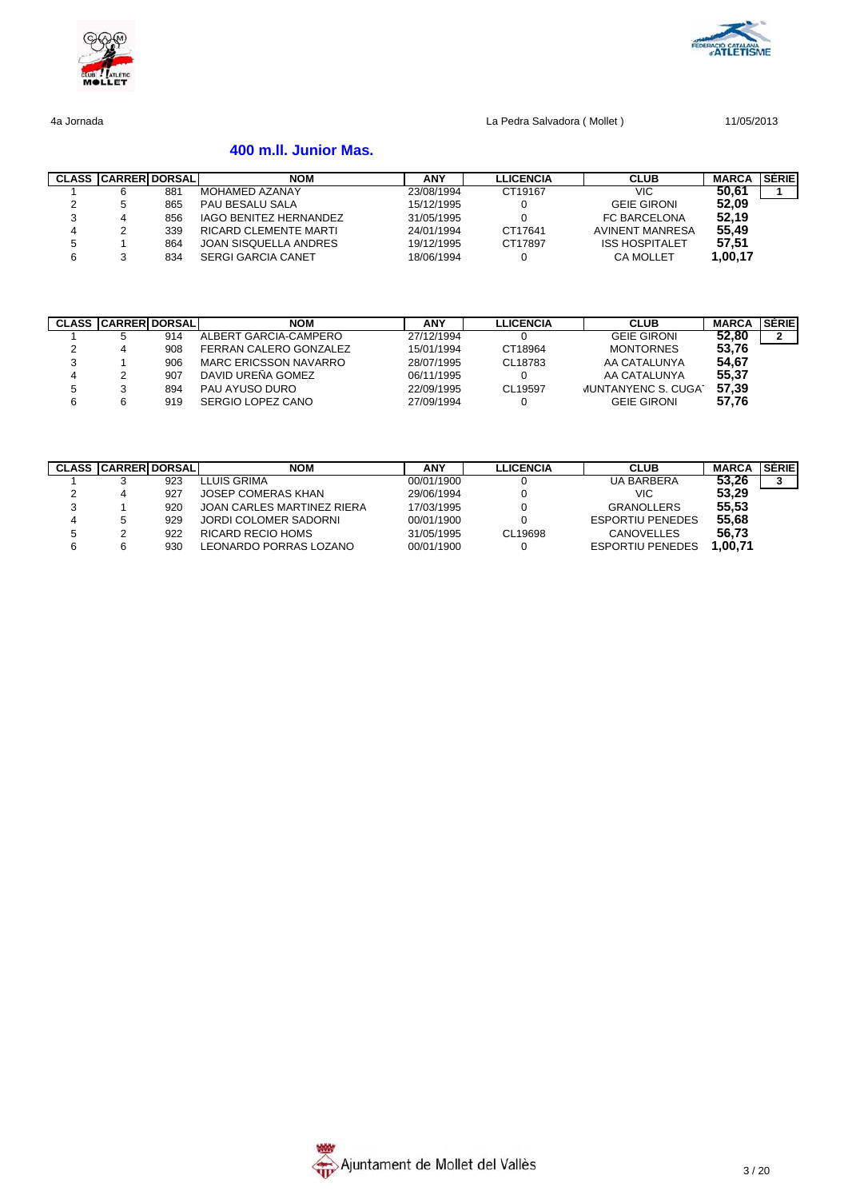



# **400 m.ll. Junior Mas.**

|        | <b>CLASS CARRERIDORSALI</b> |     | <b>NOM</b>                    | <b>ANY</b> | <b>LLICENCIA</b> | <b>CLUB</b>            | <b>MARCA</b> | SÈRIE |
|--------|-----------------------------|-----|-------------------------------|------------|------------------|------------------------|--------------|-------|
|        |                             | 881 | <b>MOHAMED AZANAY</b>         | 23/08/1994 | CT19167          | VIC                    | 50.61        |       |
| ∼      |                             | 865 | PAU BESALU SALA               | 15/12/1995 |                  | <b>GEIE GIRONI</b>     | 52,09        |       |
| っ<br>ບ |                             | 856 | <b>IAGO BENITEZ HERNANDEZ</b> | 31/05/1995 |                  | <b>FC BARCELONA</b>    | 52,19        |       |
| 4      |                             | 339 | RICARD CLEMENTE MARTI         | 24/01/1994 | CT17641          | <b>AVINENT MANRESA</b> | 55.49        |       |
|        |                             | 864 | JOAN SISQUELLA ANDRES         | 19/12/1995 | CT17897          | <b>ISS HOSPITALET</b>  | 57,51        |       |
| 6      |                             | 834 | <b>SERGI GARCIA CANET</b>     | 18/06/1994 |                  | <b>CA MOLLET</b>       | 1.00.17      |       |

|   | <b>CLASS CARRERIDORSALI</b> |     | <b>NOM</b>             | <b>ANY</b> | <b>LLICENCIA</b> | <b>CLUB</b>                | <b>MARCA</b> | <b>SERIE</b> |
|---|-----------------------------|-----|------------------------|------------|------------------|----------------------------|--------------|--------------|
|   |                             | 914 | ALBERT GARCIA-CAMPERO  | 27/12/1994 |                  | <b>GEIE GIRONI</b>         | 52.80        |              |
| ົ |                             | 908 | FERRAN CALERO GONZALEZ | 15/01/1994 | CT18964          | <b>MONTORNES</b>           | 53,76        |              |
| 3 |                             | 906 | MARC ERICSSON NAVARRO  | 28/07/1995 | CL18783          | AA CATALUNYA               | 54,67        |              |
|   |                             | 907 | DAVID UREÑA GOMEZ      | 06/11/1995 |                  | AA CATALUNYA               | 55,37        |              |
| 5 |                             | 894 | PAU AYUSO DURO         | 22/09/1995 | CL19597          | <b>JUNTANYENC S. CUGAT</b> | 57,39        |              |
|   |                             | 919 | SERGIO LOPEZ CANO      | 27/09/1994 |                  | <b>GEIE GIRONI</b>         | 57.76        |              |

|   | <b>CLASS CARRER DORSAL</b> |     | <b>NOM</b>                 | ANY        | <b>LLICENCIA</b> | <b>CLUB</b>             | <b>MARCA</b> | SÉRIE |
|---|----------------------------|-----|----------------------------|------------|------------------|-------------------------|--------------|-------|
|   |                            | 923 | LLUIS GRIMA                | 00/01/1900 |                  | <b>UA BARBERA</b>       | 53.26        |       |
| ົ |                            | 927 | JOSEP COMERAS KHAN         | 29/06/1994 |                  | VIC                     | 53,29        |       |
| 3 |                            | 920 | JOAN CARLES MARTINEZ RIERA | 17/03/1995 |                  | <b>GRANOLLERS</b>       | 55,53        |       |
| 4 |                            | 929 | JORDI COLOMER SADORNI      | 00/01/1900 |                  | <b>ESPORTIU PENEDES</b> | 55,68        |       |
| b |                            | 922 | RICARD RECIO HOMS          | 31/05/1995 | CL19698          | CANOVELLES              | 56.73        |       |
| 6 |                            | 930 | LEONARDO PORRAS LOZANO     | 00/01/1900 |                  | <b>ESPORTIU PENEDES</b> | 1,00,71      |       |

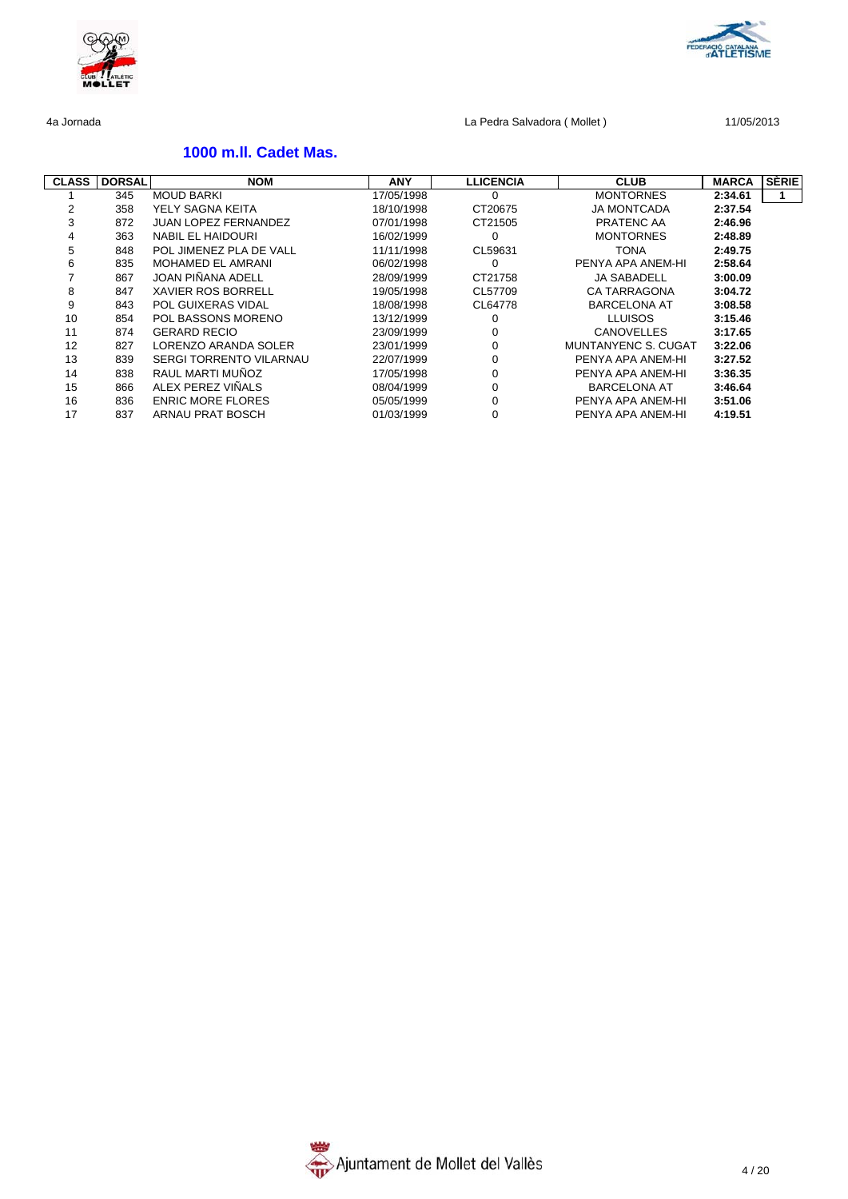

# **1000 m.ll. Cadet Mas.**

| <b>CLASS</b> | <b>DORSAL</b> | <b>NOM</b>                     | <b>ANY</b> | <b>LLICENCIA</b> | <b>CLUB</b>         | <b>MARCA</b> | SÈRIE |
|--------------|---------------|--------------------------------|------------|------------------|---------------------|--------------|-------|
|              | 345           | <b>MOUD BARKI</b>              | 17/05/1998 | $\Omega$         | <b>MONTORNES</b>    | 2:34.61      |       |
|              | 358           | YELY SAGNA KEITA               | 18/10/1998 | CT20675          | <b>JA MONTCADA</b>  | 2:37.54      |       |
| 3            | 872           | <b>JUAN LOPEZ FERNANDEZ</b>    | 07/01/1998 | CT21505          | PRATENC AA          | 2:46.96      |       |
| 4            | 363           | NABIL EL HAIDOURI              | 16/02/1999 | 0                | <b>MONTORNES</b>    | 2:48.89      |       |
| 5            | 848           | POL JIMENEZ PLA DE VALL        | 11/11/1998 | CL59631          | <b>TONA</b>         | 2:49.75      |       |
| 6            | 835           | <b>MOHAMED EL AMRANI</b>       | 06/02/1998 | 0                | PENYA APA ANEM-HI   | 2:58.64      |       |
|              | 867           | JOAN PIÑANA ADELL              | 28/09/1999 | CT21758          | <b>JA SABADELL</b>  | 3:00.09      |       |
| 8            | 847           | <b>XAVIER ROS BORRELL</b>      | 19/05/1998 | CL57709          | <b>CA TARRAGONA</b> | 3:04.72      |       |
| 9            | 843           | POL GUIXERAS VIDAL             | 18/08/1998 | CL64778          | <b>BARCELONA AT</b> | 3:08.58      |       |
| 10           | 854           | POL BASSONS MORENO             | 13/12/1999 | 0                | <b>LLUISOS</b>      | 3:15.46      |       |
| 11           | 874           | <b>GERARD RECIO</b>            | 23/09/1999 | 0                | <b>CANOVELLES</b>   | 3:17.65      |       |
| 12           | 827           | LORENZO ARANDA SOLER           | 23/01/1999 | $\Omega$         | MUNTANYENC S. CUGAT | 3:22.06      |       |
| 13           | 839           | <b>SERGI TORRENTO VILARNAU</b> | 22/07/1999 | 0                | PENYA APA ANEM-HI   | 3:27.52      |       |
| 14           | 838           | RAUL MARTI MUÑOZ               | 17/05/1998 | $\Omega$         | PENYA APA ANEM-HI   | 3:36.35      |       |
| 15           | 866           | ALEX PEREZ VIÑALS              | 08/04/1999 | $\Omega$         | <b>BARCELONA AT</b> | 3:46.64      |       |
| 16           | 836           | <b>ENRIC MORE FLORES</b>       | 05/05/1999 | $\Omega$         | PENYA APA ANEM-HI   | 3:51.06      |       |
| 17           | 837           | ARNAU PRAT BOSCH               | 01/03/1999 | $\mathbf 0$      | PENYA APA ANEM-HI   | 4:19.51      |       |



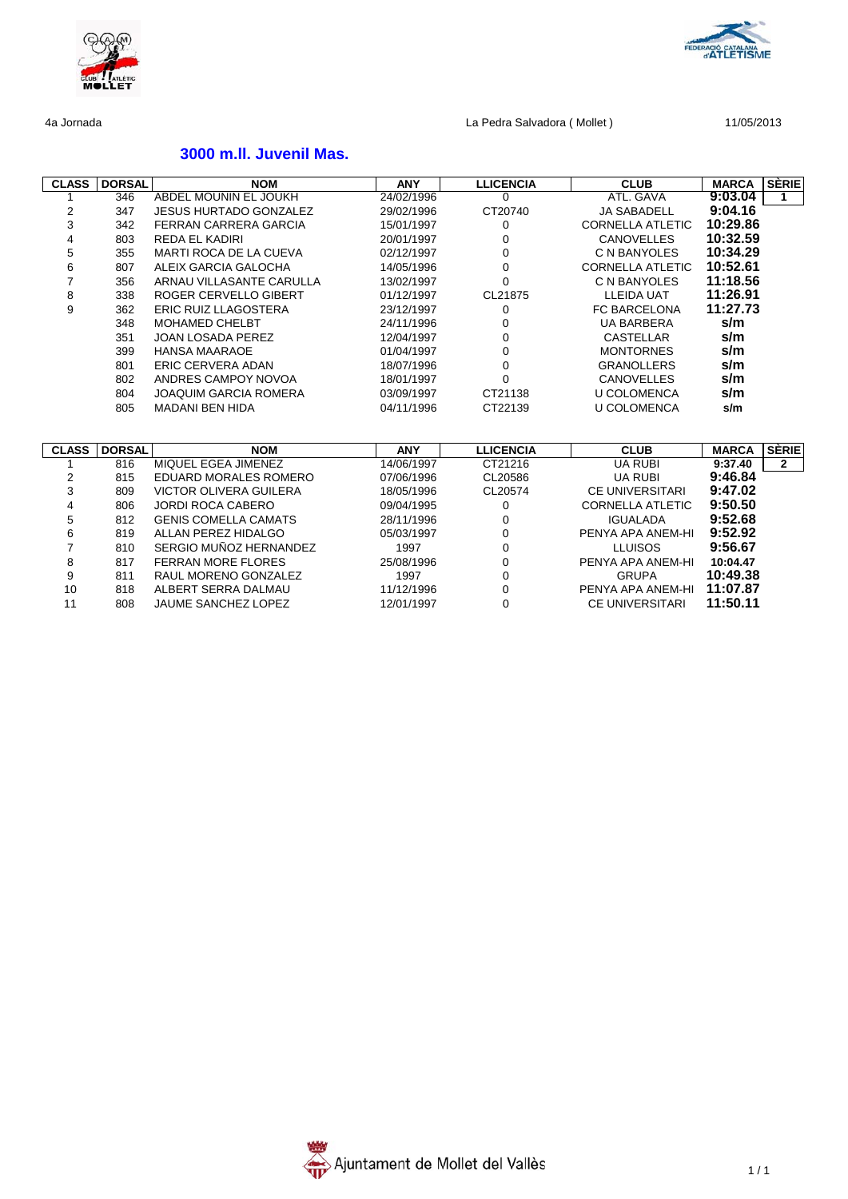

# **3000 m.ll. Juvenil Mas.**

| <b>CLASS</b>   | <b>DORSAL</b> | <b>NOM</b>                    | <b>ANY</b> | <b>LLICENCIA</b> | <b>CLUB</b>             | <b>MARCA</b> | <b>SERIE</b>   |
|----------------|---------------|-------------------------------|------------|------------------|-------------------------|--------------|----------------|
|                | 346           | ABDEL MOUNIN EL JOUKH         | 24/02/1996 | $\Omega$         | ATL. GAVA               | 9:03.04      | 1              |
| 2              | 347           | <b>JESUS HURTADO GONZALEZ</b> | 29/02/1996 | CT20740          | <b>JA SABADELL</b>      | 9:04.16      |                |
| 3              | 342           | <b>FERRAN CARRERA GARCIA</b>  | 15/01/1997 | 0                | <b>CORNELLA ATLETIC</b> | 10:29.86     |                |
| 4              | 803           | <b>REDA EL KADIRI</b>         | 20/01/1997 | 0                | <b>CANOVELLES</b>       | 10:32.59     |                |
| 5              | 355           | MARTI ROCA DE LA CUEVA        | 02/12/1997 | $\Omega$         | C N BANYOLES            | 10:34.29     |                |
| 6              | 807           | ALEIX GARCIA GALOCHA          | 14/05/1996 | 0                | <b>CORNELLA ATLETIC</b> | 10:52.61     |                |
| $\overline{7}$ | 356           | ARNAU VILLASANTE CARULLA      | 13/02/1997 | $\Omega$         | C N BANYOLES            | 11:18.56     |                |
| 8              | 338           | ROGER CERVELLO GIBERT         | 01/12/1997 | CL21875          | <b>LLEIDA UAT</b>       | 11:26.91     |                |
| 9              | 362           | <b>ERIC RUIZ LLAGOSTERA</b>   | 23/12/1997 | $\Omega$         | <b>FC BARCELONA</b>     | 11:27.73     |                |
|                | 348           | <b>MOHAMED CHELBT</b>         | 24/11/1996 | 0                | <b>UA BARBERA</b>       | s/m          |                |
|                | 351           | <b>JOAN LOSADA PEREZ</b>      | 12/04/1997 | $\Omega$         | <b>CASTELLAR</b>        | s/m          |                |
|                | 399           | <b>HANSA MAARAOE</b>          | 01/04/1997 | $\Omega$         | <b>MONTORNES</b>        | s/m          |                |
|                | 801           | <b>ERIC CERVERA ADAN</b>      | 18/07/1996 | $\mathbf 0$      | <b>GRANOLLERS</b>       | s/m          |                |
|                | 802           | ANDRES CAMPOY NOVOA           | 18/01/1997 | $\Omega$         | <b>CANOVELLES</b>       | s/m          |                |
|                | 804           | <b>JOAQUIM GARCIA ROMERA</b>  | 03/09/1997 | CT21138          | <b>U COLOMENCA</b>      | s/m          |                |
|                | 805           | <b>MADANI BEN HIDA</b>        | 04/11/1996 | CT22139          | <b>U COLOMENCA</b>      | s/m          |                |
|                |               |                               |            |                  |                         |              |                |
|                |               |                               |            |                  |                         |              |                |
| <b>CLASS</b>   | <b>DORSAL</b> | <b>NOM</b>                    | <b>ANY</b> | <b>LLICENCIA</b> | <b>CLUB</b>             | <b>MARCA</b> | <b>SERIE</b>   |
| 1              | 816           | MIQUEL EGEA JIMENEZ           | 14/06/1997 | CT21216          | <b>UA RUBI</b>          | 9:37.40      | $\overline{2}$ |
| 2              | 815           | EDUARD MORALES ROMERO         | 07/06/1996 | CL20586          | <b>UA RUBI</b>          | 9:46.84      |                |
| 3              | 809           | <b>VICTOR OLIVERA GUILERA</b> | 18/05/1996 | CL20574          | <b>CE UNIVERSITARI</b>  | 9:47.02      |                |
| 4              | 806           | <b>JORDI ROCA CABERO</b>      | 09/04/1995 | $\mathbf 0$      | <b>CORNELLA ATLETIC</b> | 9:50.50      |                |
| 5              | 812           | <b>GENIS COMELLA CAMATS</b>   | 28/11/1996 | 0                | <b>IGUALADA</b>         | 9:52.68      |                |
| 6              | 819           | ALLAN PEREZ HIDALGO           | 05/03/1997 | 0                | PENYA APA ANEM-HI       | 9:52.92      |                |
| $\overline{7}$ | 810           | SERGIO MUÑOZ HERNANDEZ        | 1997       | $\mathbf 0$      | <b>LLUISOS</b>          | 9:56.67      |                |
| 8              | 817           | <b>FERRAN MORE FLORES</b>     | 25/08/1996 | 0                | PENYA APA ANEM-HI       | 10:04.47     |                |
| 9              | 811           | RAUL MORENO GONZALEZ          | 1997       | $\Omega$         | <b>GRUPA</b>            | 10:49.38     |                |
| 10             | 818           | ALBERT SERRA DALMAU           | 11/12/1996 | $\mathbf 0$      | PENYA APA ANEM-HI       | 11:07.87     |                |
| 11             | 808           | <b>JAUME SANCHEZ LOPEZ</b>    | 12/01/1997 | $\mathbf 0$      | <b>CE UNIVERSITARI</b>  | 11:50.11     |                |



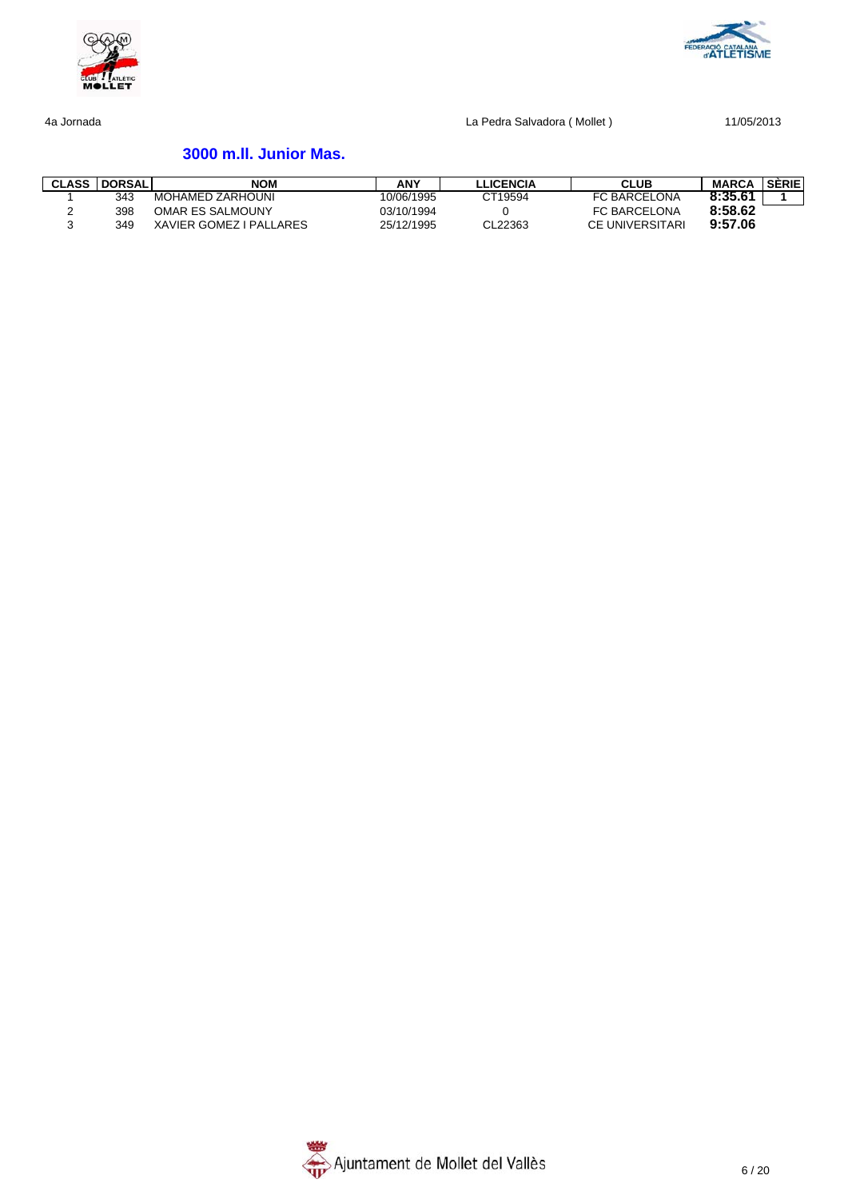



# **3000 m.ll. Junior Mas.**

| <b>CLASS DORSAL</b> | <b>NOM</b>              | ANY        | <b>LLICENCIA</b> | CLUB                   | <b>MARCA</b> | <b>SERIE</b> |
|---------------------|-------------------------|------------|------------------|------------------------|--------------|--------------|
| 343                 | MOHAMED ZARHOUNI        | 10/06/1995 | CT19594          | <b>FC BARCELONA</b>    | 8:35.61      |              |
| 398                 | <b>OMAR ES SALMOUNY</b> | 03/10/1994 |                  | <b>FC BARCELONA</b>    | 8:58.62      |              |
| 349                 | XAVIER GOMEZ I PALLARES | 25/12/1995 | CL22363          | <b>CE UNIVERSITARI</b> | 9:57.06      |              |

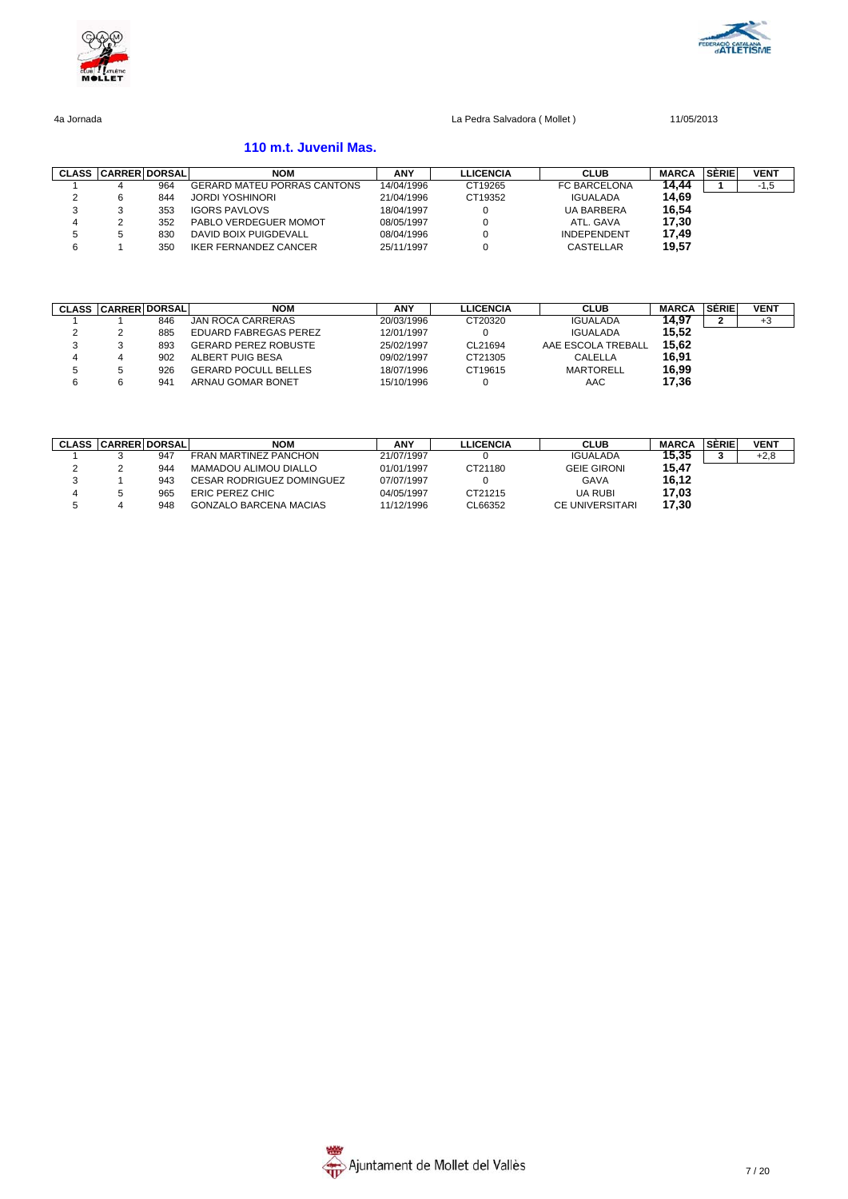



# **110 m.t. Juvenil Mas.**

|   | <b>CLASS CARRER DORSAL</b> |     | <b>NOM</b>                         | <b>ANY</b> | <b>LLICENCIA</b> | <b>CLUB</b>        | <b>MARCA</b> | <b>SÉRIE</b> | <b>VENT</b> |
|---|----------------------------|-----|------------------------------------|------------|------------------|--------------------|--------------|--------------|-------------|
|   | 4                          | 964 | <b>GERARD MATEU PORRAS CANTONS</b> | 14/04/1996 | CT19265          | FC BARCELONA       | 14.44        |              | $-1,5$      |
|   | 6                          | 844 | <b>JORDI YOSHINORI</b>             | 21/04/1996 | CT19352          | <b>IGUALADA</b>    | 14.69        |              |             |
|   |                            | 353 | <b>IGORS PAVLOVS</b>               | 18/04/1997 |                  | <b>UA BARBERA</b>  | 16,54        |              |             |
|   |                            | 352 | PABLO VERDEGUER MOMOT              | 08/05/1997 |                  | ATL. GAVA          | 17.30        |              |             |
|   |                            | 830 | DAVID BOIX PUIGDEVALL              | 08/04/1996 |                  | <b>INDEPENDENT</b> | 17.49        |              |             |
| 6 |                            | 350 | <b>IKER FERNANDEZ CANCER</b>       | 25/11/1997 |                  | CASTELLAR          | 19,57        |              |             |

| <b>CLASS</b> | <b>CARRER DORSALI</b> |     | NOM                         | <b>ANY</b> | LLICENCIA | <b>CLUB</b>        | <b>MARCA</b> | <b>SÉRIE</b> | <b>VENT</b> |
|--------------|-----------------------|-----|-----------------------------|------------|-----------|--------------------|--------------|--------------|-------------|
|              |                       | 846 | JAN ROCA CARRERAS           | 20/03/1996 | CT20320   | <b>IGUALADA</b>    | 14.97        |              | +3          |
|              |                       | 885 | EDUARD FABREGAS PEREZ       | 12/01/1997 |           | <b>IGUALADA</b>    | 15.52        |              |             |
| o            |                       | 893 | <b>GERARD PEREZ ROBUSTE</b> | 25/02/1997 | CL21694   | AAE ESCOLA TREBALL | 15.62        |              |             |
| 4            |                       | 902 | ALBERT PUIG BESA            | 09/02/1997 | CT21305   | CALELLA            | 16.91        |              |             |
|              |                       | 926 | <b>GERARD POCULL BELLES</b> | 18/07/1996 | CT19615   | <b>MARTORELL</b>   | 16.99        |              |             |
|              |                       | 941 | ARNAU GOMAR BONET           | 15/10/1996 |           | AAC                | 17.36        |              |             |

| <b>CLASS</b> | <b>CARRERI DORSAL</b> |     | <b>NOM</b>                       | <b>ANY</b> | LLICENCIA | <b>CLUB</b>        | <b>MARCA</b> | <b>SÉRIE</b> | <b>VENT</b> |
|--------------|-----------------------|-----|----------------------------------|------------|-----------|--------------------|--------------|--------------|-------------|
|              |                       | 947 | <b>FRAN MARTINEZ PANCHON</b>     | 21/07/1997 |           | <b>IGUALADA</b>    | 15.35        |              | $+2,8$      |
|              |                       | 944 | <b>MAMADOU ALIMOU DIALLO</b>     | 01/01/1997 | CT21180   | <b>GEIE GIRONI</b> | 15.47        |              |             |
|              |                       | 943 | <b>CESAR RODRIGUEZ DOMINGUEZ</b> | 07/07/1997 |           | GAVA               | 16.12        |              |             |
|              |                       | 965 | ERIC PEREZ CHIC                  | 04/05/1997 | CT21215   | UA RUBI            | 17.03        |              |             |
|              |                       | 948 | <b>GONZALO BARCENA MACIAS</b>    | 11/12/1996 | CL66352   | CE UNIVERSITARI    | 17,30        |              |             |

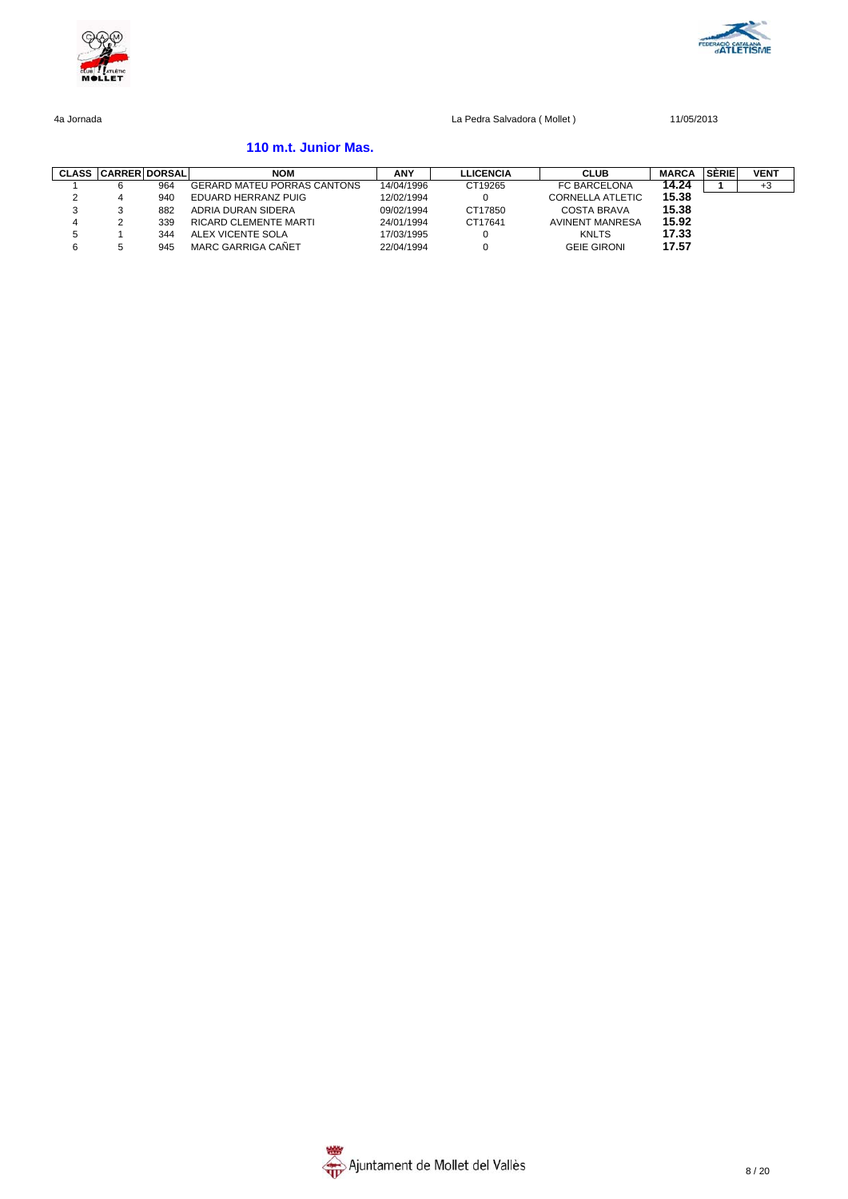



### **110 m.t. Junior Mas.**

| <b>CLASS</b> | <b>CARRER DORSAL</b> |     | <b>NOM</b>                         | <b>ANY</b> | <b>LLICENCIA</b> | <b>CLUB</b>             | <b>MARCA</b> | SÉRIE | <b>VENT</b> |
|--------------|----------------------|-----|------------------------------------|------------|------------------|-------------------------|--------------|-------|-------------|
|              |                      | 964 | <b>GERARD MATEU PORRAS CANTONS</b> | 14/04/1996 | CT19265          | FC BARCELONA            | 14.24        |       | $+3$        |
| <u>_</u>     |                      | 940 | EDUARD HERRANZ PUIG                | 12/02/1994 |                  | <b>CORNELLA ATLETIC</b> | 15.38        |       |             |
|              |                      | 882 | ADRIA DURAN SIDERA                 | 09/02/1994 | CT17850          | COSTA BRAVA             | 15.38        |       |             |
|              |                      | 339 | RICARD CLEMENTE MARTI              | 24/01/1994 | CT17641          | <b>AVINENT MANRESA</b>  | 15.92        |       |             |
|              |                      | 344 | ALEX VICENTE SOLA                  | 17/03/1995 |                  | <b>KNLTS</b>            | 17.33        |       |             |
|              |                      | 945 | MARC GARRIGA CAÑET                 | 22/04/1994 |                  | <b>GEIE GIRONI</b>      | 17.57        |       |             |

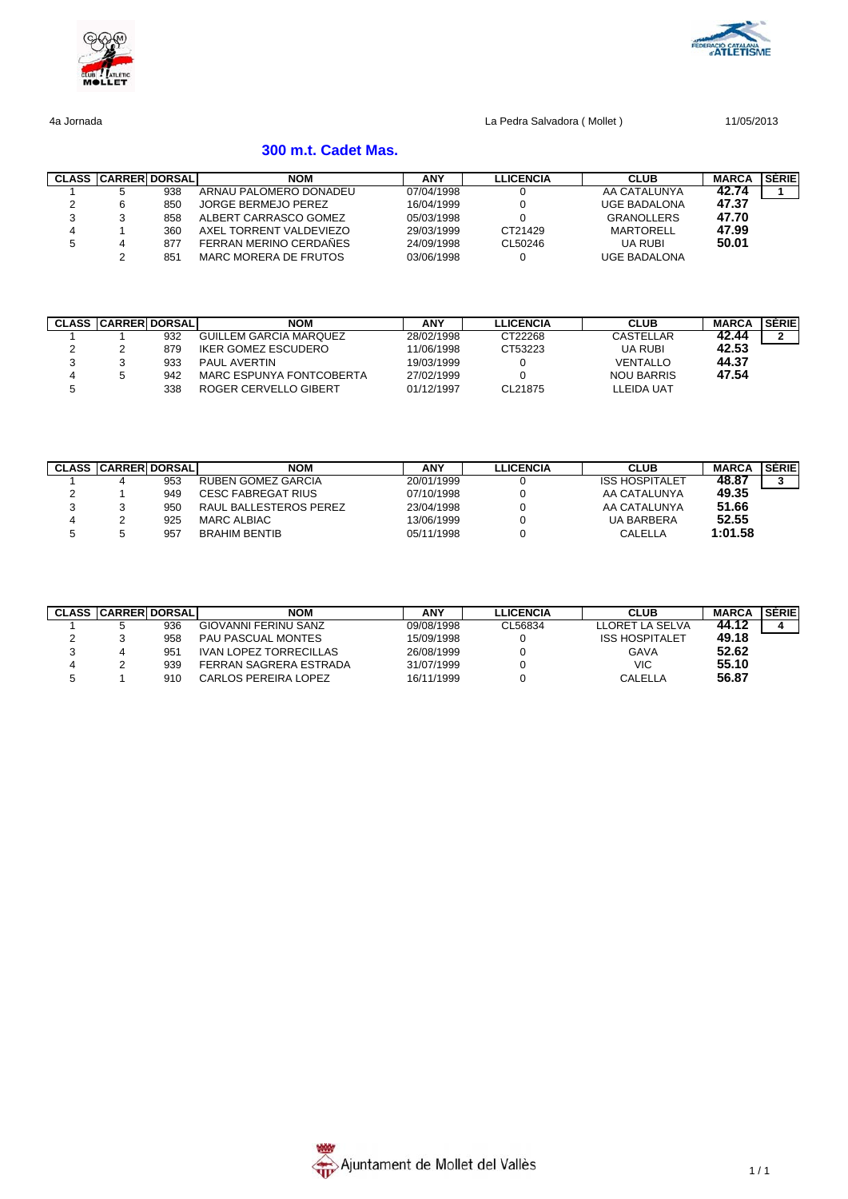



# **300 m.t. Cadet Mas.**

|   | <b>CLASS CARRERIDORSALI</b> |     | <b>NOM</b>              | ANY        | <b>LLICENCIA</b> | <b>CLUB</b>         | <b>MARCA</b> | <b>SÉRIEI</b> |
|---|-----------------------------|-----|-------------------------|------------|------------------|---------------------|--------------|---------------|
|   |                             | 938 | ARNAU PALOMERO DONADEU  | 07/04/1998 |                  | AA CATALUNYA        | 42.74        |               |
|   |                             | 850 | JORGE BERMEJO PEREZ     | 16/04/1999 |                  | <b>UGE BADALONA</b> | 47.37        |               |
| ت |                             | 858 | ALBERT CARRASCO GOMEZ   | 05/03/1998 |                  | <b>GRANOLLERS</b>   | 47.70        |               |
| 4 |                             | 360 | AXEL TORRENT VALDEVIEZO | 29/03/1999 | CT21429          | MARTORELL           | 47.99        |               |
| Ð |                             | 877 | FERRAN MERINO CERDAÑES  | 24/09/1998 | CL50246          | UA RUBI             | 50.01        |               |
|   |                             | 851 | MARC MORERA DE FRUTOS   | 03/06/1998 |                  | <b>UGE BADALONA</b> |              |               |

|   | <b>CLASS CARRER DORSAL</b> |     | <b>NOM</b>               | ANY        | <b>LLICENCIA</b> | <b>CLUB</b>       | <b>MARCA</b> | SERIEI |
|---|----------------------------|-----|--------------------------|------------|------------------|-------------------|--------------|--------|
|   |                            | 932 | GUILLEM GARCIA MARQUEZ   | 28/02/1998 | CT22268          | CASTELLAR         | 42.44        |        |
|   |                            | 879 | IKER GOMEZ ESCUDERO      | 11/06/1998 | CT53223          | <b>UA RUBI</b>    | 42.53        |        |
|   |                            | 933 | PAUL AVERTIN             | 19/03/1999 |                  | <b>VENTALLO</b>   | 44.37        |        |
| 4 |                            | 942 | MARC ESPUNYA FONTCOBERTA | 27/02/1999 |                  | <b>NOU BARRIS</b> | 47.54        |        |
|   |                            | 338 | ROGER CERVELLO GIBERT    | 01/12/1997 | CL21875          | LLEIDA UAT        |              |        |

| <b>CLASS CARRERIDORSAL</b> |     | <b>NOM</b>             | ANY        | <b>LLICENCIA</b> | <b>CLUB</b>           | <b>MARCA</b> | SERIE |
|----------------------------|-----|------------------------|------------|------------------|-----------------------|--------------|-------|
|                            | 953 | RUBEN GOMEZ GARCIA     | 20/01/1999 |                  | <b>ISS HOSPITALET</b> | 48.87        |       |
|                            | 949 | CESC FABREGAT RIUS     | 07/10/1998 |                  | AA CATALUNYA          | 49.35        |       |
|                            | 950 | RAUL BALLESTEROS PEREZ | 23/04/1998 |                  | AA CATALUNYA          | 51.66        |       |
|                            | 925 | MARC ALBIAC            | 13/06/1999 |                  | <b>UA BARBERA</b>     | 52.55        |       |
|                            | 957 | <b>BRAHIM BENTIB</b>   | 05/11/1998 |                  | CALELLA               | 1:01.58      |       |

|   | <b>CLASS CARRER DORSALI</b> |     | <b>NOM</b>                    | ANY        | LLICENCIA | <b>CLUB</b>           | <b>MARCA</b> | <b>SERIE</b> |
|---|-----------------------------|-----|-------------------------------|------------|-----------|-----------------------|--------------|--------------|
|   |                             | 936 | GIOVANNI FERINU SANZ          | 09/08/1998 | CL56834   | LLORET LA SELVA       | 44.12        |              |
|   |                             | 958 | <b>PAU PASCUAL MONTES</b>     | 15/09/1998 |           | <b>ISS HOSPITALET</b> | 49.18        |              |
| ິ |                             | 951 | <b>IVAN LOPEZ TORRECILLAS</b> | 26/08/1999 |           | GAVA                  | 52.62        |              |
| 4 |                             | 939 | FERRAN SAGRERA ESTRADA        | 31/07/1999 |           | VIC                   | 55.10        |              |
|   |                             | 910 | CARLOS PEREIRA LOPEZ          | 16/11/1999 |           | CALELLA               | 56.87        |              |

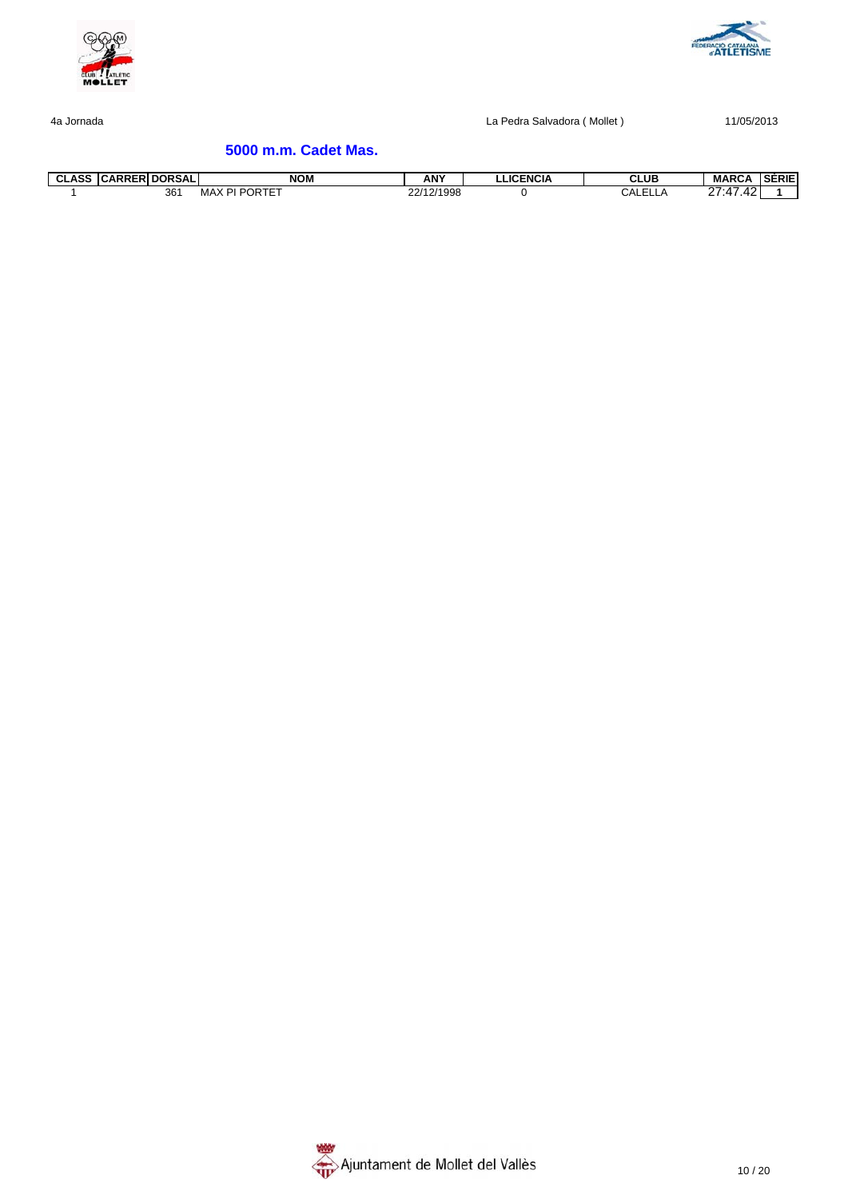



# **5000 m.m. Cadet Mas.**

| $\sim$<br>ุ บมคออ | LASS CARRER DORSALI | <b>NOM</b>             | <b>ANY</b> | <b>LLICENCIA</b> | <b>CLUB</b>             | <b>MARCA</b>            | <b>SERIE</b> |
|-------------------|---------------------|------------------------|------------|------------------|-------------------------|-------------------------|--------------|
|                   | 361                 | <b>RIPORTET</b><br>MAX | 22/12/1998 |                  | $\sim$ $\sim$<br>UALELL | 27:47<br>42<br><u>_</u> |              |

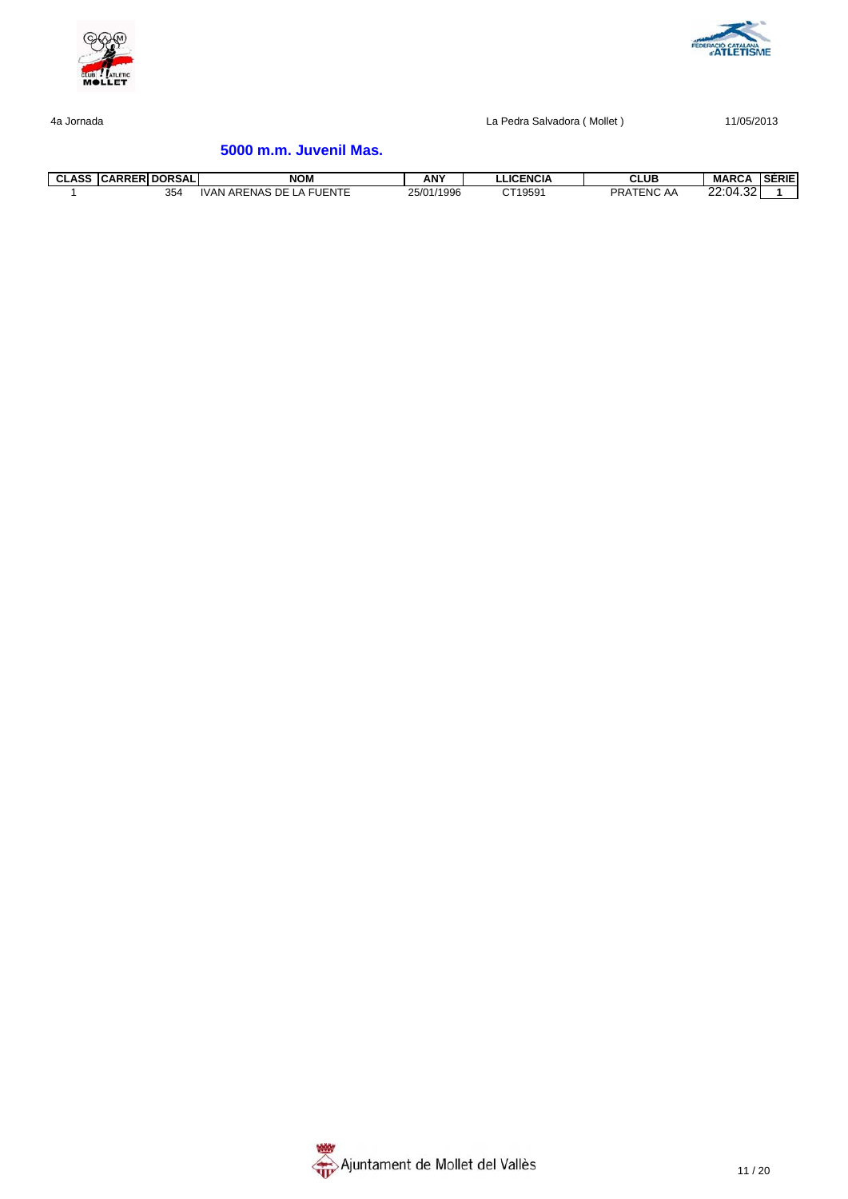



# **5000 m.m. Juvenil Mas.**

| <b>CLASS</b> | <b>CARRERI DORSALI</b> | <b>NOM</b>                                               | <b>ANY</b> | LLICENCIA | <b>CLUB</b>           | <b>MARCA</b>          | <b>SERIE</b> |
|--------------|------------------------|----------------------------------------------------------|------------|-----------|-----------------------|-----------------------|--------------|
|              | 354                    | <b>FUENTE</b><br>$\Gamma$<br>. ARENAS<br>.VAN<br>DЕ<br>▵ | 25/01/1996 | CT19591   | <b>PRA</b><br>TENC AA | 4.32<br>22.04<br>22.U |              |

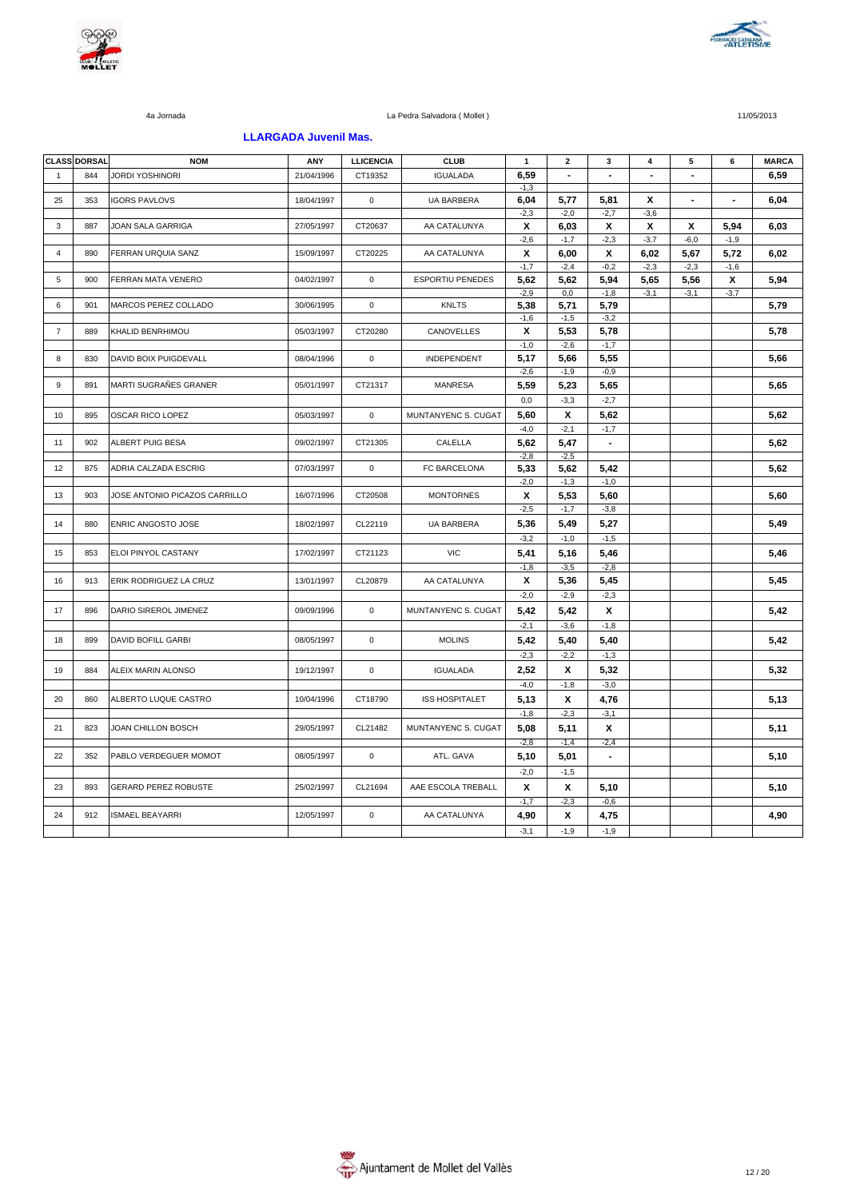



#### **LLARGADA Juvenil Mas.**

|                | <b>CLASS DORSAL</b> | <b>NOM</b>                    | ANY        | <b>LLICENCIA</b> | <b>CLUB</b>             | $\mathbf{1}$   | $\mathbf{2}$   | 3              | 4                        | 5                        | 6              | <b>MARCA</b> |
|----------------|---------------------|-------------------------------|------------|------------------|-------------------------|----------------|----------------|----------------|--------------------------|--------------------------|----------------|--------------|
| $\mathbf{1}$   | 844                 | <b>JORDI YOSHINORI</b>        | 21/04/1996 | CT19352          | <b>IGUALADA</b>         | 6,59           | $\blacksquare$ | $\blacksquare$ | $\overline{\phantom{a}}$ | $\blacksquare$           |                | 6,59         |
|                |                     |                               |            |                  |                         | $-1,3$         |                |                |                          |                          |                |              |
| 25             | 353                 | <b>IGORS PAVLOVS</b>          | 18/04/1997 | $\mathbf 0$      | <b>UA BARBERA</b>       | 6,04<br>$-2,3$ | 5,77<br>$-2,0$ | 5,81<br>$-2,7$ | X<br>$-3,6$              | $\overline{\phantom{a}}$ | $\blacksquare$ | 6,04         |
| 3              | 887                 | JOAN SALA GARRIGA             | 27/05/1997 | CT20637          | AA CATALUNYA            | X              | 6,03           | X              | X                        | X                        | 5,94           | 6,03         |
|                |                     |                               |            |                  |                         | $-2,6$         | $-1,7$         | $-2,3$         | $-3,7$                   | $-6,0$                   | $-1,9$         |              |
| $\overline{4}$ | 890                 | FERRAN URQUIA SANZ            | 15/09/1997 | CT20225          | AA CATALUNYA            | X              | 6,00           | х              | 6,02                     | 5,67                     | 5,72           | 6,02         |
|                |                     |                               |            |                  |                         | $-1,7$         | $-2,4$         | $-0,2$         | $-2,3$                   | $-2,3$                   | $-1,6$         |              |
| 5              | 900                 | FERRAN MATA VENERO            | 04/02/1997 | $\mathbf 0$      | <b>ESPORTIU PENEDES</b> | 5,62           | 5,62           | 5,94           | 5,65                     | 5,56                     | Х              | 5,94         |
|                |                     |                               |            |                  |                         | $-2,9$         | 0,0            | $-1,8$         | $-3,1$                   | $-3,1$                   | $-3,7$         |              |
| 6              | 901                 | MARCOS PEREZ COLLADO          | 30/06/1995 | $\mathbf 0$      | <b>KNLTS</b>            | 5,38           | 5,71           | 5,79           |                          |                          |                | 5,79         |
|                |                     |                               |            |                  |                         | $-1,6$         | $-1,5$         | $-3,2$         |                          |                          |                |              |
| $\overline{7}$ | 889                 | KHALID BENRHIMOU              | 05/03/1997 | CT20280          | CANOVELLES              | X              | 5,53           | 5,78           |                          |                          |                | 5,78         |
|                |                     |                               |            |                  |                         | $-1,0$         | $-2,6$         | $-1,7$         |                          |                          |                |              |
| 8              | 830                 | <b>DAVID BOIX PUIGDEVALL</b>  | 08/04/1996 | $\mathbf 0$      | <b>INDEPENDENT</b>      | 5,17           | 5,66           | 5,55           |                          |                          |                | 5,66         |
|                |                     |                               |            |                  |                         | $-2.6$         | $-1.9$         | $-0.9$         |                          |                          |                |              |
| 9              | 891                 | MARTI SUGRAÑES GRANER         | 05/01/1997 | CT21317          | <b>MANRESA</b>          | 5,59           | 5,23           | 5,65           |                          |                          |                | 5,65         |
|                |                     |                               |            |                  |                         | 0,0            | $-3,3$         | $-2,7$         |                          |                          |                |              |
| 10             | 895                 | OSCAR RICO LOPEZ              | 05/03/1997 | $\mathbf 0$      | MUNTANYENC S. CUGAT     | 5,60           | X              | 5,62           |                          |                          |                | 5,62         |
|                |                     |                               |            |                  |                         | $-4,0$         | $-2,1$         | $-1,7$         |                          |                          |                |              |
| 11             | 902                 | ALBERT PUIG BESA              | 09/02/1997 | CT21305          | CALELLA                 | 5,62           | 5,47           | $\blacksquare$ |                          |                          |                | 5.62         |
|                |                     |                               |            |                  |                         | $-2,8$         | $-2,5$         |                |                          |                          |                |              |
| 12             | 875                 | ADRIA CALZADA ESCRIG          | 07/03/1997 | $\mathsf 0$      | FC BARCELONA            | 5,33           | 5,62           | 5,42           |                          |                          |                | 5,62         |
|                |                     |                               |            |                  |                         | $-2,0$         | $-1,3$         | $-1,0$         |                          |                          |                |              |
| 13             | 903                 | JOSE ANTONIO PICAZOS CARRILLO | 16/07/1996 | CT20508          | <b>MONTORNES</b>        | X              | 5,53           | 5,60           |                          |                          |                | 5.60         |
|                |                     |                               |            |                  |                         | $-2,5$         | $-1,7$         | $-3,8$         |                          |                          |                |              |
|                |                     |                               |            |                  |                         |                |                |                |                          |                          |                |              |
| 14             | 880                 | ENRIC ANGOSTO JOSE            | 18/02/1997 | CL22119          | <b>UA BARBERA</b>       | 5,36           | 5,49           | 5,27           |                          |                          |                | 5,49         |
|                |                     |                               |            |                  |                         | $-3,2$         | $-1,0$         | $-1,5$         |                          |                          |                |              |
| 15             | 853                 | ELOI PINYOL CASTANY           | 17/02/1997 | CT21123          | <b>VIC</b>              | 5,41           | 5,16           | 5,46           |                          |                          |                | 5,46         |
|                |                     |                               |            |                  |                         | $-1,8$         | $-3,5$         | $-2,8$         |                          |                          |                |              |
| 16             | 913                 | ERIK RODRIGUEZ LA CRUZ        | 13/01/1997 | CL20879          | AA CATALUNYA            | X              | 5,36           | 5,45           |                          |                          |                | 5,45         |
|                |                     |                               |            |                  |                         | $-2,0$         | $-2,9$         | $-2,3$         |                          |                          |                |              |
| 17             | 896                 | DARIO SIREROL JIMENEZ         | 09/09/1996 | $\mathsf 0$      | MUNTANYENC S. CUGAT     | 5,42           | 5,42           | х              |                          |                          |                | 5,42         |
|                |                     |                               |            |                  |                         | $-2,1$         | $-3,6$         | $-1,8$         |                          |                          |                |              |
| 18             | 899                 | <b>DAVID BOFILL GARBI</b>     | 08/05/1997 | $\mathbf 0$      | <b>MOLINS</b>           | 5,42           | 5,40           | 5,40           |                          |                          |                | 5,42         |
|                |                     |                               |            |                  |                         | $-2,3$         | $-2,2$         | $-1,3$         |                          |                          |                |              |
| 19             | 884                 | ALEIX MARIN ALONSO            | 19/12/1997 | $\mathsf 0$      | <b>IGUALADA</b>         | 2,52           | x              | 5,32           |                          |                          |                | 5,32         |
|                |                     |                               |            |                  |                         | $-4,0$         | $-1,8$         | $-3,0$         |                          |                          |                |              |
|                |                     |                               |            |                  |                         |                |                |                |                          |                          |                |              |
| 20             | 860                 | ALBERTO LUQUE CASTRO          | 10/04/1996 | CT18790          | <b>ISS HOSPITALET</b>   | 5,13           | X              | 4,76           |                          |                          |                | 5,13         |
|                |                     |                               |            |                  |                         | $-1,8$         | $-2,3$         | $-3,1$         |                          |                          |                |              |
| 21             | 823                 | JOAN CHILLON BOSCH            | 29/05/1997 | CL21482          | MUNTANYENC S. CUGAT     | 5,08           | 5,11           | X              |                          |                          |                | 5,11         |
|                |                     |                               |            |                  |                         | $-2.8$         | $-1,4$         | $-2,4$         |                          |                          |                |              |
| 22             | 352                 | PABLO VERDEGUER MOMOT         | 08/05/1997 | $\mathbf 0$      | ATL. GAVA               | 5,10           | 5,01           | $\blacksquare$ |                          |                          |                | 5,10         |
|                |                     |                               |            |                  |                         | $-2,0$         | $-1,5$         |                |                          |                          |                |              |
| 23             | 893                 | <b>GERARD PEREZ ROBUSTE</b>   | 25/02/1997 | CL21694          | AAE ESCOLA TREBALL      | X              | x              | 5,10           |                          |                          |                | 5,10         |
|                |                     |                               |            |                  |                         | $-1,7$         | $-2,3$         | $-0,6$         |                          |                          |                |              |
| 24             | 912                 | <b>ISMAEL BEAYARRI</b>        | 12/05/1997 | $\mathbf 0$      | AA CATALUNYA            | 4,90           | x              | 4,75           |                          |                          |                | 4,90         |
|                |                     |                               |            |                  |                         | $-3,1$         | $-1,9$         | $-1,9$         |                          |                          |                |              |
|                |                     |                               |            |                  |                         |                |                |                |                          |                          |                |              |

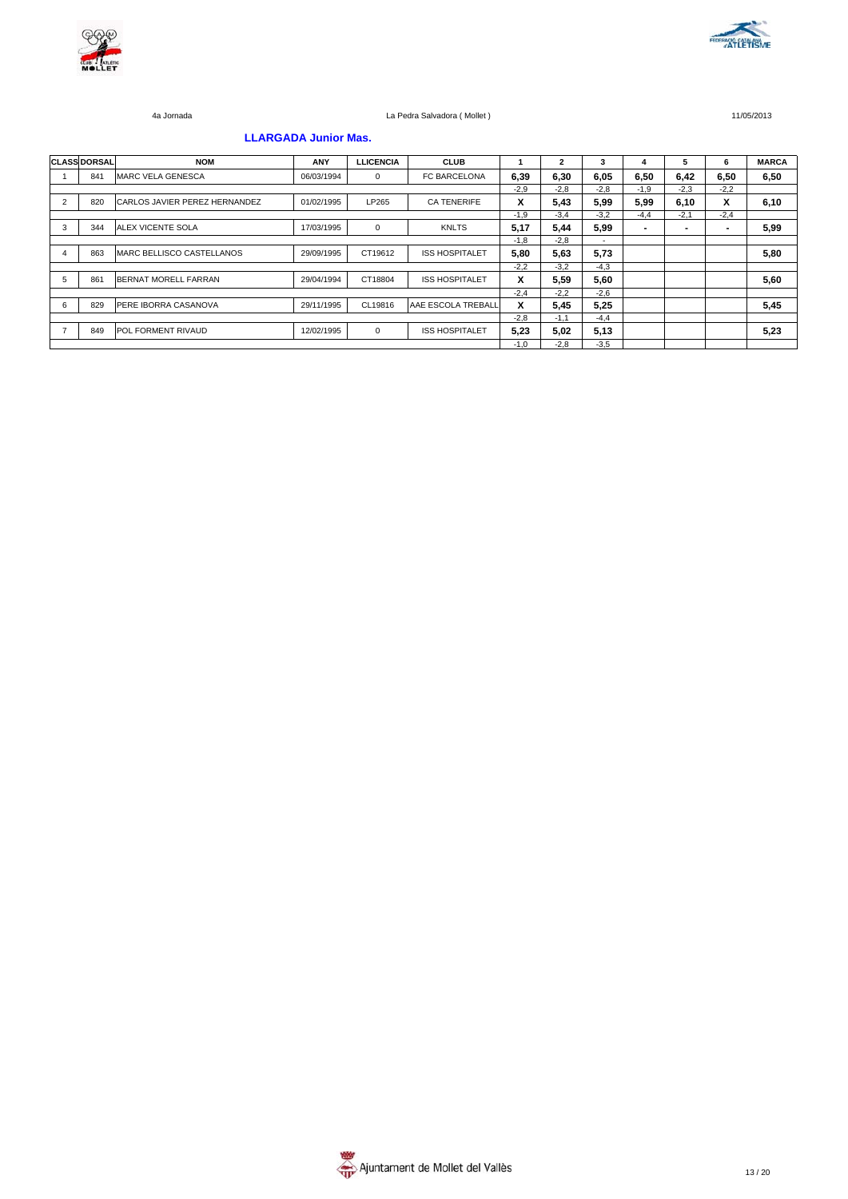



### **LLARGADA Junior Mas.**

|                | <b>CLASS DORSAL</b> | <b>NOM</b>                       | <b>ANY</b> | <b>LLICENCIA</b> | <b>CLUB</b>           |        | $\mathbf{2}$ | 3      | 4              | 5                        | 6      | <b>MARCA</b> |
|----------------|---------------------|----------------------------------|------------|------------------|-----------------------|--------|--------------|--------|----------------|--------------------------|--------|--------------|
|                | 841                 | <b>MARC VELA GENESCA</b>         | 06/03/1994 | $\mathbf{0}$     | FC BARCELONA          | 6,39   | 6,30         | 6,05   | 6,50           | 6,42                     | 6,50   | 6,50         |
|                |                     |                                  |            |                  |                       | $-2.9$ | $-2.8$       | $-2.8$ | $-1.9$         | $-2.3$                   | $-2.2$ |              |
| $\overline{2}$ | 820                 | CARLOS JAVIER PEREZ HERNANDEZ    | 01/02/1995 | LP265            | <b>CA TENERIFE</b>    | x      | 5,43         | 5,99   | 5,99           | 6, 10                    | X      | 6,10         |
|                |                     |                                  |            |                  |                       | $-1.9$ | $-3.4$       | $-3,2$ | $-4,4$         | $-2.1$                   | $-2,4$ |              |
| 3              | 344                 | <b>ALEX VICENTE SOLA</b>         | 17/03/1995 | $\mathbf 0$      | <b>KNLTS</b>          | 5,17   | 5.44         | 5,99   | $\blacksquare$ | $\overline{\phantom{0}}$ |        | 5,99         |
|                |                     |                                  |            |                  |                       | $-1.8$ | $-2.8$       | $\sim$ |                |                          |        |              |
| 4              | 863                 | <b>MARC BELLISCO CASTELLANOS</b> | 29/09/1995 | CT19612          | <b>ISS HOSPITALET</b> | 5,80   | 5.63         | 5,73   |                |                          |        | 5,80         |
|                |                     |                                  |            |                  |                       | $-2.2$ | $-3.2$       | $-4.3$ |                |                          |        |              |
| 5              | 861                 | <b>BERNAT MORELL FARRAN</b>      | 29/04/1994 | CT18804          | <b>ISS HOSPITALET</b> | X      | 5.59         | 5,60   |                |                          |        | 5,60         |
|                |                     |                                  |            |                  |                       | $-2.4$ | $-2.2$       | $-2,6$ |                |                          |        |              |
| 6              | 829                 | PERE IBORRA CASANOVA             | 29/11/1995 | CL19816          | AAE ESCOLA TREBALL    | X      | 5,45         | 5,25   |                |                          |        | 5,45         |
|                |                     |                                  |            |                  |                       | $-2.8$ | $-1.1$       | $-4.4$ |                |                          |        |              |
|                | 849                 | POL FORMENT RIVAUD               | 12/02/1995 | $\mathbf 0$      | <b>ISS HOSPITALET</b> | 5.23   | 5.02         | 5,13   |                |                          |        | 5,23         |
|                |                     |                                  |            |                  |                       | $-1.0$ | $-2.8$       | $-3.5$ |                |                          |        |              |

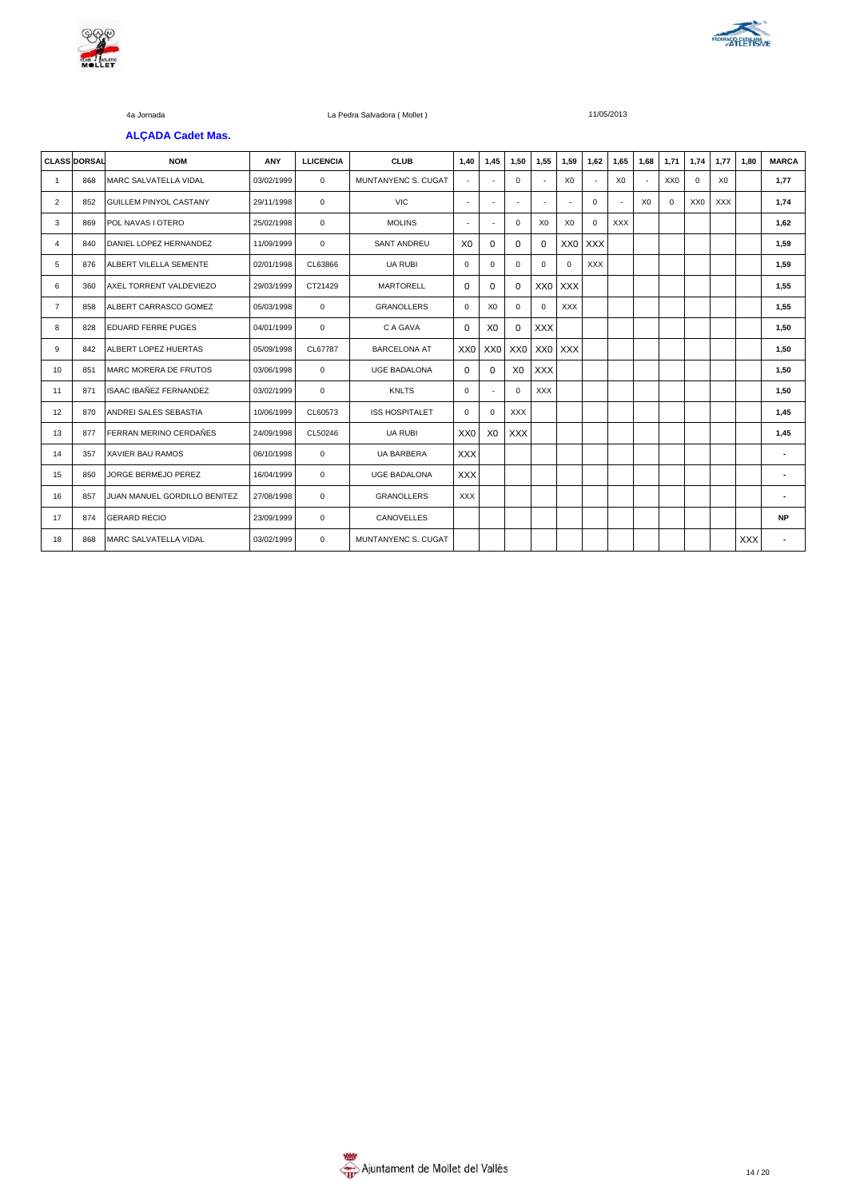



#### **ALÇADA Cadet Mas.**

|                | <b>CLASS DORSAL</b> | <b>NOM</b>                    | ANY        | <b>LLICENCIA</b> | <b>CLUB</b>           | 1,40           | 1,45            | 1,50           | 1,55            | 1,59            | 1,62                     | 1,65           | 1,68           | 1,71     | 1,74       | 1,77           | 1.80 | <b>MARCA</b>   |
|----------------|---------------------|-------------------------------|------------|------------------|-----------------------|----------------|-----------------|----------------|-----------------|-----------------|--------------------------|----------------|----------------|----------|------------|----------------|------|----------------|
| $\mathbf{1}$   | 868                 | <b>MARC SALVATELLA VIDAL</b>  | 03/02/1999 | 0                | MUNTANYENC S. CUGAT   | ٠              | $\sim$          | $\Omega$       | ٠               | X <sub>0</sub>  | $\overline{\phantom{a}}$ | X <sub>0</sub> | $\sim$         | XX0      | $^{\circ}$ | X <sub>0</sub> |      | 1,77           |
| $\overline{2}$ | 852                 | GUILLEM PINYOL CASTANY        | 29/11/1998 | $\mathbf 0$      | <b>VIC</b>            | $\sim$         | ٠               | $\overline{a}$ | ٠               |                 | $\mathbf 0$              |                | X <sub>0</sub> | $\Omega$ | XX0        | XXX            |      | 1,74           |
| 3              | 869                 | POL NAVAS I OTERO             | 25/02/1998 | $\mathbf 0$      | <b>MOLINS</b>         | ٠              | ٠               | $\Omega$       | X <sub>0</sub>  | X <sub>0</sub>  | $\Omega$                 | <b>XXX</b>     |                |          |            |                |      | 1,62           |
| 4              | 840                 | DANIEL LOPEZ HERNANDEZ        | 11/09/1999 | $\mathbf 0$      | <b>SANT ANDREU</b>    | X <sub>0</sub> | $\Omega$        | $\Omega$       | $\Omega$        | XX <sub>0</sub> | <b>XXX</b>               |                |                |          |            |                |      | 1,59           |
| 5              | 876                 | ALBERT VILELLA SEMENTE        | 02/01/1998 | CL63866          | <b>UA RUBI</b>        | $\Omega$       | $\Omega$        | $\Omega$       | $\Omega$        | $\Omega$        | <b>XXX</b>               |                |                |          |            |                |      | 1,59           |
| 6              | 360                 | AXEL TORRENT VALDEVIEZO       | 29/03/1999 | CT21429          | <b>MARTORELL</b>      | $\Omega$       | 0               | $\Omega$       | XX <sub>0</sub> | <b>XXX</b>      |                          |                |                |          |            |                |      | 1,55           |
| $\overline{7}$ | 858                 | ALBERT CARRASCO GOMEZ         | 05/03/1998 | 0                | <b>GRANOLLERS</b>     | $\Omega$       | X <sub>0</sub>  | 0              | $\mathbf 0$     | <b>XXX</b>      |                          |                |                |          |            |                |      | 1,55           |
| 8              | 828                 | <b>EDUARD FERRE PUGES</b>     | 04/01/1999 | $\mathbf 0$      | C A GAVA              | $\Omega$       | X <sub>0</sub>  | $\Omega$       | <b>XXX</b>      |                 |                          |                |                |          |            |                |      | 1,50           |
| 9              | 842                 | ALBERT LOPEZ HUERTAS          | 05/09/1998 | CL67787          | <b>BARCELONA AT</b>   | XX0            | XX <sub>0</sub> | XX0            | XX <sub>0</sub> | <b>XXX</b>      |                          |                |                |          |            |                |      | 1,50           |
| 10             | 851                 | <b>MARC MORERA DE FRUTOS</b>  | 03/06/1998 | 0                | <b>UGE BADALONA</b>   | $\Omega$       | 0               | X <sub>0</sub> | <b>XXX</b>      |                 |                          |                |                |          |            |                |      | 1,50           |
| 11             | 871                 | <b>ISAAC IBAÑEZ FERNANDEZ</b> | 03/02/1999 | 0                | <b>KNLTS</b>          | $\Omega$       | ÷.              | $\Omega$       | <b>XXX</b>      |                 |                          |                |                |          |            |                |      | 1,50           |
| 12             | 870                 | ANDREI SALES SEBASTIA         | 10/06/1999 | CL60573          | <b>ISS HOSPITALET</b> | $\Omega$       | $\Omega$        | <b>XXX</b>     |                 |                 |                          |                |                |          |            |                |      | 1,45           |
| 13             | 877                 | FERRAN MERINO CERDAÑES        | 24/09/1998 | CL50246          | <b>UA RUBI</b>        | XX0            | X <sub>0</sub>  | <b>XXX</b>     |                 |                 |                          |                |                |          |            |                |      | 1,45           |
| 14             | 357                 | <b>XAVIER BAU RAMOS</b>       | 06/10/1998 | $\Omega$         | <b>UA BARBERA</b>     | <b>XXX</b>     |                 |                |                 |                 |                          |                |                |          |            |                |      | $\blacksquare$ |
| 15             | 850                 | JORGE BERMEJO PEREZ           | 16/04/1999 | 0                | <b>UGE BADALONA</b>   | <b>XXX</b>     |                 |                |                 |                 |                          |                |                |          |            |                |      | $\overline{a}$ |
| 16             | 857                 | JUAN MANUEL GORDILLO BENITEZ  | 27/08/1998 | $\Omega$         | <b>GRANOLLERS</b>     | <b>XXX</b>     |                 |                |                 |                 |                          |                |                |          |            |                |      | ä,             |
| 17             | 874                 | <b>GERARD RECIO</b>           | 23/09/1999 | $\mathbf 0$      | <b>CANOVELLES</b>     |                |                 |                |                 |                 |                          |                |                |          |            |                |      | <b>NP</b>      |
| 18             | 868                 | <b>MARC SALVATELLA VIDAL</b>  | 03/02/1999 | $\Omega$         | MUNTANYENC S. CUGAT   |                |                 |                |                 |                 |                          |                |                |          |            |                | XXX  |                |

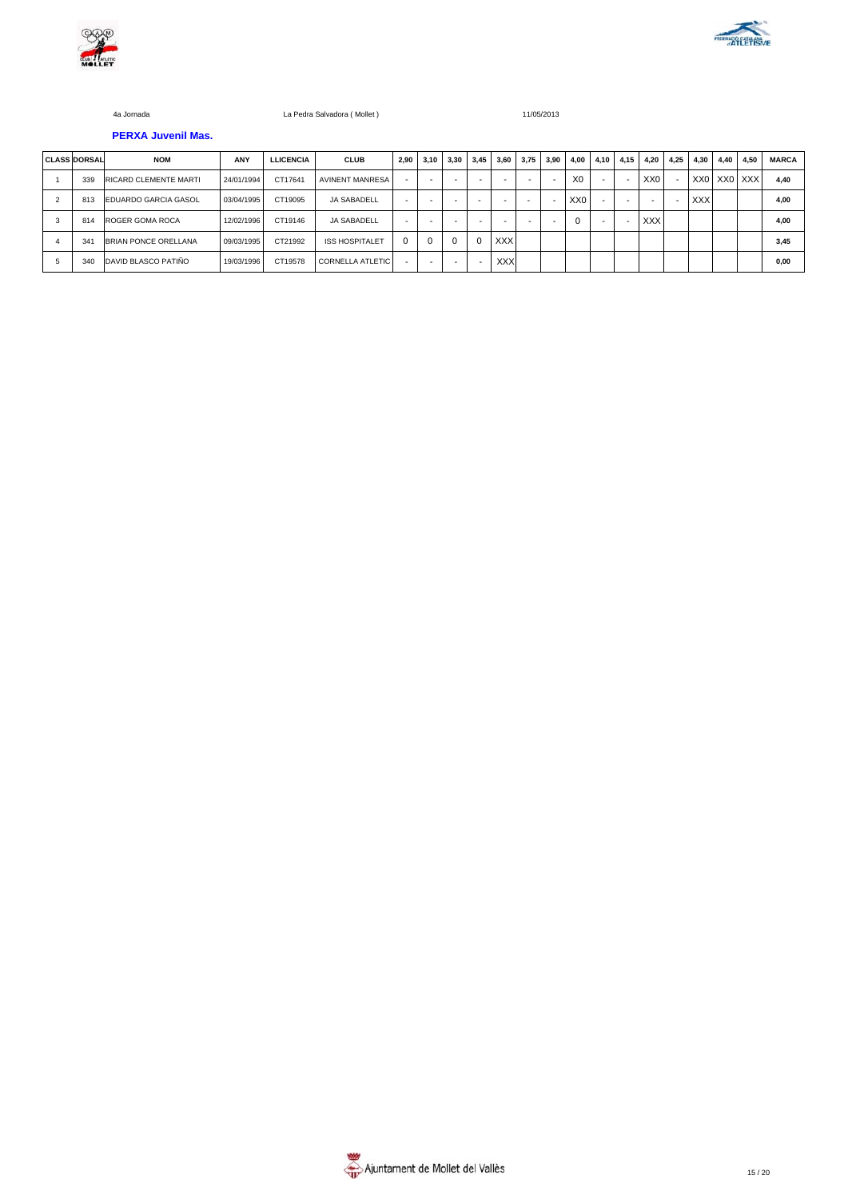



# **PERXA Juvenil Mas.**

|                | <b>CLASS DORSAL</b> | <b>NOM</b>                   | <b>ANY</b> | <b>LLICENCIA</b> | <b>CLUB</b>             | 2,90     | 3,10     | 3,30 | 3,45 | 3,60       | 3,75 | 3.90 | 4,00            | 4,10                     | 4,15                     | 4.20            | 4.25           | 4.30       | 4,40 | 4.50        | <b>MARCA</b> |
|----------------|---------------------|------------------------------|------------|------------------|-------------------------|----------|----------|------|------|------------|------|------|-----------------|--------------------------|--------------------------|-----------------|----------------|------------|------|-------------|--------------|
|                | 339                 | <b>RICARD CLEMENTE MARTI</b> | 24/01/1994 | CT17641          | <b>AVINENT MANRESA</b>  |          |          | -    |      |            |      | -    | X <sub>0</sub>  | $\overline{\phantom{a}}$ | $\overline{\phantom{a}}$ | XX <sub>0</sub> | $\blacksquare$ |            |      | XX0 XX0 XXX | 4.40         |
| $\overline{2}$ | 813                 | <b>EDUARDO GARCIA GASOL</b>  | 03/04/1995 | CT19095          | <b>JA SABADELL</b>      | -        |          |      |      |            |      |      | XX <sub>0</sub> |                          | -                        |                 |                | <b>XXX</b> |      |             | 4.00         |
| 3              | 814                 | ROGER GOMA ROCA              | 12/02/1996 | CT19146          | <b>JA SABADELL</b>      |          |          |      |      |            |      |      | $\Omega$        |                          |                          | <b>XXX</b>      |                |            |      |             | 4.00         |
|                | 341                 | <b>BRIAN PONCE ORELLANA</b>  | 09/03/1995 | CT21992          | <b>ISS HOSPITALET</b>   | $\Omega$ | $\Omega$ |      |      | <b>XXX</b> |      |      |                 |                          |                          |                 |                |            |      |             | 3.45         |
|                | 340                 | DAVID BLASCO PATIÑO          | 19/03/1996 | CT19578          | <b>CORNELLA ATLETIC</b> |          |          |      |      | <b>XXX</b> |      |      |                 |                          |                          |                 |                |            |      |             | 0.00         |

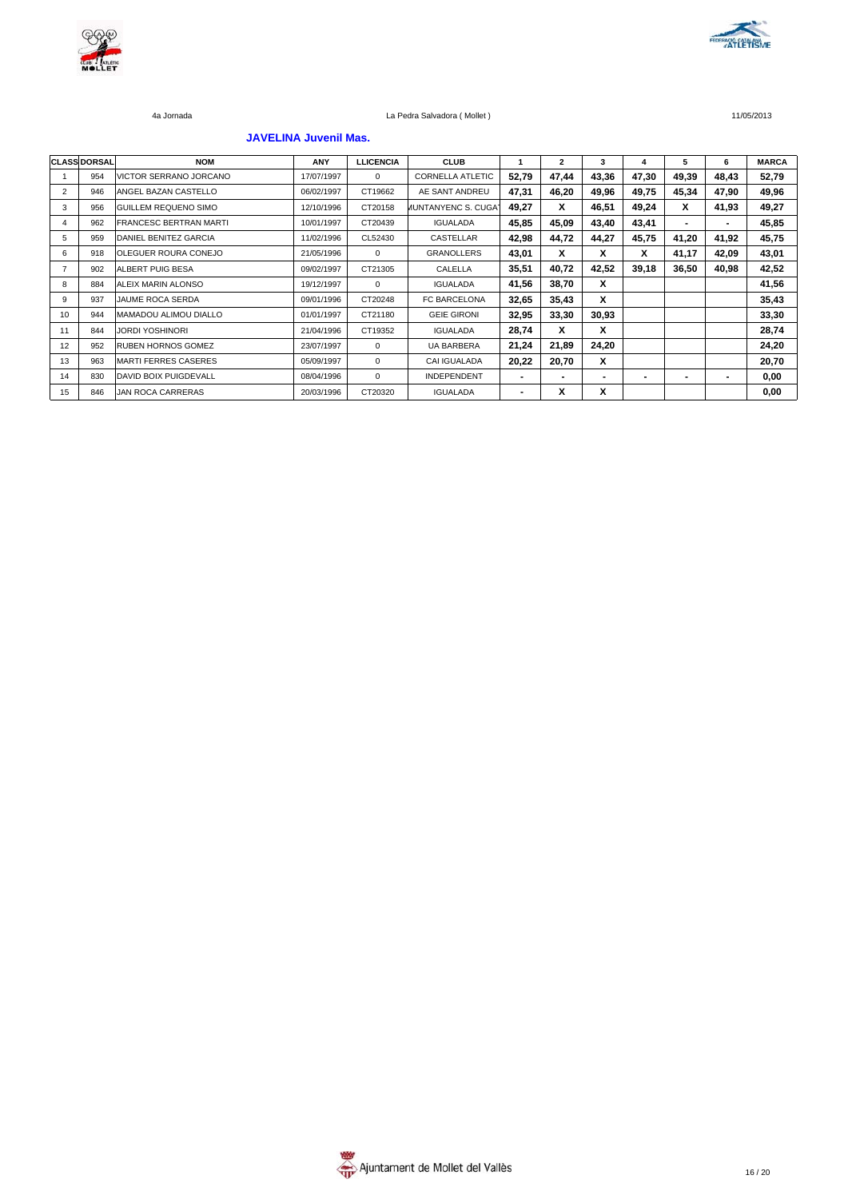



### **JAVELINA Juvenil Mas.**

|    | <b>CLASS DORSAL</b> | <b>NOM</b>                    | ANY        | <b>LLICENCIA</b> | <b>CLUB</b>                      |                          | $\overline{\mathbf{2}}$ | 3     | 4              | 5                        | 6     | <b>MARCA</b> |
|----|---------------------|-------------------------------|------------|------------------|----------------------------------|--------------------------|-------------------------|-------|----------------|--------------------------|-------|--------------|
|    | 954                 | VICTOR SERRANO JORCANO        | 17/07/1997 | $\Omega$         | <b>CORNELLA ATLETIC</b>          | 52,79                    | 47,44                   | 43,36 | 47,30          | 49,39                    | 48,43 | 52,79        |
| 2  | 946                 | ANGEL BAZAN CASTELLO          | 06/02/1997 | CT19662          | AE SANT ANDREU                   | 47,31                    | 46,20                   | 49,96 | 49,75          | 45,34                    | 47,90 | 49,96        |
| 3  | 956                 | <b>GUILLEM REQUENO SIMO</b>   | 12/10/1996 | CT20158          | <b><i>I</i>UNTANYENC S. CUGA</b> | 49,27                    | x                       | 46,51 | 49,24          | X                        | 41,93 | 49,27        |
| 4  | 962                 | <b>FRANCESC BERTRAN MARTI</b> | 10/01/1997 | CT20439          | <b>IGUALADA</b>                  | 45,85                    | 45,09                   | 43,40 | 43,41          | $\overline{\phantom{0}}$ | ۰     | 45,85        |
| 5  | 959                 | DANIEL BENITEZ GARCIA         | 11/02/1996 | CL52430          | CASTELLAR                        | 42,98                    | 44,72                   | 44,27 | 45,75          | 41,20                    | 41,92 | 45,75        |
| 6  | 918                 | <b>OLEGUER ROURA CONEJO</b>   | 21/05/1996 | $\Omega$         | <b>GRANOLLERS</b>                | 43,01                    | x                       | X     | x              | 41,17                    | 42,09 | 43,01        |
|    | 902                 | <b>ALBERT PUIG BESA</b>       | 09/02/1997 | CT21305          | CALELLA                          | 35,51                    | 40,72                   | 42,52 | 39,18          | 36,50                    | 40,98 | 42,52        |
| 8  | 884                 | <b>JALEIX MARIN ALONSO</b>    | 19/12/1997 | $\mathbf 0$      | <b>IGUALADA</b>                  | 41,56                    | 38,70                   | x     |                |                          |       | 41,56        |
| 9  | 937                 | JAUME ROCA SERDA              | 09/01/1996 | CT20248          | FC BARCELONA                     | 32,65                    | 35,43                   | x     |                |                          |       | 35,43        |
| 10 | 944                 | <b>MAMADOU ALIMOU DIALLO</b>  | 01/01/1997 | CT21180          | <b>GEIE GIRONI</b>               | 32,95                    | 33,30                   | 30,93 |                |                          |       | 33,30        |
| 11 | 844                 | JORDI YOSHINORI               | 21/04/1996 | CT19352          | <b>IGUALADA</b>                  | 28,74                    | x                       | X     |                |                          |       | 28,74        |
| 12 | 952                 | <b>RUBEN HORNOS GOMEZ</b>     | 23/07/1997 | $\mathbf 0$      | UA BARBERA                       | 21,24                    | 21,89                   | 24,20 |                |                          |       | 24,20        |
| 13 | 963                 | <b>MARTI FERRES CASERES</b>   | 05/09/1997 | $\Omega$         | <b>CAI IGUALADA</b>              | 20,22                    | 20,70                   | X     |                |                          |       | 20,70        |
| 14 | 830                 | DAVID BOIX PUIGDEVALL         | 08/04/1996 | $^{\circ}$       | <b>INDEPENDENT</b>               | $\overline{\phantom{0}}$ | -                       |       | $\blacksquare$ |                          |       | 0,00         |
| 15 | 846                 | JAN ROCA CARRERAS             | 20/03/1996 | CT20320          | <b>IGUALADA</b>                  | $\blacksquare$           | х                       | X     |                |                          |       | 0,00         |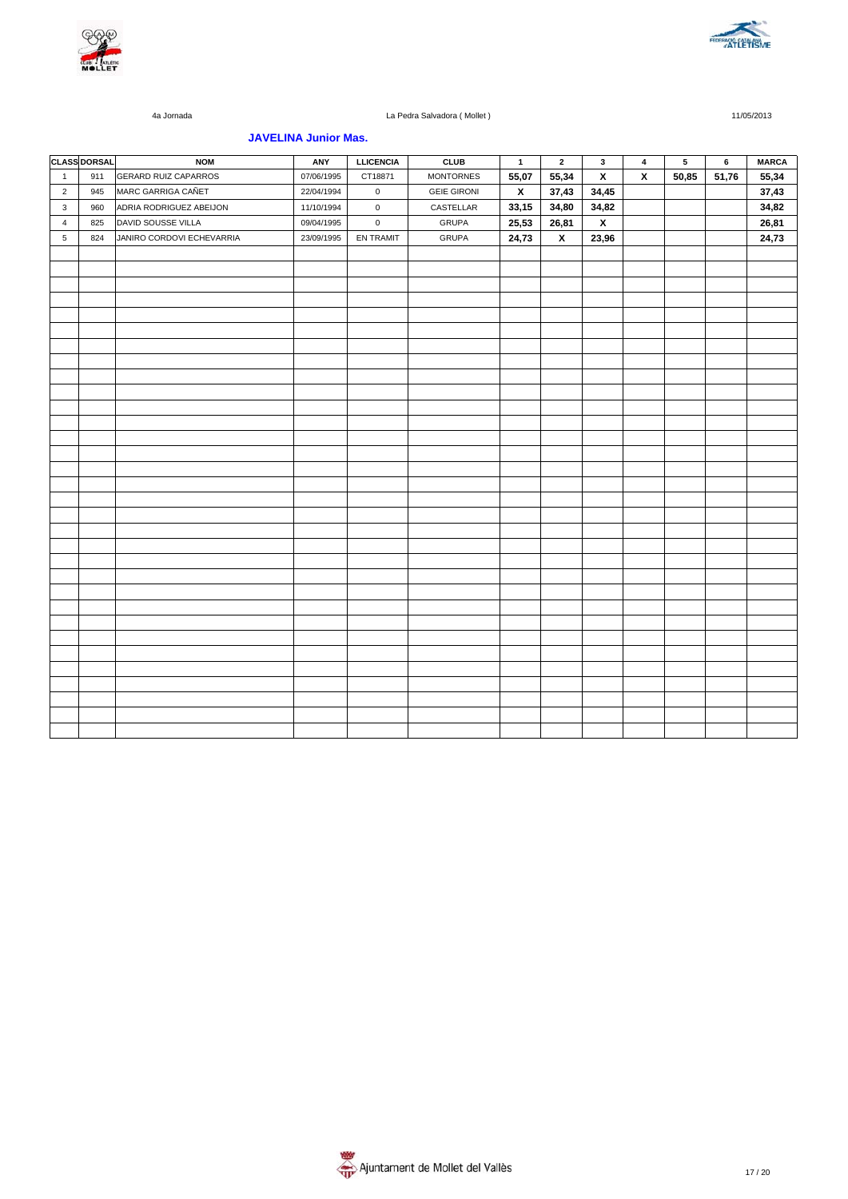



### **JAVELINA Junior Mas.**

|              | <b>CLASS DORSAL</b> | <b>NOM</b>                  | ANY        | <b>LLICENCIA</b> | <b>CLUB</b>        | $\overline{1}$     | $\overline{\mathbf{2}}$ | $\mathbf{3}$            | $\overline{\mathbf{4}}$ | $\sqrt{5}$ | $\bf 6$ | <b>MARCA</b> |
|--------------|---------------------|-----------------------------|------------|------------------|--------------------|--------------------|-------------------------|-------------------------|-------------------------|------------|---------|--------------|
| $\mathbf{1}$ | 911                 | <b>GERARD RUIZ CAPARROS</b> | 07/06/1995 | CT18871          | <b>MONTORNES</b>   | 55,07              | 55,34                   | $\overline{\mathbf{x}}$ | $\pmb{\chi}$            | 50,85      | 51,76   | 55,34        |
| $\sqrt{2}$   | 945                 | MARC GARRIGA CAÑET          | 22/04/1994 | $\mathbf 0$      | <b>GEIE GIRONI</b> | $\pmb{\mathsf{x}}$ | 37,43                   | 34,45                   |                         |            |         | 37,43        |
| 3            | 960                 | ADRIA RODRIGUEZ ABEIJON     | 11/10/1994 | $\mathbf 0$      | CASTELLAR          | 33,15              | 34,80                   | 34,82                   |                         |            |         | 34,82        |
| 4            | 825                 | DAVID SOUSSE VILLA          | 09/04/1995 | $\mathsf 0$      | <b>GRUPA</b>       | 25,53              | 26,81                   | $\overline{\mathbf{x}}$ |                         |            |         | 26,81        |
| $\,$ 5 $\,$  | 824                 | JANIRO CORDOVI ECHEVARRIA   | 23/09/1995 | EN TRAMIT        | <b>GRUPA</b>       | 24,73              | $\mathbf{x}$            | 23,96                   |                         |            |         | 24,73        |
|              |                     |                             |            |                  |                    |                    |                         |                         |                         |            |         |              |
|              |                     |                             |            |                  |                    |                    |                         |                         |                         |            |         |              |
|              |                     |                             |            |                  |                    |                    |                         |                         |                         |            |         |              |
|              |                     |                             |            |                  |                    |                    |                         |                         |                         |            |         |              |
|              |                     |                             |            |                  |                    |                    |                         |                         |                         |            |         |              |
|              |                     |                             |            |                  |                    |                    |                         |                         |                         |            |         |              |
|              |                     |                             |            |                  |                    |                    |                         |                         |                         |            |         |              |
|              |                     |                             |            |                  |                    |                    |                         |                         |                         |            |         |              |
|              |                     |                             |            |                  |                    |                    |                         |                         |                         |            |         |              |
|              |                     |                             |            |                  |                    |                    |                         |                         |                         |            |         |              |
|              |                     |                             |            |                  |                    |                    |                         |                         |                         |            |         |              |
|              |                     |                             |            |                  |                    |                    |                         |                         |                         |            |         |              |
|              |                     |                             |            |                  |                    |                    |                         |                         |                         |            |         |              |
|              |                     |                             |            |                  |                    |                    |                         |                         |                         |            |         |              |
|              |                     |                             |            |                  |                    |                    |                         |                         |                         |            |         |              |
|              |                     |                             |            |                  |                    |                    |                         |                         |                         |            |         |              |
|              |                     |                             |            |                  |                    |                    |                         |                         |                         |            |         |              |
|              |                     |                             |            |                  |                    |                    |                         |                         |                         |            |         |              |
|              |                     |                             |            |                  |                    |                    |                         |                         |                         |            |         |              |
|              |                     |                             |            |                  |                    |                    |                         |                         |                         |            |         |              |
|              |                     |                             |            |                  |                    |                    |                         |                         |                         |            |         |              |
|              |                     |                             |            |                  |                    |                    |                         |                         |                         |            |         |              |
|              |                     |                             |            |                  |                    |                    |                         |                         |                         |            |         |              |
|              |                     |                             |            |                  |                    |                    |                         |                         |                         |            |         |              |
|              |                     |                             |            |                  |                    |                    |                         |                         |                         |            |         |              |
|              |                     |                             |            |                  |                    |                    |                         |                         |                         |            |         |              |
|              |                     |                             |            |                  |                    |                    |                         |                         |                         |            |         |              |
|              |                     |                             |            |                  |                    |                    |                         |                         |                         |            |         |              |
|              |                     |                             |            |                  |                    |                    |                         |                         |                         |            |         |              |
|              |                     |                             |            |                  |                    |                    |                         |                         |                         |            |         |              |
|              |                     |                             |            |                  |                    |                    |                         |                         |                         |            |         |              |
|              |                     |                             |            |                  |                    |                    |                         |                         |                         |            |         |              |

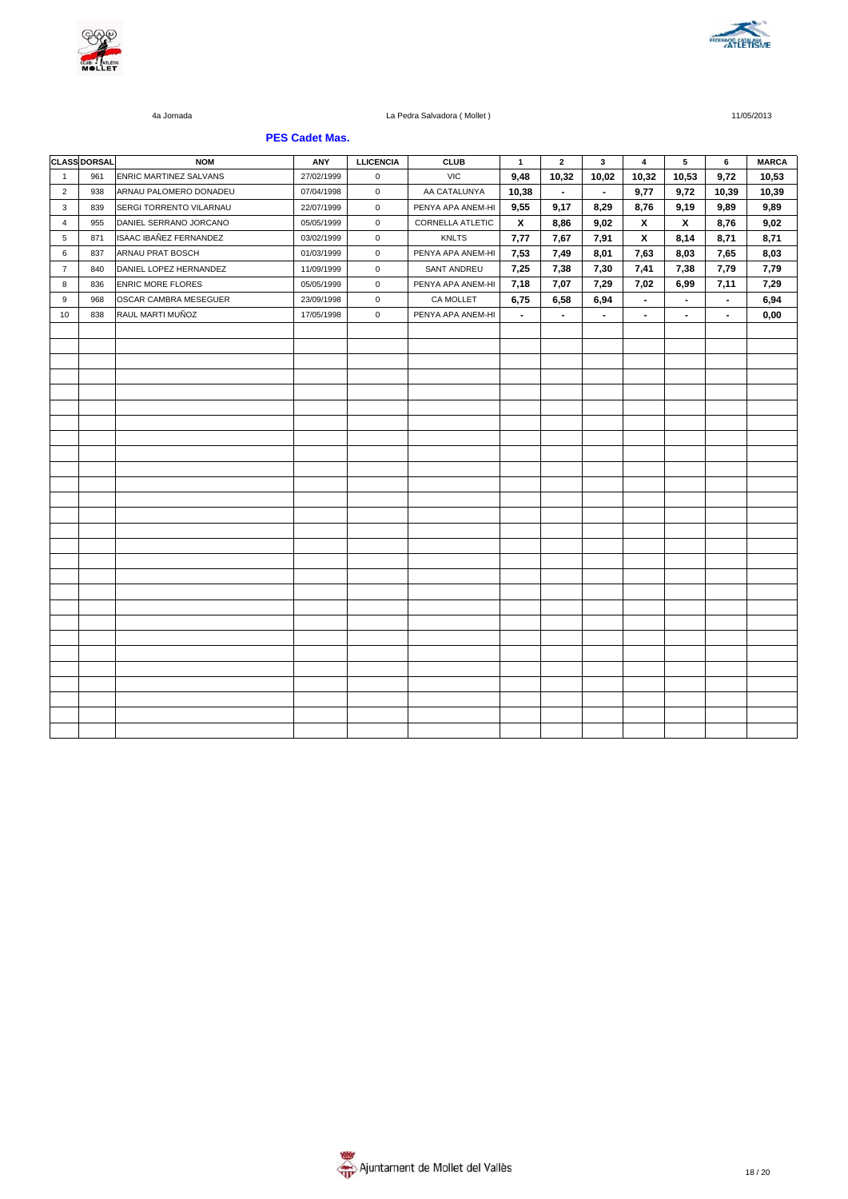



### **PES Cadet Mas.**

|                | <b>CLASS DORSAL</b> | <b>NOM</b>                     | ANY        | <b>LLICENCIA</b> | <b>CLUB</b>       | $\mathbf{1}$       | $\mathbf{2}$   | 3              | $\overline{\mathbf{4}}$   | 5                  | 6              | <b>MARCA</b> |
|----------------|---------------------|--------------------------------|------------|------------------|-------------------|--------------------|----------------|----------------|---------------------------|--------------------|----------------|--------------|
| $\overline{1}$ | 961                 | ENRIC MARTINEZ SALVANS         | 27/02/1999 | 0                | <b>VIC</b>        | 9,48               | 10,32          | 10,02          | 10,32                     | 10,53              | 9,72           | 10,53        |
| $\overline{2}$ | 938                 | ARNAU PALOMERO DONADEU         | 07/04/1998 | $\mathbf 0$      | AA CATALUNYA      | 10,38              | $\blacksquare$ | $\blacksquare$ | 9,77                      | 9,72               | 10,39          | 10,39        |
| 3              | 839                 | <b>SERGI TORRENTO VILARNAU</b> | 22/07/1999 | $\mathbf 0$      | PENYA APA ANEM-HI | 9,55               | 9,17           | 8,29           | 8,76                      | 9,19               | 9,89           | 9,89         |
| 4              | 955                 | DANIEL SERRANO JORCANO         | 05/05/1999 | $\mathsf 0$      | CORNELLA ATLETIC  | $\pmb{\mathsf{x}}$ | 8,86           | 9,02           | $\pmb{\chi}$              | $\pmb{\mathsf{x}}$ | 8,76           | 9,02         |
| 5              | 871                 | ISAAC IBAÑEZ FERNANDEZ         | 03/02/1999 | $\mathbf 0$      | <b>KNLTS</b>      | 7,77               | 7,67           | 7,91           | $\boldsymbol{\mathsf{x}}$ | 8,14               | 8,71           | 8,71         |
| 6              | 837                 | ARNAU PRAT BOSCH               | 01/03/1999 | $\mathsf 0$      | PENYA APA ANEM-HI | 7,53               | 7,49           | 8,01           | 7,63                      | 8,03               | 7,65           | 8,03         |
| $\overline{7}$ | 840                 | DANIEL LOPEZ HERNANDEZ         | 11/09/1999 | $\mathsf 0$      | SANT ANDREU       | 7,25               | 7,38           | 7,30           | 7,41                      | 7,38               | 7,79           | 7,79         |
| 8              | 836                 | <b>ENRIC MORE FLORES</b>       | 05/05/1999 | $\mathsf 0$      | PENYA APA ANEM-HI | 7,18               | 7,07           | 7,29           | 7,02                      | 6,99               | 7,11           | 7,29         |
| 9              | 968                 | OSCAR CAMBRA MESEGUER          | 23/09/1998 | $\mathbf 0$      | CA MOLLET         | 6,75               | 6,58           | 6,94           | $\blacksquare$            | $\blacksquare$     | $\blacksquare$ | 6,94         |
| 10             | 838                 | RAUL MARTI MUÑOZ               | 17/05/1998 | $\mathbf 0$      | PENYA APA ANEM-HI | $\blacksquare$     | $\blacksquare$ | $\blacksquare$ | $\blacksquare$            | $\blacksquare$     | $\blacksquare$ | 0,00         |
|                |                     |                                |            |                  |                   |                    |                |                |                           |                    |                |              |
|                |                     |                                |            |                  |                   |                    |                |                |                           |                    |                |              |
|                |                     |                                |            |                  |                   |                    |                |                |                           |                    |                |              |
|                |                     |                                |            |                  |                   |                    |                |                |                           |                    |                |              |
|                |                     |                                |            |                  |                   |                    |                |                |                           |                    |                |              |
|                |                     |                                |            |                  |                   |                    |                |                |                           |                    |                |              |
|                |                     |                                |            |                  |                   |                    |                |                |                           |                    |                |              |
|                |                     |                                |            |                  |                   |                    |                |                |                           |                    |                |              |
|                |                     |                                |            |                  |                   |                    |                |                |                           |                    |                |              |
|                |                     |                                |            |                  |                   |                    |                |                |                           |                    |                |              |
|                |                     |                                |            |                  |                   |                    |                |                |                           |                    |                |              |
|                |                     |                                |            |                  |                   |                    |                |                |                           |                    |                |              |
|                |                     |                                |            |                  |                   |                    |                |                |                           |                    |                |              |
|                |                     |                                |            |                  |                   |                    |                |                |                           |                    |                |              |
|                |                     |                                |            |                  |                   |                    |                |                |                           |                    |                |              |
|                |                     |                                |            |                  |                   |                    |                |                |                           |                    |                |              |
|                |                     |                                |            |                  |                   |                    |                |                |                           |                    |                |              |
|                |                     |                                |            |                  |                   |                    |                |                |                           |                    |                |              |
|                |                     |                                |            |                  |                   |                    |                |                |                           |                    |                |              |
|                |                     |                                |            |                  |                   |                    |                |                |                           |                    |                |              |
|                |                     |                                |            |                  |                   |                    |                |                |                           |                    |                |              |
|                |                     |                                |            |                  |                   |                    |                |                |                           |                    |                |              |
|                |                     |                                |            |                  |                   |                    |                |                |                           |                    |                |              |
|                |                     |                                |            |                  |                   |                    |                |                |                           |                    |                |              |
|                |                     |                                |            |                  |                   |                    |                |                |                           |                    |                |              |
|                |                     |                                |            |                  |                   |                    |                |                |                           |                    |                |              |
|                |                     |                                |            |                  |                   |                    |                |                |                           |                    |                |              |

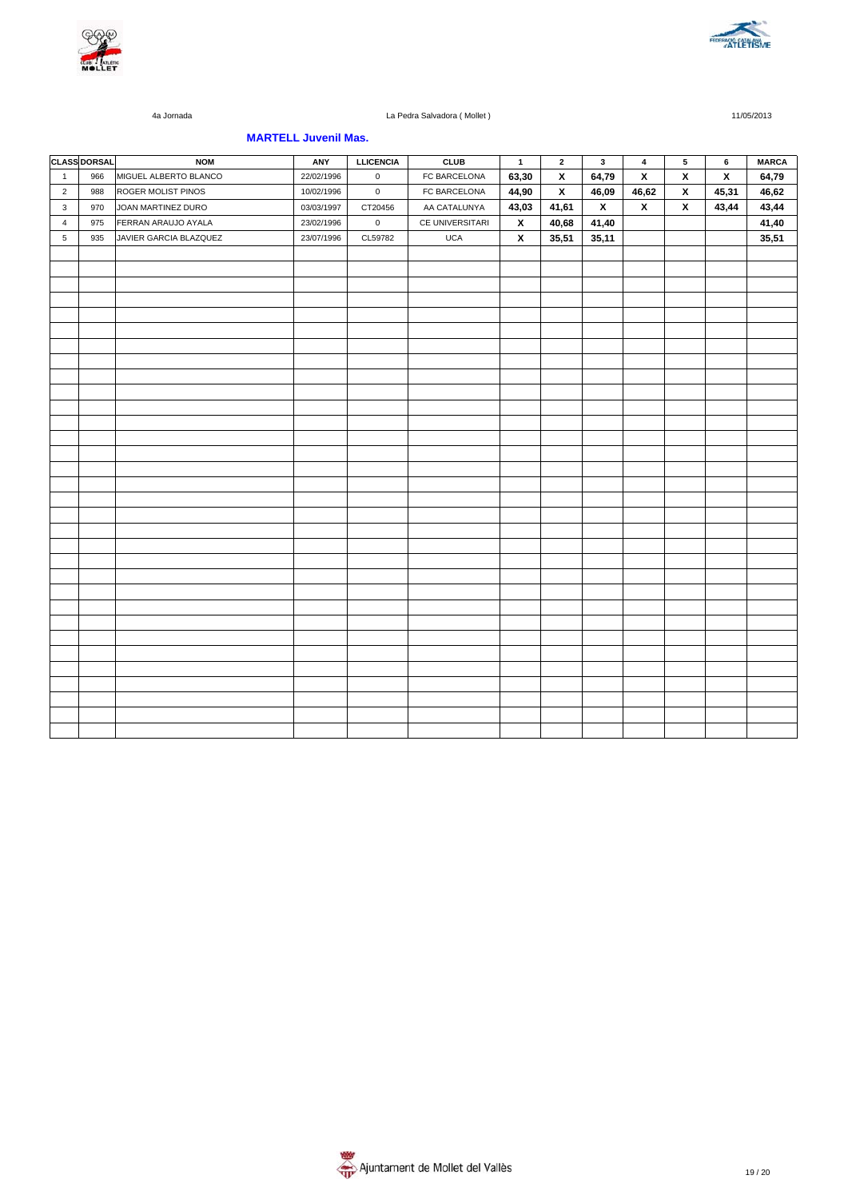



### **MARTELL Juvenil Mas.**

|                | <b>CLASS DORSAL</b> | <b>NOM</b>             | ANY        | <b>LLICENCIA</b> | <b>CLUB</b>     | $\overline{1}$     | $\mathbf{2}$            | $\mathbf{3}$            | $\overline{\mathbf{4}}$ | ${\bf 5}$               | 6                       | <b>MARCA</b> |
|----------------|---------------------|------------------------|------------|------------------|-----------------|--------------------|-------------------------|-------------------------|-------------------------|-------------------------|-------------------------|--------------|
| $\mathbf{1}$   | 966                 | MIGUEL ALBERTO BLANCO  | 22/02/1996 | $\mathbf 0$      | FC BARCELONA    | 63,30              | $\overline{\mathbf{x}}$ | 64,79                   | $\pmb{\chi}$            | $\overline{\mathbf{x}}$ | $\overline{\mathbf{x}}$ | 64,79        |
| $\overline{2}$ | 988                 | ROGER MOLIST PINOS     | 10/02/1996 | $\mathbf 0$      | FC BARCELONA    | 44,90              | $\pmb{\chi}$            | 46,09                   | 46,62                   | $\pmb{\chi}$            | 45,31                   | 46,62        |
| 3              | 970                 | JOAN MARTINEZ DURO     | 03/03/1997 | CT20456          | AA CATALUNYA    | 43,03              | 41,61                   | $\overline{\mathbf{x}}$ | $\pmb{\mathsf{x}}$      | $\mathbf{x}$            | 43,44                   | 43,44        |
| $\overline{4}$ | 975                 | FERRAN ARAUJO AYALA    | 23/02/1996 | $\mathsf 0$      | CE UNIVERSITARI | $\pmb{\mathsf{x}}$ | 40,68                   | 41,40                   |                         |                         |                         | 41,40        |
| 5              | 935                 | JAVIER GARCIA BLAZQUEZ | 23/07/1996 | CL59782          | <b>UCA</b>      | $\pmb{\chi}$       | 35,51                   | 35,11                   |                         |                         |                         | 35,51        |
|                |                     |                        |            |                  |                 |                    |                         |                         |                         |                         |                         |              |
|                |                     |                        |            |                  |                 |                    |                         |                         |                         |                         |                         |              |
|                |                     |                        |            |                  |                 |                    |                         |                         |                         |                         |                         |              |
|                |                     |                        |            |                  |                 |                    |                         |                         |                         |                         |                         |              |
|                |                     |                        |            |                  |                 |                    |                         |                         |                         |                         |                         |              |
|                |                     |                        |            |                  |                 |                    |                         |                         |                         |                         |                         |              |
|                |                     |                        |            |                  |                 |                    |                         |                         |                         |                         |                         |              |
|                |                     |                        |            |                  |                 |                    |                         |                         |                         |                         |                         |              |
|                |                     |                        |            |                  |                 |                    |                         |                         |                         |                         |                         |              |
|                |                     |                        |            |                  |                 |                    |                         |                         |                         |                         |                         |              |
|                |                     |                        |            |                  |                 |                    |                         |                         |                         |                         |                         |              |
|                |                     |                        |            |                  |                 |                    |                         |                         |                         |                         |                         |              |
|                |                     |                        |            |                  |                 |                    |                         |                         |                         |                         |                         |              |
|                |                     |                        |            |                  |                 |                    |                         |                         |                         |                         |                         |              |
|                |                     |                        |            |                  |                 |                    |                         |                         |                         |                         |                         |              |
|                |                     |                        |            |                  |                 |                    |                         |                         |                         |                         |                         |              |
|                |                     |                        |            |                  |                 |                    |                         |                         |                         |                         |                         |              |
|                |                     |                        |            |                  |                 |                    |                         |                         |                         |                         |                         |              |
|                |                     |                        |            |                  |                 |                    |                         |                         |                         |                         |                         |              |
|                |                     |                        |            |                  |                 |                    |                         |                         |                         |                         |                         |              |
|                |                     |                        |            |                  |                 |                    |                         |                         |                         |                         |                         |              |
|                |                     |                        |            |                  |                 |                    |                         |                         |                         |                         |                         |              |
|                |                     |                        |            |                  |                 |                    |                         |                         |                         |                         |                         |              |
|                |                     |                        |            |                  |                 |                    |                         |                         |                         |                         |                         |              |
|                |                     |                        |            |                  |                 |                    |                         |                         |                         |                         |                         |              |
|                |                     |                        |            |                  |                 |                    |                         |                         |                         |                         |                         |              |
|                |                     |                        |            |                  |                 |                    |                         |                         |                         |                         |                         |              |
|                |                     |                        |            |                  |                 |                    |                         |                         |                         |                         |                         |              |
|                |                     |                        |            |                  |                 |                    |                         |                         |                         |                         |                         |              |
|                |                     |                        |            |                  |                 |                    |                         |                         |                         |                         |                         |              |
|                |                     |                        |            |                  |                 |                    |                         |                         |                         |                         |                         |              |
|                |                     |                        |            |                  |                 |                    |                         |                         |                         |                         |                         |              |

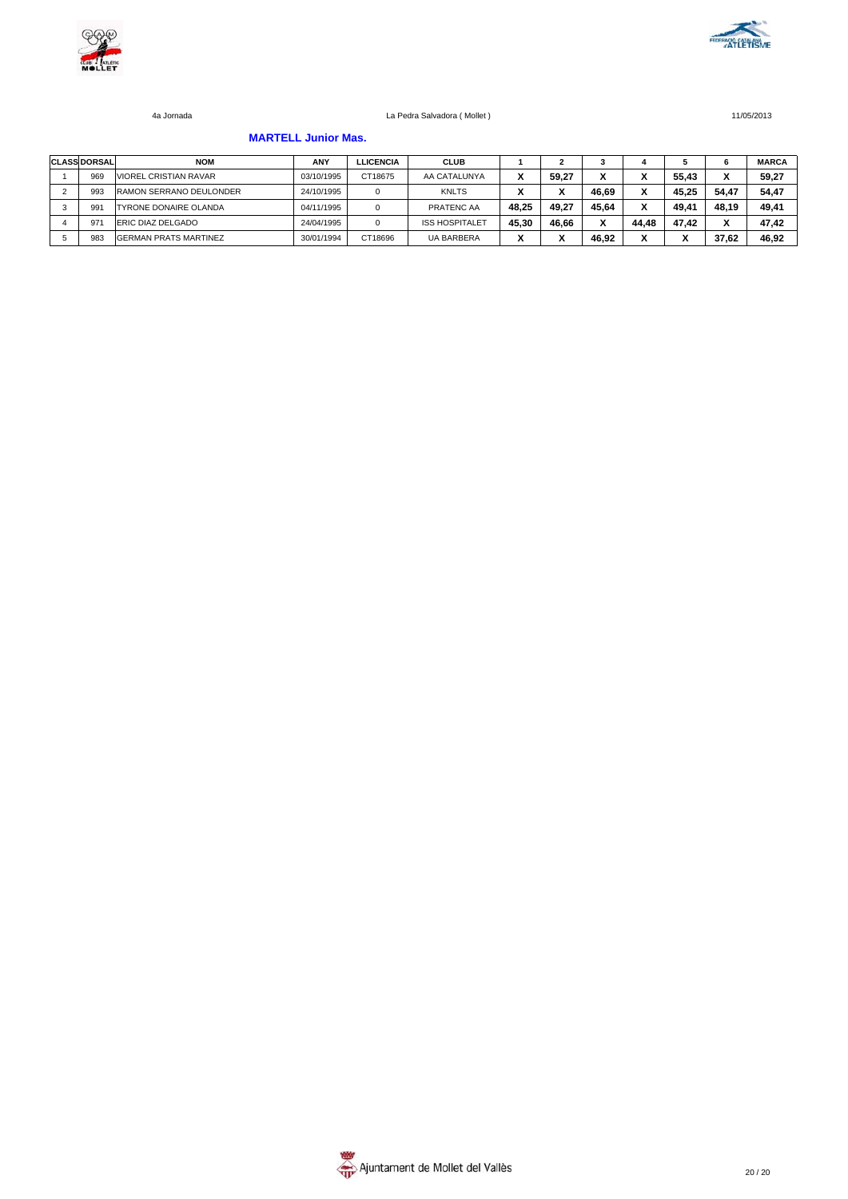



#### **MARTELL Junior Mas.**

| <b>CLASS DORSAL</b> | <b>NOM</b>                   | ANY        | <b>LLICENCIA</b> | <b>CLUB</b>           |       |       |       |       |                      |                          | <b>MARCA</b> |
|---------------------|------------------------------|------------|------------------|-----------------------|-------|-------|-------|-------|----------------------|--------------------------|--------------|
| 969                 | <b>VIOREL CRISTIAN RAVAR</b> | 03/10/1995 | CT18675          | AA CATALUNYA          |       | 59.27 |       |       | 55.43                | ٠.                       | 59.27        |
| 993                 | RAMON SERRANO DEULONDER      | 24/10/1995 | 0                | <b>KNLTS</b>          |       |       | 46.69 |       | 45.25                | 54.47                    | 54.47        |
| 991                 | <b>TYRONE DONAIRE OLANDA</b> | 04/11/1995 | 0                | PRATENC AA            | 48.25 | 49.27 | 45.64 |       | 49.41                | 48.19                    | 49.41        |
| 97                  | <b>ERIC DIAZ DELGADO</b>     | 24/04/1995 | 0                | <b>ISS HOSPITALET</b> | 45.30 | 46.66 |       | 44.48 | 47.42                | $\overline{\phantom{a}}$ | 47.42        |
| 983                 | <b>GERMAN PRATS MARTINEZ</b> | 30/01/1994 | CT18696          | <b>UA BARBERA</b>     |       |       | 46.92 | v     | $\ddot{\phantom{0}}$ | 37.62                    | 46.92        |

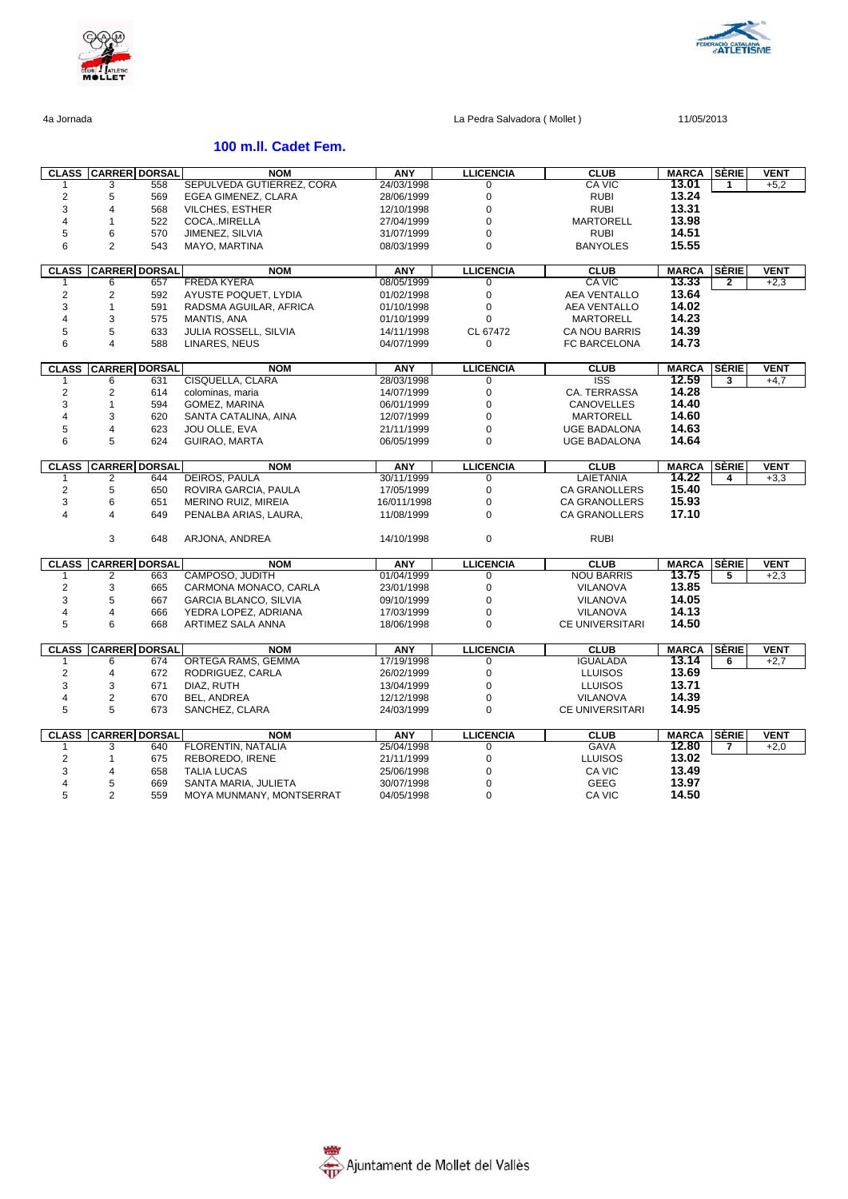



# **100 m.ll. Cadet Fem.**

|                | <b>CLASS CARRER DORSAL</b> |     | <b>NOM</b>                 | ANY         | <b>LLICENCIA</b> | <b>CLUB</b>            | <b>MARCA</b>          | <b>SERIE</b> | <b>VENT</b> |
|----------------|----------------------------|-----|----------------------------|-------------|------------------|------------------------|-----------------------|--------------|-------------|
|                | 3                          | 558 | SEPULVEDA GUTIERREZ, CORA  | 24/03/1998  | 0                | CA VIC                 | 13.01                 | 1            | $+5,2$      |
| $\overline{2}$ | 5                          | 569 | EGEA GIMENEZ, CLARA        | 28/06/1999  | 0                | <b>RUBI</b>            | 13.24                 |              |             |
| 3              | 4                          | 568 | <b>VILCHES, ESTHER</b>     | 12/10/1998  | 0                | <b>RUBI</b>            | 13.31                 |              |             |
| 4              | 1                          | 522 | COCA, MIRELLA              | 27/04/1999  | 0                | <b>MARTORELL</b>       | 13.98                 |              |             |
| 5              | 6                          | 570 | JIMENEZ, SILVIA            | 31/07/1999  | 0                | <b>RUBI</b>            | 14.51                 |              |             |
| 6              | $\overline{2}$             | 543 | MAYO, MARTINA              | 08/03/1999  | 0                | <b>BANYOLES</b>        | 15.55                 |              |             |
|                |                            |     |                            |             |                  |                        |                       |              |             |
| <b>CLASS</b>   | <b>CARRER DORSAL</b>       |     | <b>NOM</b>                 | <b>ANY</b>  | <b>LLICENCIA</b> | <b>CLUB</b>            | <b>MARCA</b>          | <b>SERIE</b> | <b>VENT</b> |
|                | 6                          | 657 | <b>FREDA KYERA</b>         | 08/05/1999  | 0                | <b>CA VIC</b>          | 13.33                 | 2            | $+2,3$      |
| $\overline{2}$ | 2                          | 592 | AYUSTE POQUET, LYDIA       | 01/02/1998  | $\mathbf 0$      | <b>AEA VENTALLO</b>    | 13.64                 |              |             |
| 3              | $\mathbf{1}$               | 591 | RADSMA AGUILAR, AFRICA     | 01/10/1998  | 0                | <b>AEA VENTALLO</b>    | 14.02                 |              |             |
| $\overline{4}$ | 3                          | 575 | MANTIS, ANA                | 01/10/1999  | $\Omega$         | <b>MARTORELL</b>       | 14.23                 |              |             |
| 5              | 5                          | 633 | JULIA ROSSELL, SILVIA      | 14/11/1998  | CL 67472         | <b>CA NOU BARRIS</b>   | 14.39                 |              |             |
| 6              | 4                          | 588 | LINARES, NEUS              | 04/07/1999  | $\Omega$         | FC BARCELONA           | 14.73                 |              |             |
|                |                            |     |                            |             |                  |                        |                       |              |             |
|                | <b>CLASS CARRER DORSAL</b> |     | <b>NOM</b>                 | <b>ANY</b>  | <b>LLICENCIA</b> | <b>CLUB</b>            | <b>MARCA</b>          | <b>SERIE</b> | VENT        |
|                | 6                          | 631 | CISQUELLA, CLARA           | 28/03/1998  | 0                | <b>ISS</b>             | 12.59                 | 3            | $+4,7$      |
| $\overline{2}$ | $\overline{\mathbf{c}}$    | 614 | colominas, maria           | 14/07/1999  | 0                | CA. TERRASSA           | 14.28                 |              |             |
| 3              | 1                          | 594 | GOMEZ, MARINA              | 06/01/1999  | 0                | <b>CANOVELLES</b>      | 14.40                 |              |             |
| 4              | 3                          | 620 | SANTA CATALINA, AINA       | 12/07/1999  | 0                | <b>MARTORELL</b>       | 14.60                 |              |             |
| 5              | 4                          | 623 | JOU OLLE, EVA              | 21/11/1999  | 0                | <b>UGE BADALONA</b>    | 14.63                 |              |             |
| 6              | 5                          | 624 | GUIRAO, MARTA              | 06/05/1999  | 0                | UGE BADALONA           | 14.64                 |              |             |
|                |                            |     |                            |             |                  |                        |                       |              |             |
| <b>CLASS</b>   | <b>CARRER DORSAL</b>       |     | <b>NOM</b>                 | ANY         | <b>LLICENCIA</b> | <b>CLUB</b>            | <b>MARCA</b>          | <b>SÈRIE</b> | VENT        |
|                | 2                          | 644 | <b>DEIROS, PAULA</b>       | 30/11/1999  | 0                | <b>LAIETANIA</b>       | 14.22                 | 4            | $+3,3$      |
| $\overline{2}$ | 5                          | 650 | ROVIRA GARCIA, PAULA       | 17/05/1999  | $\mathbf 0$      | <b>CA GRANOLLERS</b>   | 15.40                 |              |             |
| 3              | 6                          | 651 | <b>MERINO RUIZ, MIREIA</b> | 16/011/1998 | 0                | <b>CA GRANOLLERS</b>   | 15.93                 |              |             |
| $\overline{4}$ | 4                          | 649 | PENALBA ARIAS, LAURA,      | 11/08/1999  | 0                | <b>CA GRANOLLERS</b>   | 17.10                 |              |             |
|                |                            |     |                            |             |                  |                        |                       |              |             |
|                | 3                          | 648 | ARJONA, ANDREA             | 14/10/1998  | 0                | <b>RUBI</b>            |                       |              |             |
|                |                            |     |                            |             |                  |                        |                       |              |             |
| <b>CLASS</b>   | <b>CARRER DORSAL</b>       |     | <b>NOM</b>                 | <b>ANY</b>  | <b>LLICENCIA</b> | <b>CLUB</b>            | <b>MARCA</b>          | <b>SÈRIE</b> | <b>VENT</b> |
|                | 2                          | 663 | CAMPOSO, JUDITH            | 01/04/1999  | 0                | <b>NOU BARRIS</b>      | 13.75                 | 5            | $+2.3$      |
| $\overline{2}$ | 3                          | 665 | CARMONA MONACO, CARLA      | 23/01/1998  | 0                | VILANOVA               | 13.85                 |              |             |
| 3              | 5                          | 667 | GARCIA BLANCO, SILVIA      | 09/10/1999  | 0                | VILANOVA               | 14.05                 |              |             |
| 4              | 4                          | 666 | YEDRA LOPEZ, ADRIANA       | 17/03/1999  | 0                | <b>VILANOVA</b>        | 14.13                 |              |             |
| 5              | 6                          | 668 | ARTIMEZ SALA ANNA          | 18/06/1998  | 0                | <b>CE UNIVERSITARI</b> | 14.50                 |              |             |
|                |                            |     |                            |             |                  |                        |                       |              |             |
| <b>CLASS</b>   | <b>CARRER DORSAL</b>       |     | <b>NOM</b>                 | <b>ANY</b>  | <b>LLICENCIA</b> | <b>CLUB</b>            | <b>MARCA</b>          | SÈRIE        | <b>VENT</b> |
|                | 6                          | 674 | ORTEGA RAMS, GEMMA         | 17/19/1998  | 0                | <b>IGUALADA</b>        | 13.14                 | 6            | $+2,7$      |
| 2              | 4                          | 672 | RODRIGUEZ, CARLA           | 26/02/1999  | 0                | <b>LLUISOS</b>         | 13.69                 |              |             |
| 3              | 3                          | 671 | DIAZ, RUTH                 | 13/04/1999  | 0                | <b>LLUISOS</b>         | 13.71                 |              |             |
| 4              | 2                          | 670 | BEL, ANDREA                | 12/12/1998  | 0                | <b>VILANOVA</b>        | 14.39                 |              |             |
| 5              | 5                          | 673 | SANCHEZ, CLARA             | 24/03/1999  | $\mathbf 0$      | <b>CE UNIVERSITARI</b> | 14.95                 |              |             |
|                |                            |     |                            |             |                  |                        |                       |              |             |
| <b>CLASS</b>   | <b>CARRER DORSAL</b>       |     | <b>NOM</b>                 | <b>ANY</b>  | <b>LLICENCIA</b> | <b>CLUB</b>            | <b>MARCA</b><br>12.80 | SÈRIE<br>7   | <b>VENT</b> |
|                | 3                          | 640 | FLORENTIN, NATALIA         | 25/04/1998  | 0                | GAVA                   | 13.02                 |              | $+2,0$      |
| 2              | $\mathbf{1}$               | 675 | REBOREDO, IRENE            | 21/11/1999  | 0                | <b>LLUISOS</b>         |                       |              |             |
| 3              | 4                          | 658 | <b>TALIA LUCAS</b>         | 25/06/1998  | 0                | CA VIC                 | 13.49                 |              |             |
| $\overline{4}$ | 5                          | 669 | SANTA MARIA, JULIETA       | 30/07/1998  | 0                | <b>GEEG</b>            | 13.97                 |              |             |
| 5              | $\overline{2}$             | 559 | MOYA MUNMANY, MONTSERRAT   | 04/05/1998  | 0                | CA VIC                 | 14.50                 |              |             |

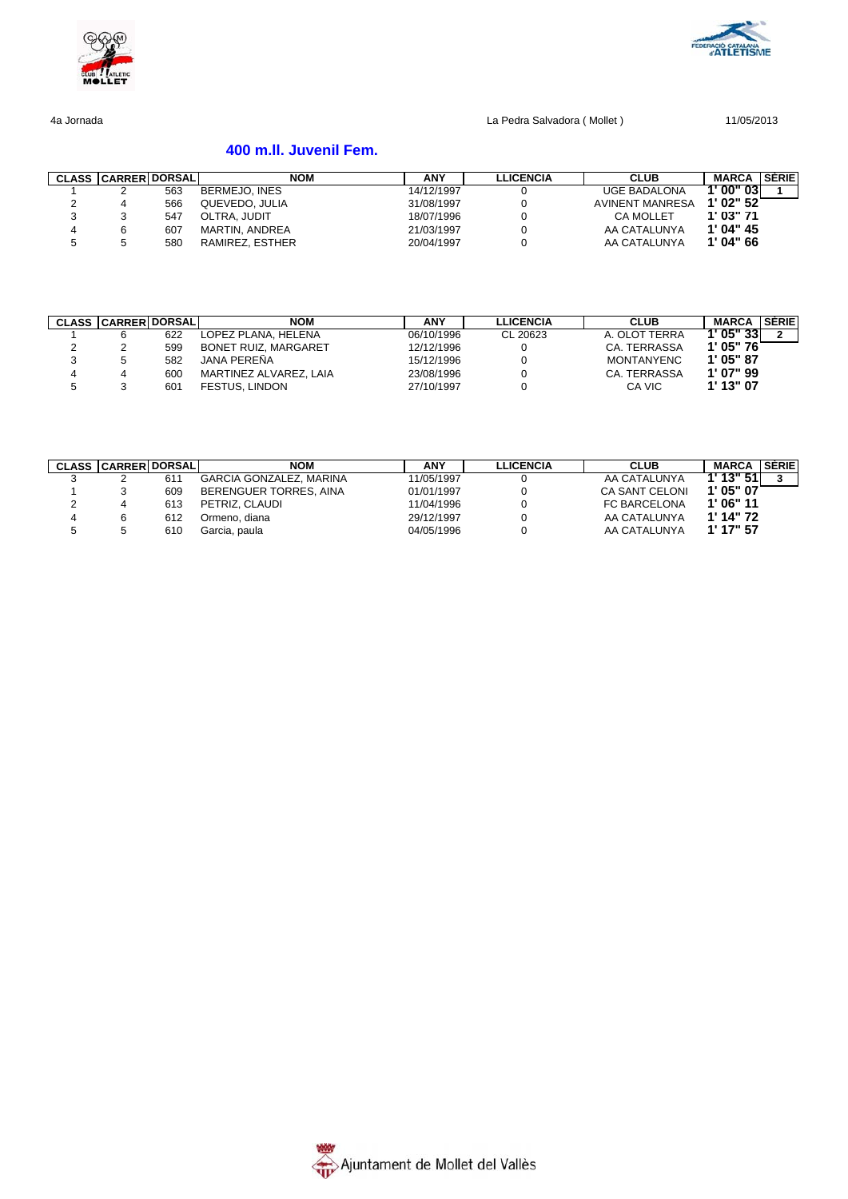



# **400 m.ll. Juvenil Fem.**

| <b>CLASS CARRER DORSAL</b> |     | <b>NOM</b>      | <b>ANY</b> | <b>LLICENCIA</b> | <b>CLUB</b>            | <b>MARCA</b> | <b>SERIE</b> |
|----------------------------|-----|-----------------|------------|------------------|------------------------|--------------|--------------|
|                            | 563 | BERMEJO, INES   | 14/12/1997 |                  | <b>UGE BADALONA</b>    | T 00" 03 I   |              |
|                            | 566 | QUEVEDO, JULIA  | 31/08/1997 |                  | <b>AVINENT MANRESA</b> | 1'02"52      |              |
|                            | 547 | OLTRA, JUDIT    | 18/07/1996 |                  | <b>CA MOLLET</b>       | $1'$ 03" 71  |              |
|                            | 607 | MARTIN. ANDREA  | 21/03/1997 |                  | AA CATALUNYA           | 1'04''45     |              |
|                            | 580 | RAMIREZ, ESTHER | 20/04/1997 |                  | AA CATALUNYA           | 1'04"66      |              |

|   | <b>CLASS CARRER DORSAL</b> |     | <b>NOM</b>                  | <b>ANY</b> | LLICENCIA | <b>CLUB</b>       | <b>MARCA</b> | <b>SÉRIE</b> |
|---|----------------------------|-----|-----------------------------|------------|-----------|-------------------|--------------|--------------|
|   |                            | 622 | LOPEZ PLANA. HELENA         | 06/10/1996 | CL 20623  | A. OLOT TERRA     | 1' 05" 331   |              |
|   |                            | 599 | <b>BONET RUIZ, MARGARET</b> | 12/12/1996 |           | CA. TERRASSA      | 1'05"76      |              |
|   |                            | 582 | <b>JANA PERENA</b>          | 15/12/1996 |           | <b>MONTANYENC</b> | 1'05"87      |              |
| 4 |                            | 600 | MARTINEZ ALVAREZ, LAIA      | 23/08/1996 |           | CA. TERRASSA      | 1' 07" 99    |              |
|   |                            | 601 | <b>FESTUS, LINDON</b>       | 27/10/1997 |           | CA VIC            | 1' 13" 07    |              |

|   | <b>CLASS CARRER DORSAL</b> |     | <b>NOM</b>                     | <b>ANY</b> | <b>LLICENCIA</b> | <b>CLUB</b>           | <b>MARCA</b> | <b>SÉRIE</b> |
|---|----------------------------|-----|--------------------------------|------------|------------------|-----------------------|--------------|--------------|
|   |                            | 611 | <b>GARCIA GONZALEZ, MARINA</b> | 11/05/1997 |                  | AA CATALUNYA          | 1' 13" 51    |              |
|   |                            | 609 | BERENGUER TORRES, AINA         | 01/01/1997 |                  | <b>CA SANT CELONI</b> | 1'05"07      |              |
|   |                            | 613 | PETRIZ, CLAUDI                 | 11/04/1996 |                  | FC BARCELONA          | 1'06"11      |              |
| 4 |                            | 612 | Ormeno, diana                  | 29/12/1997 |                  | AA CATALUNYA          | $1'$ 14" 72  |              |
| 5 |                            | 610 | Garcia, paula                  | 04/05/1996 |                  | AA CATALUNYA          | 1' 17" 57    |              |

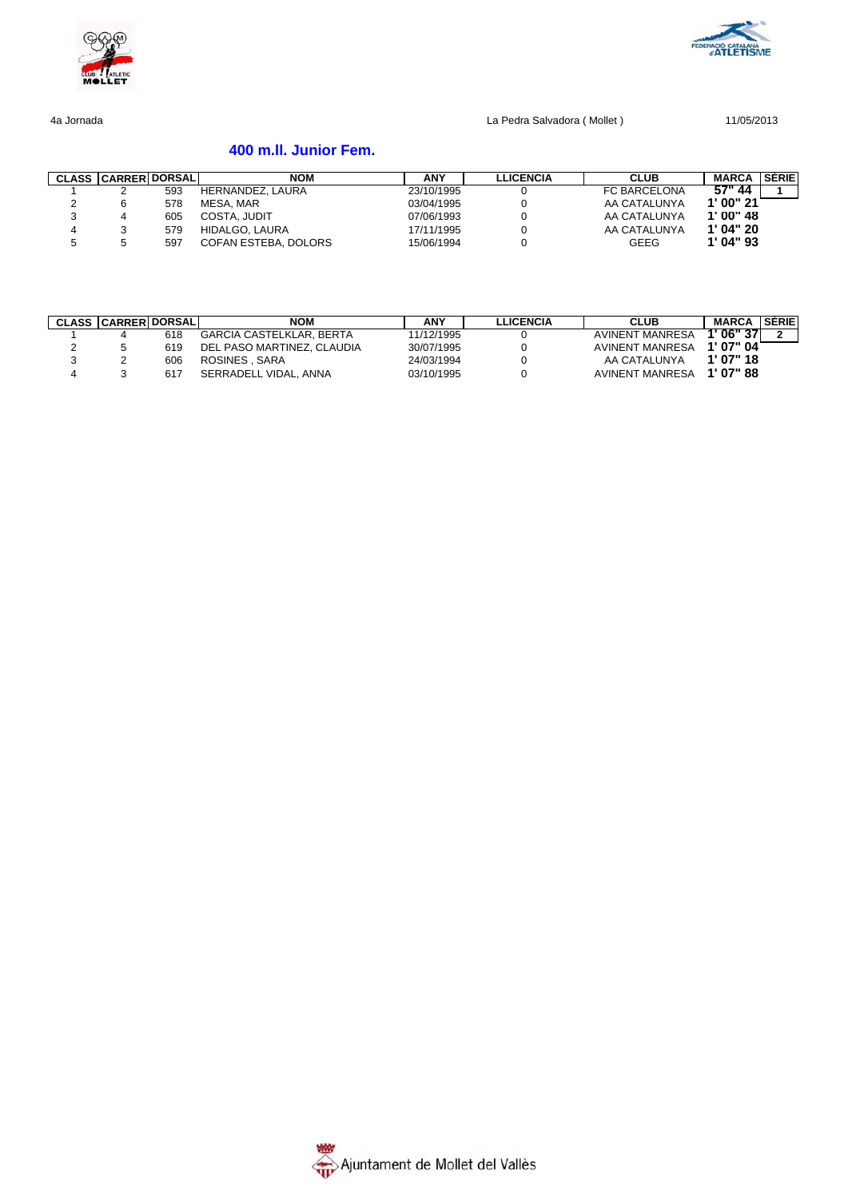



# **400 m.ll. Junior Fem.**

|   | <b>CLASS CARRER DORSAL</b> |     | <b>NOM</b>           | ANY        | LLICENCIA | <b>CLUB</b>         | <b>MARCA</b> | <b>SÉRIE</b> |
|---|----------------------------|-----|----------------------|------------|-----------|---------------------|--------------|--------------|
|   |                            | 593 | HERNANDEZ, LAURA     | 23/10/1995 |           | <b>FC BARCELONA</b> | 57" 44       |              |
|   |                            | 578 | MESA, MAR            | 03/04/1995 |           | AA CATALUNYA        | 1'00''21     |              |
|   |                            | 605 | COSTA, JUDIT         | 07/06/1993 |           | AA CATALUNYA        | 1'00''48     |              |
|   |                            | 579 | HIDALGO, LAURA       | 17/11/1995 |           | AA CATALUNYA        | 1'04''20     |              |
| G |                            | 597 | COFAN ESTEBA, DOLORS | 15/06/1994 |           | <b>GEEG</b>         | $1'$ 04" 93  |              |

| <b>CLASS CARRERI DORSALI</b> |     | <b>NOM</b>                      | <b>ANY</b> | LLICENCIA | <b>CLUB</b>     | <b>MARCA</b> | <b>SERIE</b> |
|------------------------------|-----|---------------------------------|------------|-----------|-----------------|--------------|--------------|
|                              | 618 | <b>GARCIA CASTELKLAR, BERTA</b> | 11/12/1995 |           | AVINENT MANRESA | 1'06"37      | $\sim$       |
|                              | 619 | DEL PASO MARTINEZ. CLAUDIA      | 30/07/1995 |           | AVINENT MANRESA | 1'07"04      |              |
|                              | 606 | ROSINES . SARA                  | 24/03/1994 |           | AA CATALUNYA    | 1'07"18      |              |
|                              | 617 | SERRADELL VIDAL, ANNA           | 03/10/1995 |           | AVINENT MANRESA | 1'07"88      |              |

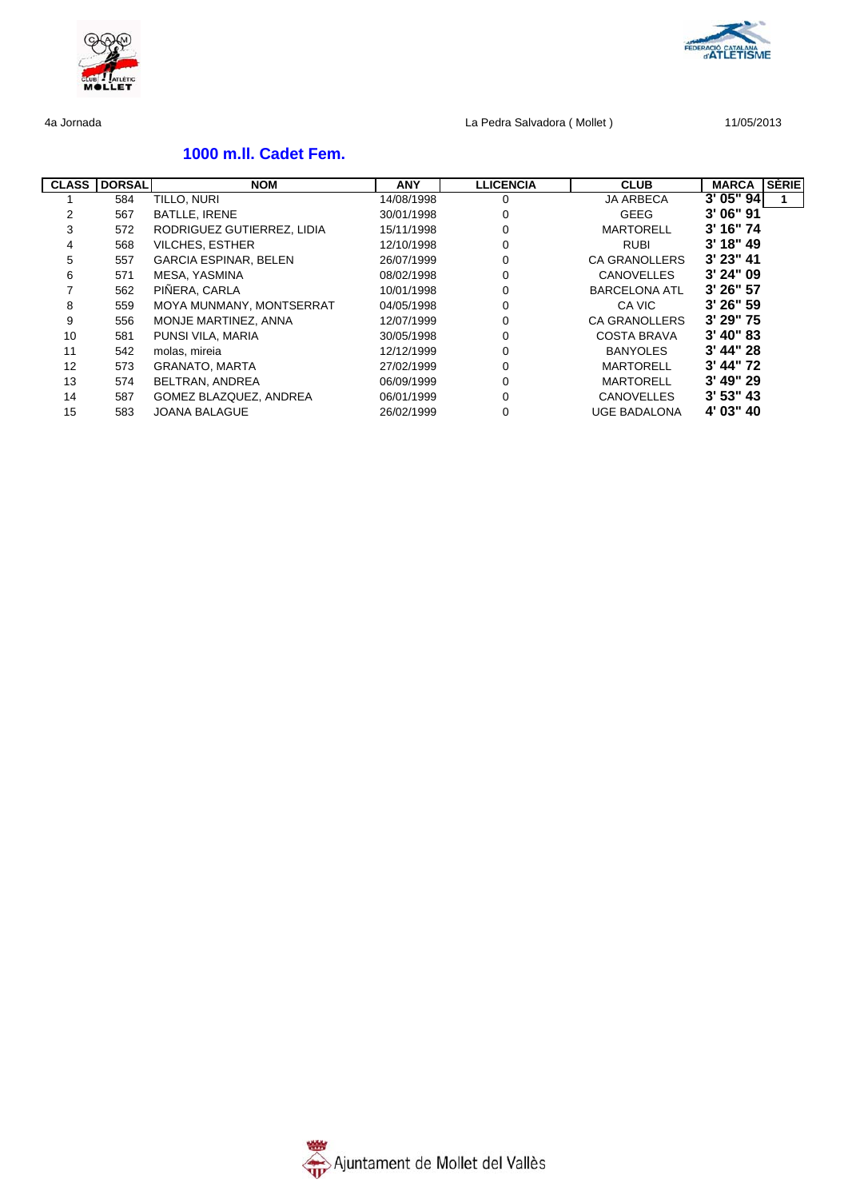

# **1000 m.ll. Cadet Fem.**

| <b>CLASS</b> | <b>DORSAL</b> | <b>NOM</b>                   | <b>ANY</b> | <b>LLICENCIA</b> | <b>CLUB</b>          | <b>SERIEI</b><br><b>MARCA</b> |
|--------------|---------------|------------------------------|------------|------------------|----------------------|-------------------------------|
|              | 584           | TILLO, NURI                  | 14/08/1998 | 0                | <b>JA ARBECA</b>     | 3'05''94                      |
| 2            | 567           | <b>BATLLE, IRENE</b>         | 30/01/1998 | 0                | GEEG                 | 3' 06" 91                     |
| 3            | 572           | RODRIGUEZ GUTIERREZ, LIDIA   | 15/11/1998 | 0                | <b>MARTORELL</b>     | $3'$ 16" 74                   |
| 4            | 568           | <b>VILCHES, ESTHER</b>       | 12/10/1998 | 0                | <b>RUBI</b>          | $3'$ 18" 49                   |
| 5            | 557           | <b>GARCIA ESPINAR, BELEN</b> | 26/07/1999 | $\Omega$         | <b>CA GRANOLLERS</b> | $3'$ 23" 41                   |
| 6            | 571           | MESA, YASMINA                | 08/02/1998 | 0                | <b>CANOVELLES</b>    | $3'$ 24" 09                   |
|              | 562           | PIÑERA, CARLA                | 10/01/1998 | 0                | <b>BARCELONA ATL</b> | 3' 26" 57                     |
| 8            | 559           | MOYA MUNMANY, MONTSERRAT     | 04/05/1998 | 0                | CA VIC               | $3'$ 26" 59                   |
| 9            | 556           | MONJE MARTINEZ, ANNA         | 12/07/1999 | 0                | <b>CA GRANOLLERS</b> | $3'$ 29" 75                   |
| 10           | 581           | PUNSI VILA, MARIA            | 30/05/1998 | 0                | COSTA BRAVA          | $3'$ 40" 83                   |
| 11           | 542           | molas, mireia                | 12/12/1999 | 0                | <b>BANYOLES</b>      | $3'$ 44" 28                   |
| 12           | 573           | GRANATO, MARTA               | 27/02/1999 | 0                | <b>MARTORELL</b>     | $3'$ 44" 72                   |
| 13           | 574           | BELTRAN, ANDREA              | 06/09/1999 | 0                | <b>MARTORELL</b>     | $3'$ 49" 29                   |
| 14           | 587           | GOMEZ BLAZQUEZ, ANDREA       | 06/01/1999 | $\Omega$         | <b>CANOVELLES</b>    | $3'$ 53" 43                   |
| 15           | 583           | <b>JOANA BALAGUE</b>         | 26/02/1999 | 0                | <b>UGE BADALONA</b>  | 4' 03" 40                     |

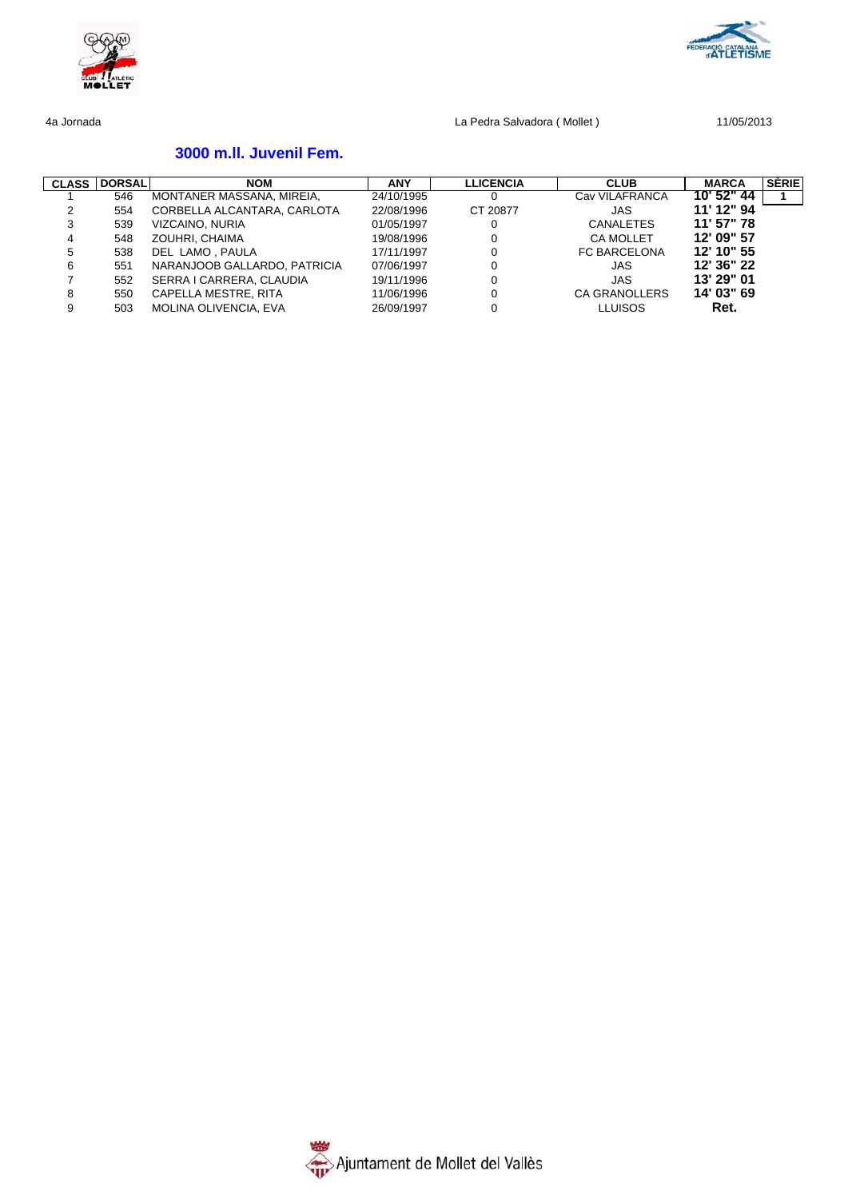



# **3000 m.ll. Juvenil Fem.**

| <b>CLASS</b> | <b>DORSAL</b> | <b>NOM</b>                   | <b>ANY</b> | <b>LLICENCIA</b> | <b>CLUB</b>      | <b>MARCA</b> | SERIE |
|--------------|---------------|------------------------------|------------|------------------|------------------|--------------|-------|
|              | 546           | MONTANER MASSANA, MIREIA,    | 24/10/1995 |                  | Cav VILAFRANCA   | 10' 52" 44   |       |
|              | 554           | CORBELLA ALCANTARA, CARLOTA  | 22/08/1996 | CT 20877         | JAS              | 11' 12" 94   |       |
| 3            | 539           | VIZCAINO, NURIA              | 01/05/1997 |                  | <b>CANALETES</b> | 11' 57" 78   |       |
| 4            | 548           | ZOUHRI. CHAIMA               | 19/08/1996 | $\Omega$         | <b>CA MOLLET</b> | 12' 09" 57   |       |
| 5            | 538           | DEL LAMO, PAULA              | 17/11/1997 | $\Omega$         | FC BARCELONA     | 12' 10" 55   |       |
| 6            | 551           | NARANJOOB GALLARDO, PATRICIA | 07/06/1997 |                  | JAS              | 12' 36" 22   |       |
|              | 552           | SERRA I CARRERA, CLAUDIA     | 19/11/1996 |                  | JAS              | 13' 29" 01   |       |
| 8            | 550           | CAPELLA MESTRE, RITA         | 11/06/1996 | 0                | CA GRANOLLERS    | 14' 03" 69   |       |
| 9            | 503           | <b>MOLINA OLIVENCIA, EVA</b> | 26/09/1997 |                  | <b>LLUISOS</b>   | Ret.         |       |

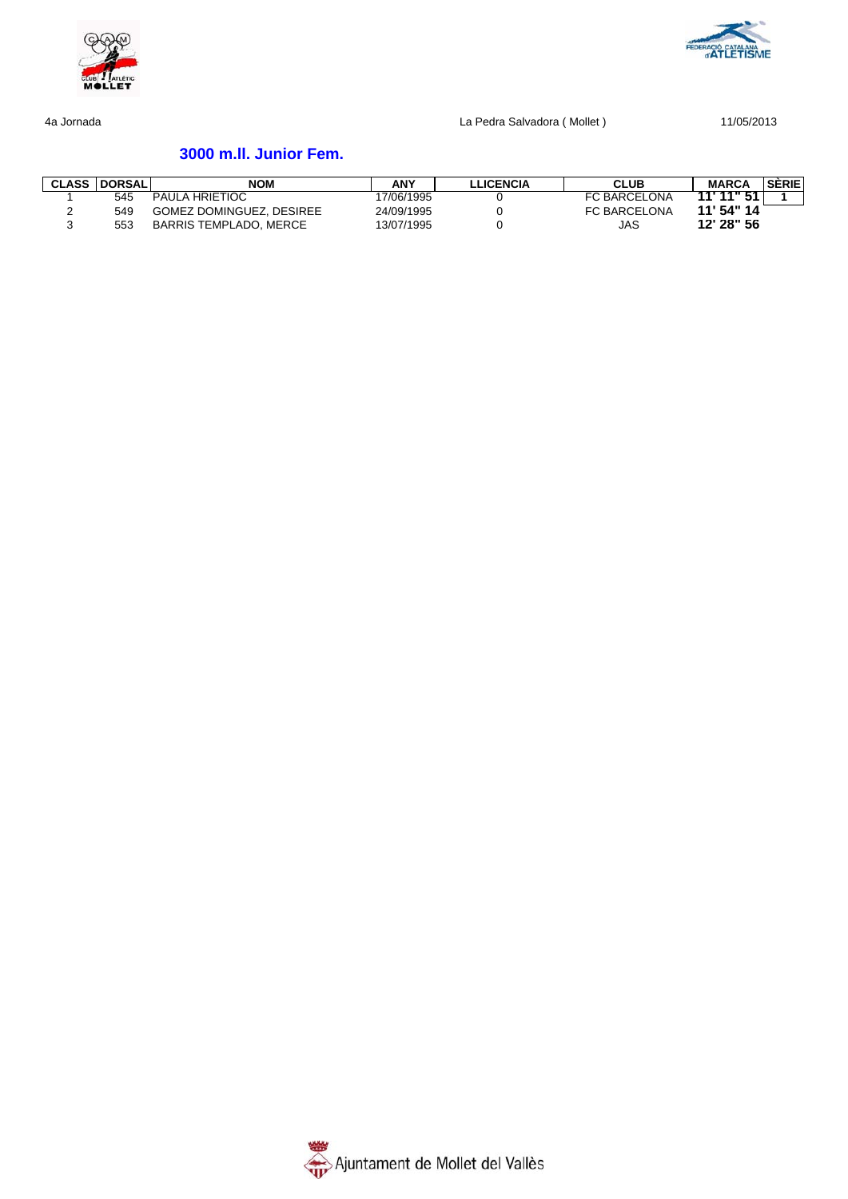



# **3000 m.ll. Junior Fem.**

| <b>CLASS   DORSAL</b> | <b>NOM</b>                    | <b>ANY</b> | LLICENCIA | <b>CLUB</b>         | <b>MARCA</b> | <b>SÉRIE</b> |
|-----------------------|-------------------------------|------------|-----------|---------------------|--------------|--------------|
| 545                   | <b>PAULA HRIETIOC</b>         | 17/06/1995 |           | <b>FC BARCELONA</b> | 11'11''51    |              |
| 549                   | GOMEZ DOMINGUEZ, DESIREE      | 24/09/1995 |           | <b>FC BARCELONA</b> | 11' 54" 14   |              |
| 553                   | <b>BARRIS TEMPLADO, MERCE</b> | 13/07/1995 |           | JAS                 | 12' 28" 56   |              |

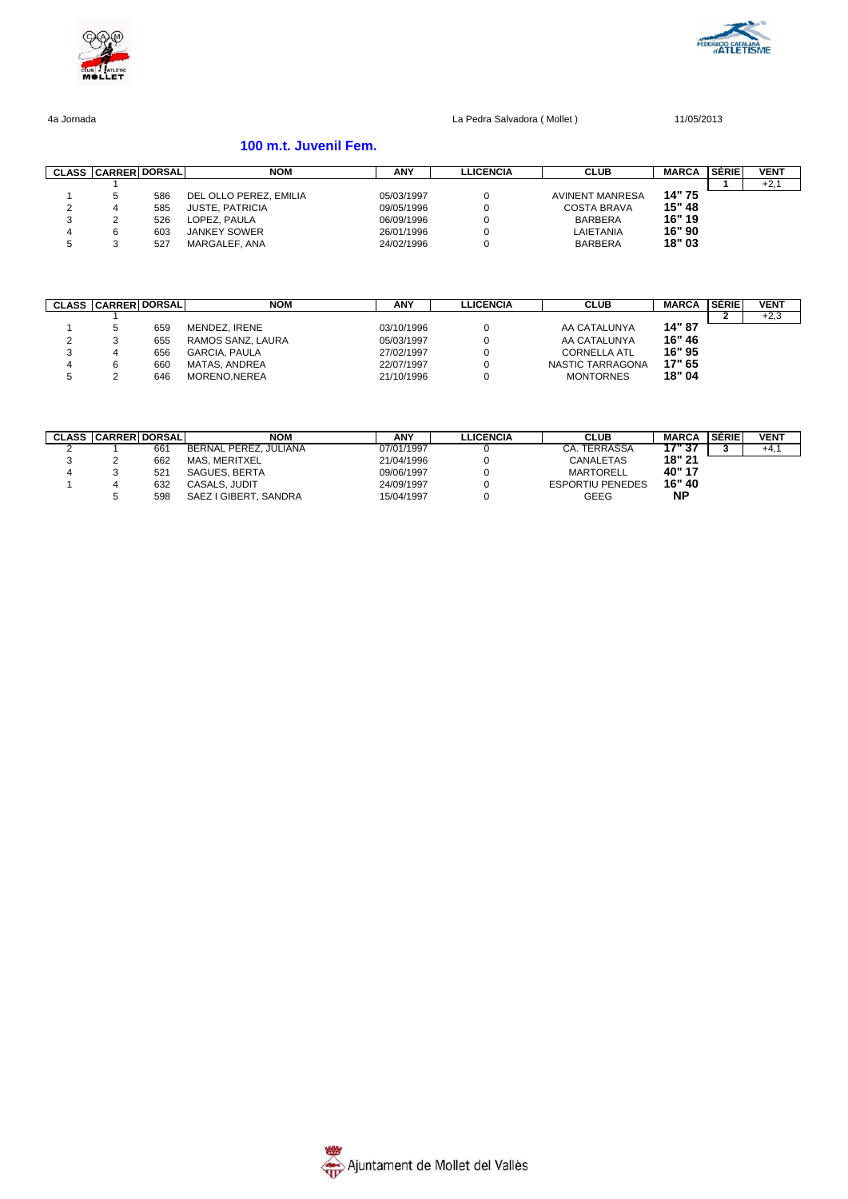



### **100 m.t. Juvenil Fem.**

| <b>CLASS</b> | <b>CARRER DORSALI</b> |     | NOM                    | <b>ANY</b> | LLICENCIA | <b>CLUB</b>            | <b>MARCA</b> | <b>SÈRIE</b> | <b>VENT</b> |
|--------------|-----------------------|-----|------------------------|------------|-----------|------------------------|--------------|--------------|-------------|
|              |                       |     |                        |            |           |                        |              |              | $+2,$       |
|              |                       | 586 | DEL OLLO PEREZ. EMILIA | 05/03/1997 |           | <b>AVINENT MANRESA</b> | 14" 75       |              |             |
| <u>.</u>     |                       | 585 | <b>JUSTE, PATRICIA</b> | 09/05/1996 |           | <b>COSTA BRAVA</b>     | 15" 48       |              |             |
|              |                       | 526 | LOPEZ, PAULA           | 06/09/1996 |           | <b>BARBERA</b>         | 16" 19       |              |             |
|              |                       | 603 | <b>JANKEY SOWER</b>    | 26/01/1996 |           | LAIETANIA              | 16" 90       |              |             |
|              |                       | 527 | MARGALEF, ANA          | 24/02/1996 |           | <b>BARBERA</b>         | 18" 03       |              |             |

| <b>CLASS</b> | <b>CARRER DORSAL</b> |     | NOM                  | <b>ANY</b> | <b>LLICENCIA</b> | <b>CLUB</b>         | <b>MARCA</b> | <b>SÈRIE</b> | <b>VENT</b> |
|--------------|----------------------|-----|----------------------|------------|------------------|---------------------|--------------|--------------|-------------|
|              |                      |     |                      |            |                  |                     |              |              | $+2,3$      |
|              |                      | 659 | MENDEZ. IRENE        | 03/10/1996 |                  | AA CATALUNYA        | 14" 87       |              |             |
|              |                      | 655 | RAMOS SANZ, LAURA    | 05/03/1997 |                  | AA CATALUNYA        | 16" 46       |              |             |
| 3            |                      | 656 | <b>GARCIA, PAULA</b> | 27/02/1997 |                  | <b>CORNELLA ATL</b> | 16" 95       |              |             |
| 4            |                      | 660 | MATAS, ANDREA        | 22/07/1997 |                  | NASTIC TARRAGONA    | 17" 65       |              |             |
| G            |                      | 646 | MORENO.NEREA         | 21/10/1996 |                  | <b>MONTORNES</b>    | 18" 04       |              |             |

|   | <b>CLASS CARRER DORSAL</b> |     | NOM                   | <b>ANY</b> | <b>LLICENCIA</b> | <b>CLUB</b>             | MARCA  | <b>SÉRIE</b> | <b>VENT</b> |
|---|----------------------------|-----|-----------------------|------------|------------------|-------------------------|--------|--------------|-------------|
|   |                            | 66  | BERNAL PEREZ. JULIANA | 07/01/1997 |                  | <b>CA. TERRASSA</b>     | 17" 37 |              | $+4, 1$     |
|   |                            | 662 | <b>MAS. MERITXEL</b>  | 21/04/1996 |                  | CANALETAS               | 18" 21 |              |             |
| 4 |                            | 521 | SAGUES, BERTA         | 09/06/1997 |                  | MARTORELL               | 40" 17 |              |             |
|   |                            | 632 | CASALS, JUDIT         | 24/09/1997 |                  | <b>ESPORTIU PENEDES</b> | 16" 40 |              |             |
|   |                            | 598 | SAEZ I GIBERT, SANDRA | 15/04/1997 |                  | GEEG                    | ΝP     |              |             |

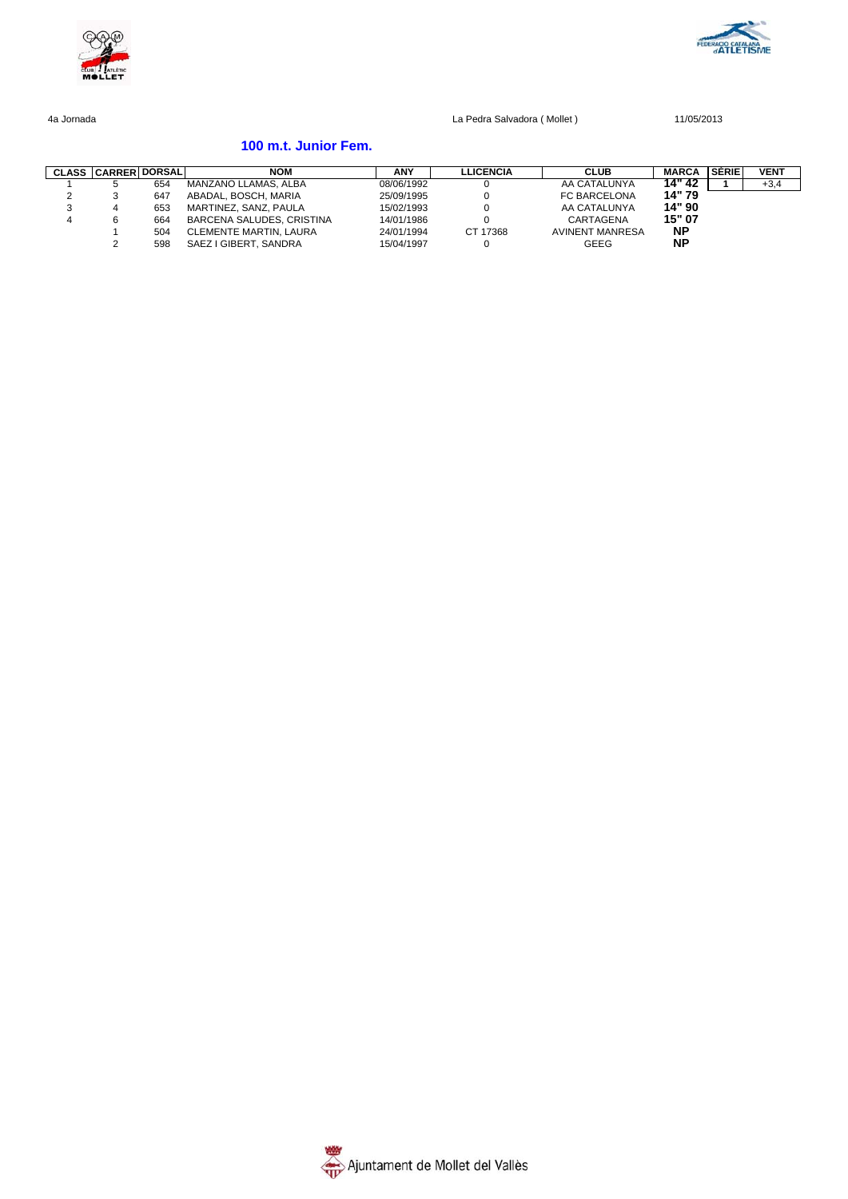



### **100 m.t. Junior Fem.**

|        | <b>CLASS CARRER DORSAL</b> |     | <b>NOM</b>                    | <b>ANY</b> | <b>LLICENCIA</b> | <b>CLUB</b>            | <b>MARCA</b> | <b>SÈRIE</b> | <b>VENT</b> |
|--------|----------------------------|-----|-------------------------------|------------|------------------|------------------------|--------------|--------------|-------------|
|        |                            | 654 | MANZANO LLAMAS, ALBA          | 08/06/1992 |                  | AA CATALUNYA           | 14" 42       |              | $+3,4$      |
| $\sim$ |                            | 647 | ABADAL, BOSCH, MARIA          | 25/09/1995 |                  | FC BARCELONA           | 14" 79       |              |             |
| 3      |                            | 653 | MARTINEZ, SANZ, PAULA         | 15/02/1993 |                  | AA CATALUNYA           | 14" 90       |              |             |
| 4      |                            | 664 | BARCENA SALUDES, CRISTINA     | 14/01/1986 |                  | CARTAGENA              | 15" 07       |              |             |
|        |                            | 504 | <b>CLEMENTE MARTIN, LAURA</b> | 24/01/1994 | CT 17368         | <b>AVINENT MANRESA</b> | <b>NP</b>    |              |             |
|        |                            | 598 | SAEZ I GIBERT, SANDRA         | 15/04/1997 |                  | GEEG                   | ΝP           |              |             |

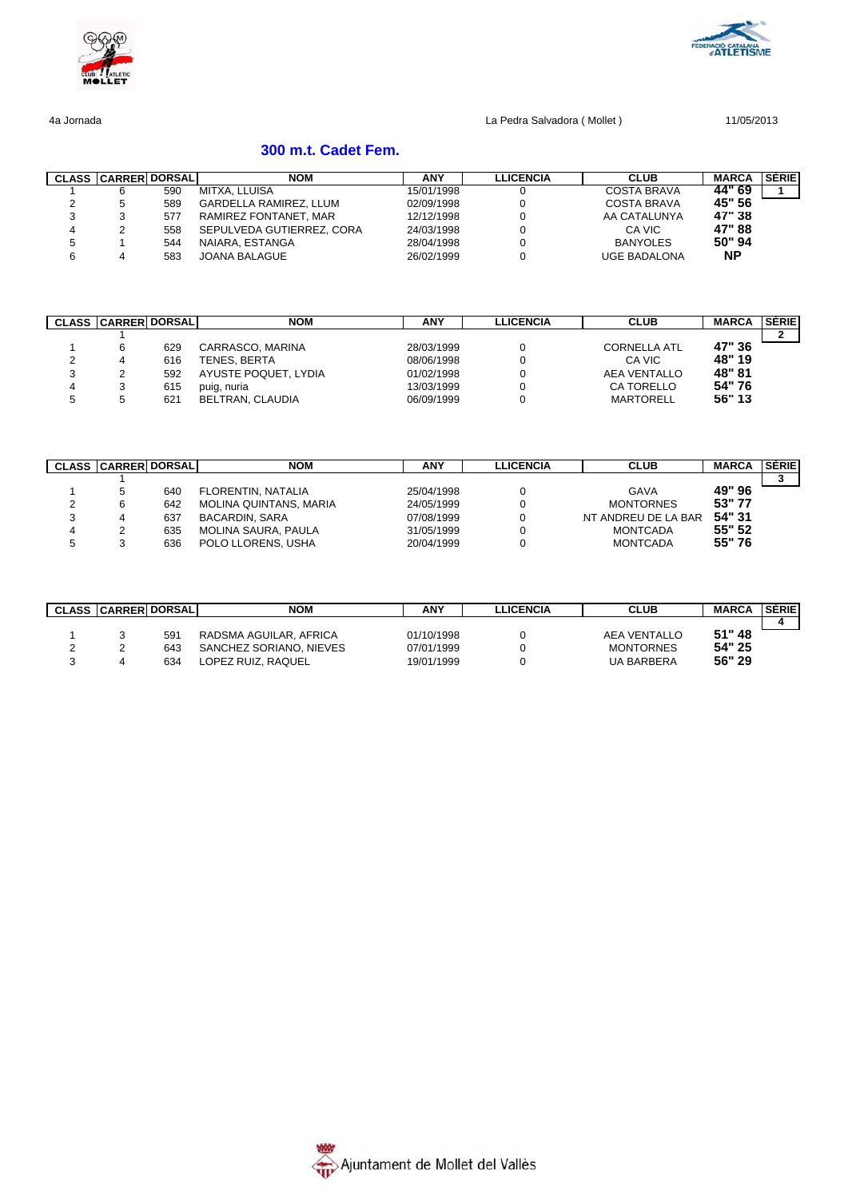



# **300 m.t. Cadet Fem.**

|   | <b>CLASS CARRER DORSAL</b> |     | <b>NOM</b>                    | <b>ANY</b> | <b>LLICENCIA</b> | <b>CLUB</b>         | <b>MARCA</b> | <b>SÈRIE</b> |
|---|----------------------------|-----|-------------------------------|------------|------------------|---------------------|--------------|--------------|
|   |                            | 590 | MITXA, LLUISA                 | 15/01/1998 |                  | <b>COSTA BRAVA</b>  | 44" 69       |              |
|   |                            | 589 | <b>GARDELLA RAMIREZ, LLUM</b> | 02/09/1998 |                  | COSTA BRAVA         | 45" 56       |              |
|   |                            | 577 | RAMIREZ FONTANET, MAR         | 12/12/1998 |                  | AA CATALUNYA        | 47" 38       |              |
| 4 |                            | 558 | SEPULVEDA GUTIERREZ, CORA     | 24/03/1998 |                  | CA VIC              | 47" 88       |              |
| 5 |                            | 544 | NAIARA, ESTANGA               | 28/04/1998 |                  | <b>BANYOLES</b>     | 50" 94       |              |
| 6 |                            | 583 | JOANA BALAGUE                 | 26/02/1999 |                  | <b>UGE BADALONA</b> | <b>NP</b>    |              |

|   | <b>CLASS CARRER DORSAL</b> |     | <b>NOM</b>           | ANY        | <b>LLICENCIA</b> | <b>CLUB</b>         | <b>MARCA</b> | <b>SÈRIE</b> |
|---|----------------------------|-----|----------------------|------------|------------------|---------------------|--------------|--------------|
|   |                            |     |                      |            |                  |                     |              |              |
|   |                            | 629 | CARRASCO, MARINA     | 28/03/1999 |                  | <b>CORNELLA ATL</b> | 47" 36       |              |
|   |                            | 616 | TENES. BERTA         | 08/06/1998 |                  | CA VIC              | 48" 19       |              |
| ت |                            | 592 | AYUSTE POQUET, LYDIA | 01/02/1998 |                  | <b>AEA VENTALLO</b> | 48" 81       |              |
| 4 |                            | 615 | puig, nuria          | 13/03/1999 |                  | CA TORELLO          | 54"76        |              |
| G |                            | 621 | BELTRAN, CLAUDIA     | 06/09/1999 |                  | MARTORELL           | 56" 13       |              |

|        | <b>CLASS CARRER DORSALI</b> |     | <b>NOM</b>             | <b>ANY</b> | LLICENCIA | <b>CLUB</b>         | <b>MARCA</b> | <b>SÉRIE</b> |
|--------|-----------------------------|-----|------------------------|------------|-----------|---------------------|--------------|--------------|
|        |                             |     |                        |            |           |                     |              |              |
|        |                             | 640 | FLORENTIN, NATALIA     | 25/04/1998 |           | <b>GAVA</b>         | 49" 96       |              |
| ▵      |                             | 642 | MOLINA QUINTANS, MARIA | 24/05/1999 |           | <b>MONTORNES</b>    | 53" 77       |              |
| ິ<br>ت |                             | 637 | <b>BACARDIN, SARA</b>  | 07/08/1999 |           | NT ANDREU DE LA BAR | 54" 31       |              |
| 4      |                             | 635 | MOLINA SAURA. PAULA    | 31/05/1999 |           | <b>MONTCADA</b>     | 55" 52       |              |
| Ð      |                             | 636 | POLO LLORENS, USHA     | 20/04/1999 |           | <b>MONTCADA</b>     | 55" 76       |              |

| <b>CLASS CARRER DORSAL</b> |     | <b>NOM</b>              | <b>ANY</b> | <b>LICENCIA</b> | <b>CLUB</b>       | <b>MARCA</b> | <b>SERIE</b> |
|----------------------------|-----|-------------------------|------------|-----------------|-------------------|--------------|--------------|
|                            |     |                         |            |                 |                   |              |              |
|                            | 591 | RADSMA AGUILAR, AFRICA  | 01/10/1998 |                 | AEA VENTALLO      | 51" 48       |              |
|                            | 643 | SANCHEZ SORIANO, NIEVES | 07/01/1999 |                 | <b>MONTORNES</b>  | 54" 25       |              |
|                            | 634 | LOPEZ RUIZ, RAQUEL      | 19/01/1999 |                 | <b>UA BARBERA</b> | 56" 29       |              |

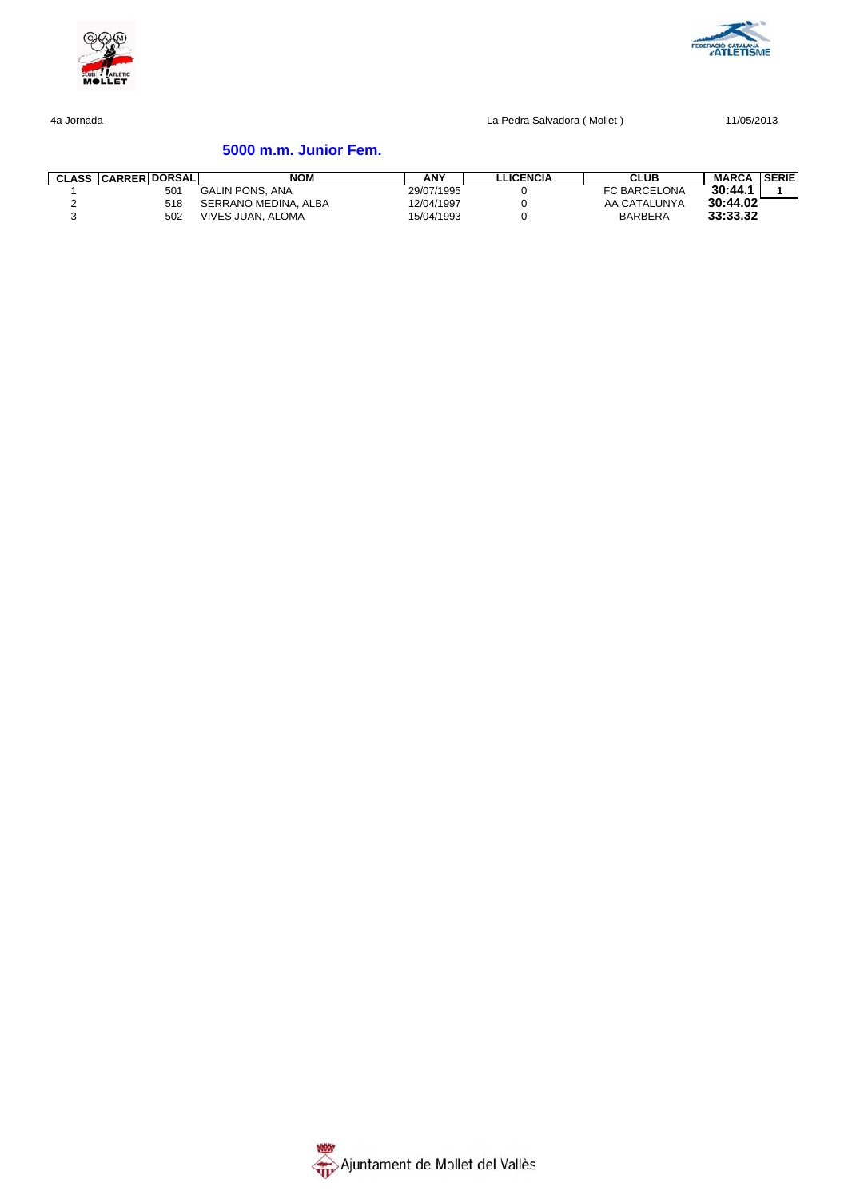



# **5000 m.m. Junior Fem.**

| <b>CLASS CARRER DORSAL</b> | <b>NOM</b>             | <b>ANY</b> | <b>LLICENCIA</b> | CLUB                | <b>MARCA</b> | <b>SERIE</b> |
|----------------------------|------------------------|------------|------------------|---------------------|--------------|--------------|
| 501                        | <b>GALIN PONS, ANA</b> | 29/07/1995 |                  | <b>FC BARCELONA</b> | 30:44.1      |              |
| 518                        | SERRANO MEDINA, ALBA   | 12/04/1997 |                  | AA CATALUNYA        | 30:44.02     |              |
| 502                        | VIVES JUAN, ALOMA      | 15/04/1993 |                  | <b>BARBERA</b>      | 33:33.32     |              |

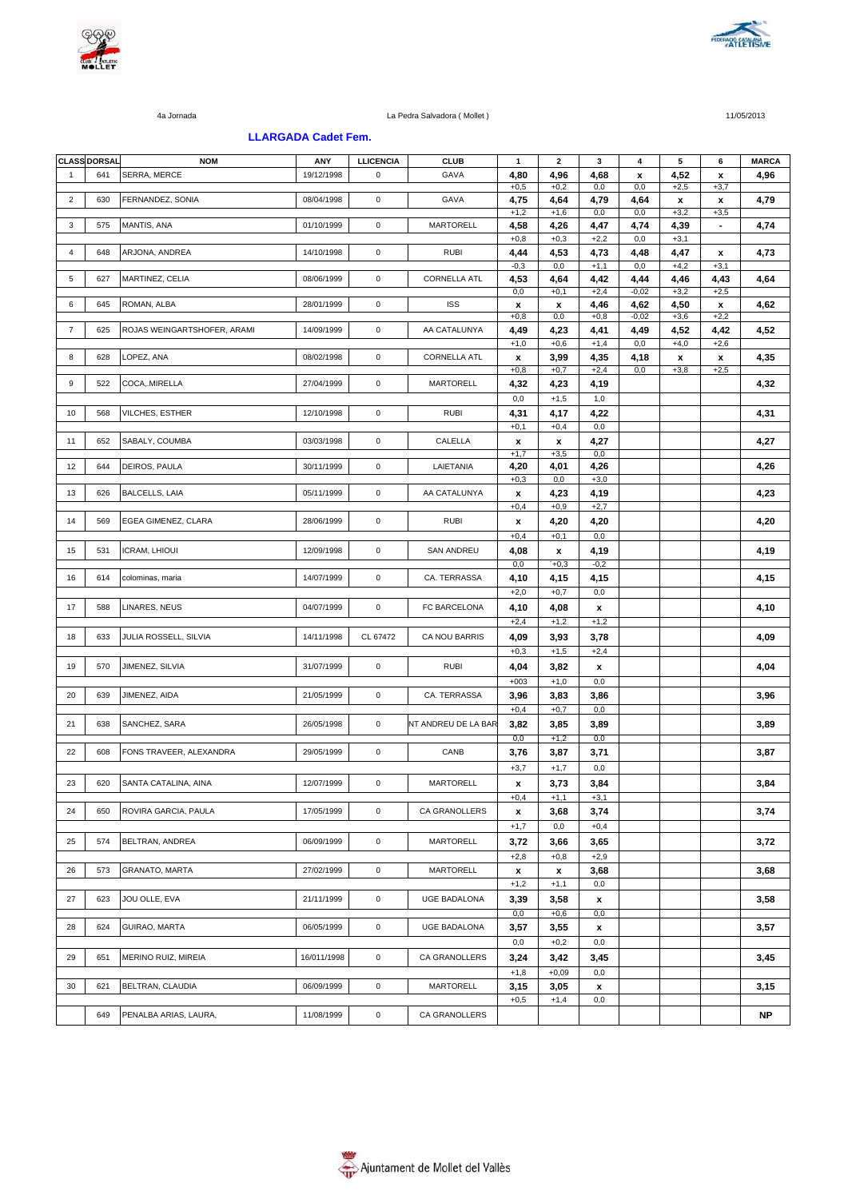



#### **LLARGADA Cadet Fem.**

|                | <b>CLASS DORSAL</b> | <b>NOM</b>                  | ANY         | <b>LLICENCIA</b> | <b>CLUB</b>         | $\mathbf{1}$   | $\mathbf{2}$   | 3              | 4               | ${\bf 5}$      | 6                        | <b>MARCA</b> |
|----------------|---------------------|-----------------------------|-------------|------------------|---------------------|----------------|----------------|----------------|-----------------|----------------|--------------------------|--------------|
| $\overline{1}$ | 641                 | SERRA, MERCE                | 19/12/1998  | 0                | GAVA                | 4,80<br>$+0,5$ | 4,96<br>$+0,2$ | 4,68<br>0,0    | x<br>0,0        | 4,52<br>$+2,5$ | x<br>$+3,7$              | 4,96         |
| $\overline{2}$ | 630                 | FERNANDEZ, SONIA            | 08/04/1998  | $\mathsf 0$      | GAVA                | 4,75           | 4,64           | 4,79           | 4,64            | x              | x                        | 4,79         |
| 3              | 575                 | MANTIS, ANA                 | 01/10/1999  | $\mathbf 0$      | <b>MARTORELL</b>    | $+1,2$<br>4,58 | $+1,6$<br>4,26 | 0,0<br>4,47    | 0,0<br>4,74     | $+3,2$<br>4,39 | $+3,5$<br>$\blacksquare$ | 4,74         |
|                |                     |                             |             |                  |                     | $+0,8$         | $+0,3$         | $+2,2$         | 0,0             | $+3,1$         |                          |              |
| 4              | 648                 | ARJONA, ANDREA              | 14/10/1998  | $\mathbf 0$      | <b>RUBI</b>         | 4,44           | 4,53           | 4,73           | 4,48            | 4,47           | x                        | 4,73         |
| 5              | 627                 | MARTINEZ, CELIA             | 08/06/1999  | $\mathbf 0$      | <b>CORNELLA ATL</b> | $-0,3$<br>4,53 | 0,0<br>4,64    | $+1,1$<br>4,42 | 0,0<br>4,44     | $+4,2$<br>4,46 | $+3,1$<br>4,43           | 4,64         |
|                |                     |                             |             |                  |                     | 0,0            | $+0,1$         | $+2,4$         | $-0,02$         | $+3,2$         | $+2,5$                   |              |
| 6              | 645                 | ROMAN, ALBA                 | 28/01/1999  | $\mathbf 0$      | <b>ISS</b>          | x<br>$+0,8$    | x<br>0,0       | 4,46<br>$+0,8$ | 4,62<br>$-0,02$ | 4,50<br>$+3,6$ | x<br>$+2,2$              | 4,62         |
| $\overline{7}$ | 625                 | ROJAS WEINGARTSHOFER, ARAMI | 14/09/1999  | $\mathbf 0$      | AA CATALUNYA        | 4,49           | 4,23           | 4,41           | 4,49            | 4,52           | 4,42                     | 4,52         |
| 8              | 628                 | LOPEZ, ANA                  | 08/02/1998  | $\mathbf 0$      | <b>CORNELLA ATL</b> | $+1,0$         | $+0,6$         | $+1,4$         | $_{0,0}$        | $+4,0$         | $+2,6$                   |              |
|                |                     |                             |             |                  |                     | x<br>$+0,8$    | 3,99<br>$+0,7$ | 4,35<br>$+2,4$ | 4,18<br>0,0     | x<br>$+3,8$    | x<br>$+2,5$              | 4,35         |
| 9              | 522                 | COCA,.MIRELLA               | 27/04/1999  | $\mathsf 0$      | <b>MARTORELL</b>    | 4,32           | 4,23           | 4,19           |                 |                |                          | 4,32         |
|                |                     |                             |             |                  |                     | 0,0            | $+1,5$         | 1,0            |                 |                |                          |              |
| 10             | 568                 | VILCHES, ESTHER             | 12/10/1998  | $\mathbf 0$      | <b>RUBI</b>         | 4,31<br>$+0,1$ | 4,17<br>$+0,4$ | 4,22<br>0,0    |                 |                |                          | 4,31         |
| 11             | 652                 | SABALY, COUMBA              | 03/03/1998  | $\mathbf 0$      | CALELLA             | x              | x              | 4,27           |                 |                |                          | 4,27         |
|                |                     |                             |             |                  |                     | $+1,7$         | $+3,5$         | 0,0            |                 |                |                          |              |
| 12             | 644                 | DEIROS, PAULA               | 30/11/1999  | $\mathbf 0$      | LAIETANIA           | 4,20           | 4,01           | 4,26           |                 |                |                          | 4,26         |
| 13             | 626                 | <b>BALCELLS, LAIA</b>       | 05/11/1999  | $\mathbf 0$      | AA CATALUNYA        | $+0,3$         | 0,0<br>4,23    | $+3,0$<br>4,19 |                 |                |                          | 4,23         |
|                |                     |                             |             |                  |                     | x<br>$+0,4$    | $+0,9$         | $+2,7$         |                 |                |                          |              |
| 14             | 569                 | EGEA GIMENEZ, CLARA         | 28/06/1999  | $\mathsf 0$      | <b>RUBI</b>         | x              | 4,20           | 4,20           |                 |                |                          | 4,20         |
|                |                     |                             |             |                  |                     | $+0,4$         | $+0,1$         | 0,0            |                 |                |                          |              |
| 15             | 531                 | ICRAM, LHIOUI               | 12/09/1998  | $\mathsf 0$      | <b>SAN ANDREU</b>   | 4,08           | x              | 4,19           |                 |                |                          | 4,19         |
|                |                     |                             |             |                  |                     | 0,0            | $+0,3$         | $-0,2$         |                 |                |                          |              |
| 16             | 614                 | colominas, maria            | 14/07/1999  | $\mathbf 0$      | CA. TERRASSA        | 4,10<br>$+2,0$ | 4,15<br>$+0,7$ | 4,15<br>0,0    |                 |                |                          | 4,15         |
| 17             | 588                 | LINARES, NEUS               | 04/07/1999  | $\mathsf 0$      | FC BARCELONA        | 4,10           | 4,08           | x              |                 |                |                          | 4,10         |
|                |                     |                             |             |                  |                     | $+2,4$         | $+1,2$         | $+1,2$         |                 |                |                          |              |
| 18             | 633                 | JULIA ROSSELL, SILVIA       | 14/11/1998  | CL 67472         | CA NOU BARRIS       | 4,09           | 3,93           | 3,78           |                 |                |                          | 4,09         |
|                |                     |                             |             |                  |                     | $+0,3$         | $+1,5$         | $+2,4$         |                 |                |                          |              |
| 19             | 570                 | JIMENEZ, SILVIA             | 31/07/1999  | $\mathbf 0$      | <b>RUBI</b>         | 4,04           | 3,82           | x              |                 |                |                          | 4,04         |
|                |                     |                             |             |                  |                     | $+003$         | $+1,0$         | 0,0            |                 |                |                          |              |
| 20             | 639                 | JIMENEZ, AIDA               | 21/05/1999  | $\mathsf 0$      | CA. TERRASSA        | 3,96           | 3,83           | 3,86           |                 |                |                          | 3,96         |
|                |                     |                             |             |                  |                     | $+0,4$         | $+0,7$         | 0,0            |                 |                |                          |              |
| 21             | 638                 | SANCHEZ, SARA               | 26/05/1998  | $\pmb{0}$        | NT ANDREU DE LA BAR | 3,82<br>0,0    | 3,85<br>$+1,2$ | 3,89<br>0,0    |                 |                |                          | 3,89         |
| 22             | 608                 | FONS TRAVEER, ALEXANDRA     | 29/05/1999  | $\mathbf 0$      | CANB                | 3,76           | 3,87           | 3,71           |                 |                |                          | 3,87         |
|                |                     |                             |             |                  |                     | $+3,7$         | $+1,7$         | 0,0            |                 |                |                          |              |
| 23             | 620                 | SANTA CATALINA, AINA        | 12/07/1999  | $\mathbf 0$      | <b>MARTORELL</b>    | x              | 3,73           | 3,84           |                 |                |                          | 3,84         |
|                |                     |                             |             |                  |                     | $+0,4$         | $+1,1$         | $+3,1$         |                 |                |                          |              |
| 24             | 650                 | ROVIRA GARCIA, PAULA        | 17/05/1999  | $\mathbf 0$      | CA GRANOLLERS       | x              | 3,68           | 3,74           |                 |                |                          | 3,74         |
|                |                     |                             |             |                  |                     | $+1,7$         | 0,0            | $+0,4$         |                 |                |                          |              |
| 25             | 574                 | BELTRAN, ANDREA             | 06/09/1999  | $\pmb{0}$        | <b>MARTORELL</b>    | 3,72           | 3,66           | 3,65           |                 |                |                          | 3,72         |
|                |                     |                             |             |                  |                     | $+2,8$         | $+0,8$         | $+2,9$         |                 |                |                          |              |
| 26             | 573                 | GRANATO, MARTA              | 27/02/1999  | $\mathbf 0$      | <b>MARTORELL</b>    | x<br>$+1,2$    | x<br>$+1,1$    | 3,68<br>0,0    |                 |                |                          | 3,68         |
| 27             | 623                 | JOU OLLE, EVA               | 21/11/1999  | $\mathbf 0$      | <b>UGE BADALONA</b> | 3,39           | 3,58           | x              |                 |                |                          | 3,58         |
|                |                     |                             |             |                  |                     | 0,0            | $+0,6$         | 0,0            |                 |                |                          |              |
| 28             | 624                 | GUIRAO, MARTA               | 06/05/1999  | $\pmb{0}$        | <b>UGE BADALONA</b> | 3,57           | 3,55           | x              |                 |                |                          | 3,57         |
|                |                     |                             |             |                  |                     | $_{0,0}$       | $+0,2$         | 0,0            |                 |                |                          |              |
| 29             | 651                 | MERINO RUIZ, MIREIA         | 16/011/1998 | $\pmb{0}$        | CA GRANOLLERS       | 3,24           | 3,42           | 3,45           |                 |                |                          | 3,45         |
|                |                     |                             |             |                  |                     | $+1,8$         | $+0,09$        | 0,0            |                 |                |                          |              |
| 30             | 621                 | BELTRAN, CLAUDIA            | 06/09/1999  | $\mathbf 0$      | <b>MARTORELL</b>    | 3,15           | 3,05           | x              |                 |                |                          | 3,15         |
|                |                     |                             |             |                  |                     | $+0,5$         | $+1,4$         | $_{0,0}$       |                 |                |                          |              |
|                | 649                 | PENALBA ARIAS, LAURA,       | 11/08/1999  | $\mathbf 0$      | CA GRANOLLERS       |                |                |                |                 |                |                          | NP           |

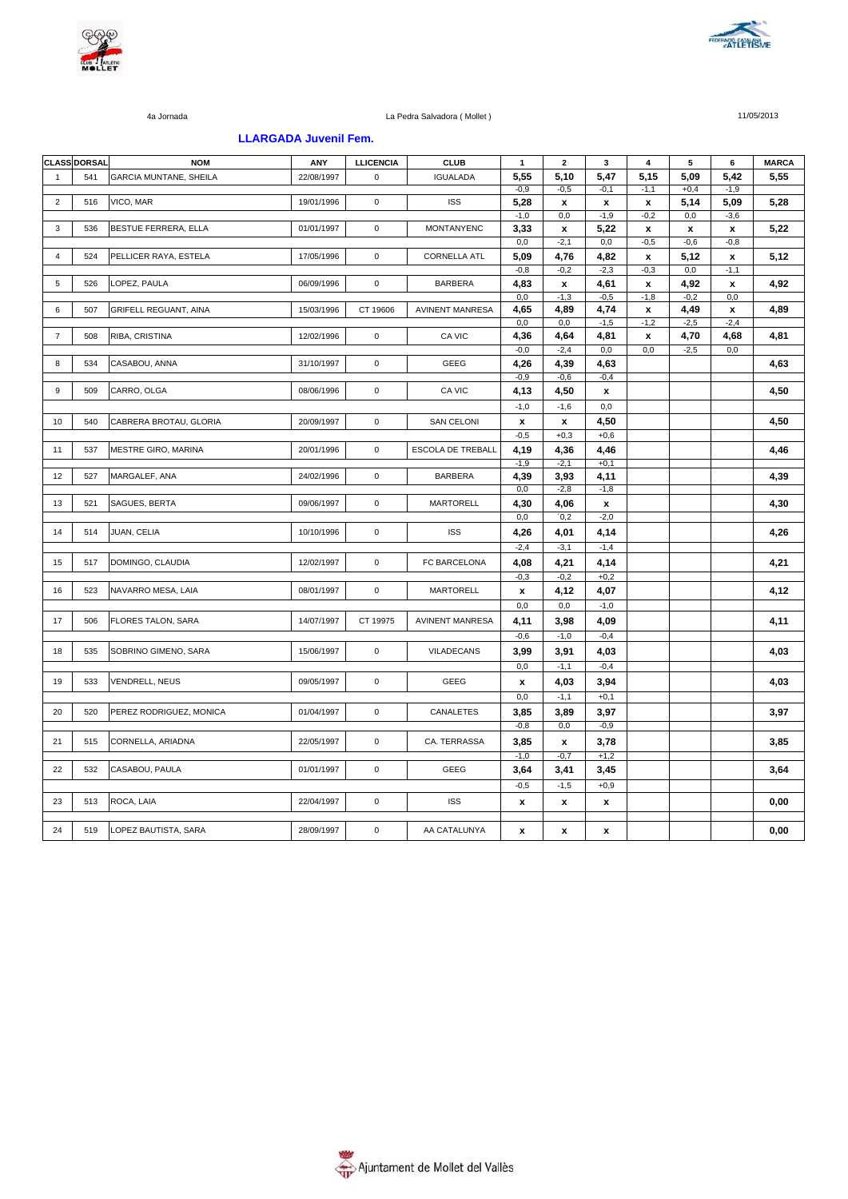



### **LLARGADA Juvenil Fem.**

|                | <b>CLASS DORSAL</b> | <b>NOM</b>                   | ANY        | <b>LLICENCIA</b> | <b>CLUB</b>            | $\mathbf{1}$       | $\mathbf{2}$ | 3                  | 4                  | 5              | 6                  | <b>MARCA</b> |
|----------------|---------------------|------------------------------|------------|------------------|------------------------|--------------------|--------------|--------------------|--------------------|----------------|--------------------|--------------|
| $\mathbf{1}$   | 541                 | GARCIA MUNTANE, SHEILA       | 22/08/1997 | $\mathbf 0$      | <b>IGUALADA</b>        | 5,55               | 5,10         | 5,47               | 5,15               | 5,09           | 5,42               | 5,55         |
|                |                     |                              |            |                  |                        | $-0,9$             | $-0,5$       | $-0,1$             | $-1,1$             | $+0,4$         | $-1,9$             |              |
| $\sqrt{2}$     | 516                 | VICO, MAR                    | 19/01/1996 | $\mathsf 0$      | <b>ISS</b>             | 5,28               | x            | x                  | x                  | 5,14           | 5,09               | 5,28         |
|                |                     |                              |            |                  |                        | $-1,0$             | 0,0          | $-1,9$             | $-0,2$             | 0,0            | $-3,6$             |              |
| 3              | 536                 | BESTUE FERRERA, ELLA         | 01/01/1997 | $\mathbf 0$      | <b>MONTANYENC</b>      | 3,33               | x            | 5,22               | $\pmb{\chi}$       | $\pmb{\chi}$   | x                  | 5,22         |
|                |                     |                              |            |                  |                        | 0,0                | $-2,1$       | 0,0                | $-0,5$             | $-0,6$         | $-0,8$             |              |
| 4              | 524                 | PELLICER RAYA, ESTELA        | 17/05/1996 | $\mathsf 0$      | <b>CORNELLA ATL</b>    | 5,09               | 4,76         | 4,82               | $\pmb{\mathsf{x}}$ | 5,12           | $\pmb{\mathsf{x}}$ | 5,12         |
| 5              |                     | LOPEZ, PAULA                 | 06/09/1996 | $\mathbf 0$      | <b>BARBERA</b>         | $-0,8$             | $-0,2$       | $-2,3$             | $-0,3$             | 0,0            | $-1,1$             |              |
|                | 526                 |                              |            |                  |                        | 4,83<br>0,0        | x<br>$-1,3$  | 4,61<br>$-0,5$     | x<br>$-1,8$        | 4,92<br>$-0,2$ | x<br>0,0           | 4,92         |
| 6              | 507                 | <b>GRIFELL REGUANT, AINA</b> | 15/03/1996 | CT 19606         | <b>AVINENT MANRESA</b> | 4,65               | 4,89         | 4,74               | x                  | 4,49           | x                  | 4,89         |
|                |                     |                              |            |                  |                        | $_{0,0}$           | 0,0          | $-1,5$             | $-1,2$             | $-2,5$         | $-2,4$             |              |
| $\overline{7}$ | 508                 | RIBA, CRISTINA               | 12/02/1996 | $\mathsf 0$      | CA VIC                 | 4,36               | 4,64         | 4,81               | x                  | 4,70           | 4,68               | 4,81         |
|                |                     |                              |            |                  |                        | $-0,0$             | $-2,4$       | 0,0                | 0,0                | $-2,5$         | 0,0                |              |
| 8              | 534                 | CASABOU, ANNA                | 31/10/1997 | $\mathsf 0$      | GEEG                   | 4,26               | 4,39         | 4,63               |                    |                |                    | 4,63         |
|                |                     |                              |            |                  |                        | $-0,9$             | $-0,6$       | $-0,4$             |                    |                |                    |              |
| 9              | 509                 | CARRO, OLGA                  | 08/06/1996 | $\mathsf 0$      | CA VIC                 | 4,13               | 4,50         | x                  |                    |                |                    | 4,50         |
|                |                     |                              |            |                  |                        | $-1,0$             | $-1,6$       | 0,0                |                    |                |                    |              |
| 10             | 540                 | CABRERA BROTAU, GLORIA       | 20/09/1997 | 0                | <b>SAN CELONI</b>      | $\pmb{\mathsf{x}}$ | x            | 4,50               |                    |                |                    | 4,50         |
|                |                     |                              |            |                  |                        | $-0,5$             | $+0,3$       | $+0,6$             |                    |                |                    |              |
| 11             | 537                 | <b>MESTRE GIRO, MARINA</b>   | 20/01/1996 | $\mathsf 0$      | ESCOLA DE TREBALL      | 4,19               | 4,36         | 4,46               |                    |                |                    | 4,46         |
|                |                     |                              |            |                  |                        | $-1.9$             | $-2.1$       | $+0.1$             |                    |                |                    |              |
| 12             | 527                 | MARGALEF, ANA                | 24/02/1996 | $\mathsf 0$      | <b>BARBERA</b>         | 4,39               | 3,93         | 4,11               |                    |                |                    | 4,39         |
|                |                     |                              |            |                  |                        | 0,0                | $-2,8$       | $-1,8$             |                    |                |                    |              |
| 13             | 521                 | SAGUES, BERTA                | 09/06/1997 | 0                | MARTORELL              | 4,30               | 4,06         | $\mathbf{x}$       |                    |                |                    | 4,30         |
|                |                     |                              |            |                  |                        | 0,0                | 0,2          | $-2,0$             |                    |                |                    |              |
| 14             | 514                 | JUAN, CELIA                  | 10/10/1996 | $\mathsf 0$      | <b>ISS</b>             | 4,26               | 4,01         | 4,14               |                    |                |                    | 4,26         |
|                |                     |                              |            |                  |                        | $-2,4$             | $-3,1$       | $-1,4$             |                    |                |                    |              |
| 15             | 517                 | DOMINGO, CLAUDIA             | 12/02/1997 | $\mathsf 0$      | FC BARCELONA           | 4,08               | 4,21         | 4,14               |                    |                |                    | 4,21         |
|                |                     |                              |            |                  |                        | $-0,3$             | $-0,2$       | $+0,2$             |                    |                |                    |              |
| 16             | 523                 | NAVARRO MESA, LAIA           | 08/01/1997 | $\mathbf 0$      | <b>MARTORELL</b>       | x                  | 4,12         | 4,07               |                    |                |                    | 4,12         |
|                |                     |                              |            |                  |                        | 0,0                | 0,0          | $-1,0$             |                    |                |                    |              |
|                |                     |                              | 14/07/1997 |                  | <b>AVINENT MANRESA</b> |                    |              |                    |                    |                |                    |              |
| 17             | 506                 | FLORES TALON, SARA           |            | CT 19975         |                        | 4,11               | 3,98         | 4,09               |                    |                |                    | 4,11         |
|                |                     |                              |            |                  |                        | $-0,6$             | $-1,0$       | $-0,4$             |                    |                |                    |              |
| 18             | 535                 | SOBRINO GIMENO, SARA         | 15/06/1997 | $\mathsf 0$      | VILADECANS             | 3,99               | 3,91         | 4,03               |                    |                |                    | 4,03         |
|                |                     |                              |            |                  |                        | 0,0                | $-1,1$       | $-0,4$             |                    |                |                    |              |
| 19             | 533                 | VENDRELL, NEUS               | 09/05/1997 | $\pmb{0}$        | GEEG                   | x                  | 4,03         | 3,94               |                    |                |                    | 4,03         |
|                |                     |                              |            |                  |                        | 0,0                | $-1,1$       | $+0,1$             |                    |                |                    |              |
| 20             | 520                 | PEREZ RODRIGUEZ, MONICA      | 01/04/1997 | $\pmb{0}$        | CANALETES              | 3,85               | 3,89         | 3,97               |                    |                |                    | 3,97         |
|                |                     |                              |            |                  |                        | $-0,8$             | 0,0          | $-0,9$             |                    |                |                    |              |
| 21             | 515                 | CORNELLA, ARIADNA            | 22/05/1997 | $\mathsf 0$      | CA. TERRASSA           | 3,85               | x            | 3,78               |                    |                |                    | 3,85         |
|                |                     |                              |            |                  |                        | $-1,0$             | $-0,7$       | $+1,2$             |                    |                |                    |              |
| 22             | 532                 | CASABOU, PAULA               | 01/01/1997 | $\mathbf 0$      | <b>GEEG</b>            | 3,64               | 3,41         | 3,45               |                    |                |                    | 3,64         |
|                |                     |                              |            |                  |                        | $-0,5$             | $-1,5$       | $+0,9$             |                    |                |                    |              |
| 23             | 513                 | ROCA, LAIA                   | 22/04/1997 | $\mathbf 0$      | <b>ISS</b>             | x                  | x            | $\pmb{\mathsf{x}}$ |                    |                |                    | 0,00         |
|                |                     |                              |            |                  |                        |                    |              |                    |                    |                |                    |              |
| 24             | 519                 | LOPEZ BAUTISTA, SARA         | 28/09/1997 | $\mathbf 0$      | AA CATALUNYA           |                    |              |                    |                    |                |                    | 0,00         |
|                |                     |                              |            |                  |                        | x                  | x            | x                  |                    |                |                    |              |

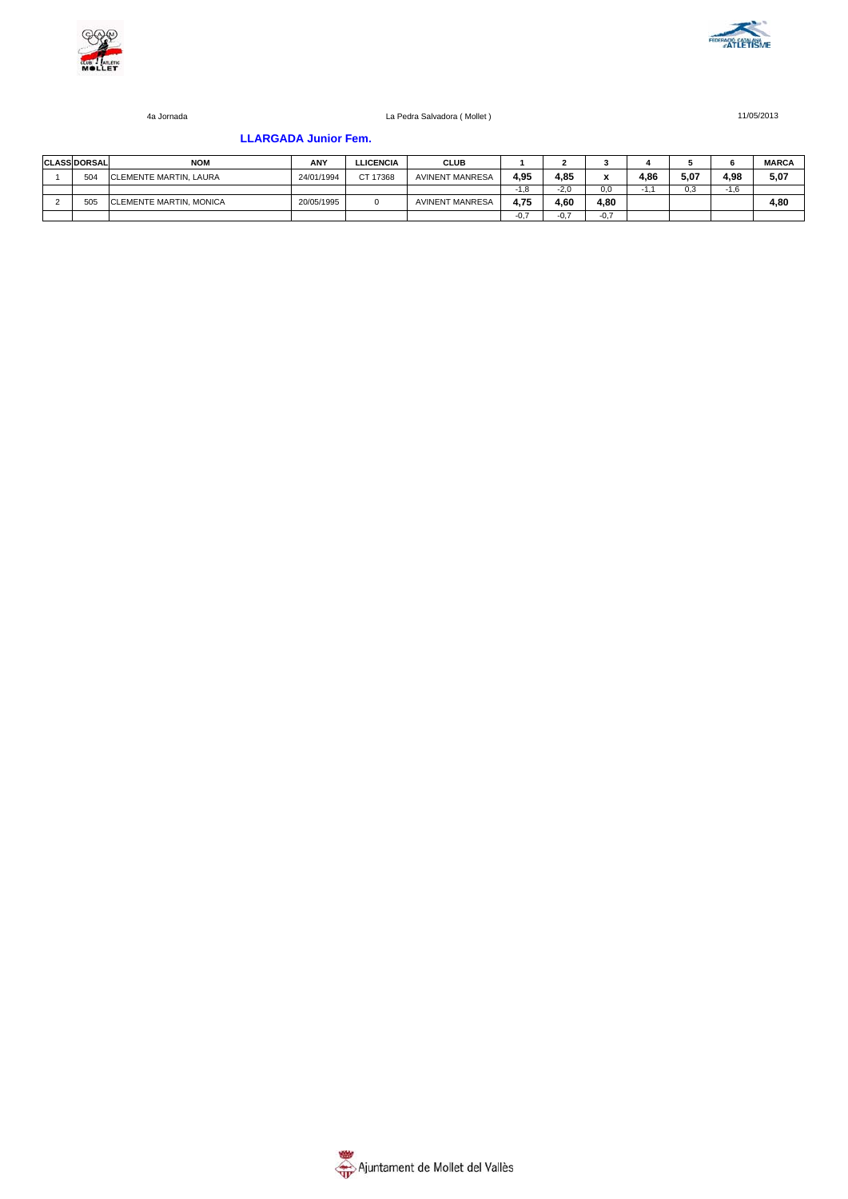



### **LLARGADA Junior Fem.**

| <b>CLASS DORSAL</b> | <b>NOM</b>                     | ANY        | <b>LLICENCIA</b> | <b>CLUB</b>            |      |        |        |      |      |        | <b>MARCA</b> |
|---------------------|--------------------------------|------------|------------------|------------------------|------|--------|--------|------|------|--------|--------------|
| 504                 | <b>CLEMENTE MARTIN, LAURA</b>  | 24/01/1994 | CT 17368         | <b>AVINENT MANRESA</b> | 4.95 | 4.85   |        | 4.86 | 5.07 | 4.98   | 5,07         |
|                     |                                |            |                  |                        | -1.8 | $-2.0$ | 0.0    |      | 0.3  | $-1.6$ |              |
| 505                 | <b>CLEMENTE MARTIN, MONICA</b> | 20/05/1995 |                  | <b>AVINENT MANRESA</b> | 4.75 | 4.60   | 4.80   |      |      |        | 4,80         |
|                     |                                |            |                  |                        |      | $-0.7$ | $-0.7$ |      |      |        |              |

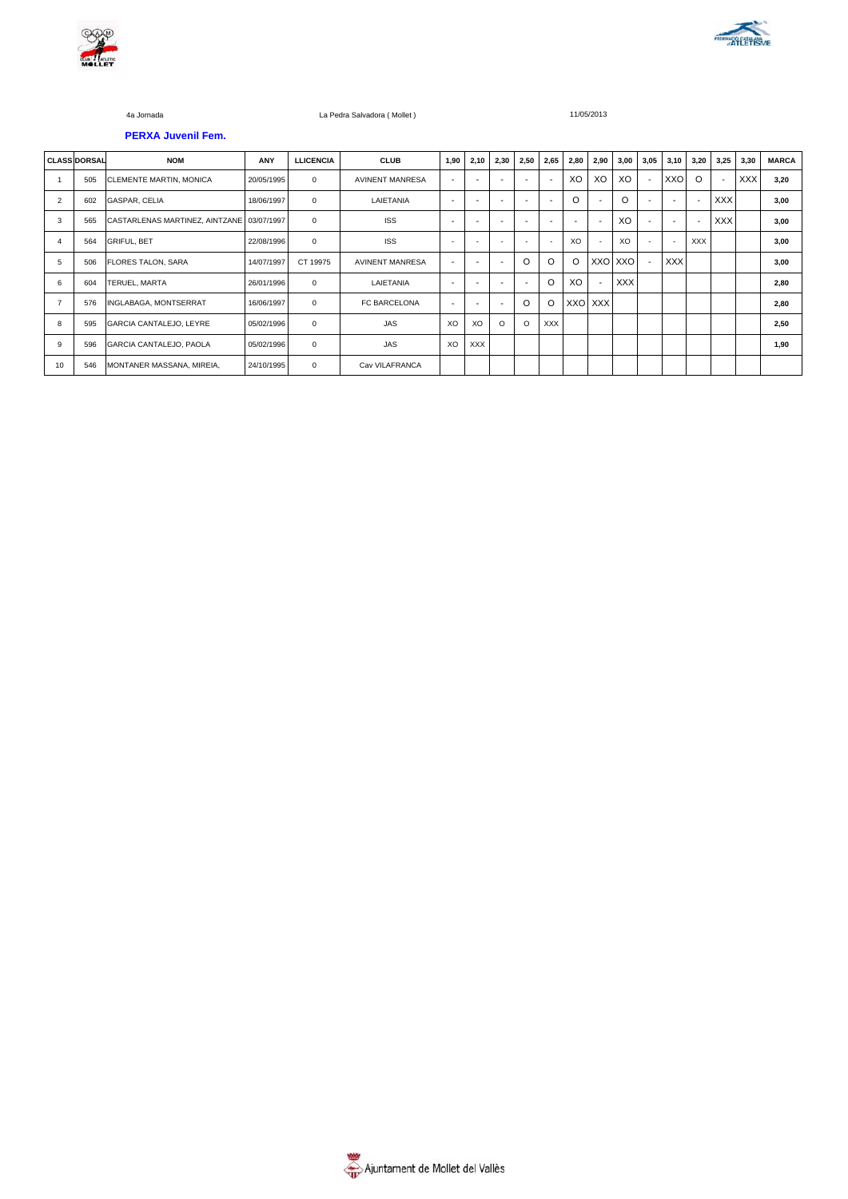



**PERXA Juvenil Fem.**

#### 4a Jornada La Pedra Salvadora ( Mollet ) 11/05/2013

|                | <b>CLASS DORSAL</b> | <b>NOM</b>                                | <b>ANY</b> | <b>LLICENCIA</b> | <b>CLUB</b>            | 1,90                     | 2,10 | 2,30    | 2,50                     | 2,65                     | 2,80     | 2,90    | 3,00       | 3,05 | 3,10                     | 3,20       | 3,25                     | 3,30       | <b>MARCA</b> |
|----------------|---------------------|-------------------------------------------|------------|------------------|------------------------|--------------------------|------|---------|--------------------------|--------------------------|----------|---------|------------|------|--------------------------|------------|--------------------------|------------|--------------|
|                | 505                 | <b>CLEMENTE MARTIN, MONICA</b>            | 20/05/1995 | $\Omega$         | <b>AVINENT MANRESA</b> | $\overline{\phantom{a}}$ |      |         | $\overline{\phantom{0}}$ | $\overline{\phantom{a}}$ | XO       | XO      | XO         |      | XXO                      | $\Omega$   | $\overline{\phantom{a}}$ | <b>XXX</b> | 3,20         |
| $\overline{2}$ | 602                 | GASPAR, CELIA                             | 18/06/1997 | $\mathbf 0$      | LAIETANIA              | $\overline{\phantom{a}}$ |      |         | $\overline{\phantom{0}}$ |                          | $\Omega$ |         | $\Omega$   |      | $\overline{\phantom{a}}$ | ٠          | <b>XXX</b>               |            | 3,00         |
| 3              | 565                 | CASTARLENAS MARTINEZ, AINTZANE 03/07/1997 |            | $\mathbf 0$      | <b>ISS</b>             | ۰.                       |      |         |                          |                          |          |         | XO         |      | $\overline{\phantom{a}}$ |            | <b>XXX</b>               |            | 3,00         |
| $\overline{4}$ | 564                 | <b>GRIFUL, BET</b>                        | 22/08/1996 | $\mathbf 0$      | <b>ISS</b>             | $\overline{\phantom{a}}$ |      | ٠       | $\overline{\phantom{a}}$ | $\sim$                   | XO       |         | XO         |      | $\sim$                   | <b>XXX</b> |                          |            | 3,00         |
| 5              | 506                 | <b>FLORES TALON, SARA</b>                 | 14/07/1997 | CT 19975         | <b>AVINENT MANRESA</b> | $\overline{\phantom{a}}$ |      |         | O                        | O                        | O        | XXO XXO |            |      | <b>XXX</b>               |            |                          |            | 3,00         |
| 6              | 604                 | TERUEL, MARTA                             | 26/01/1996 | $\mathbf 0$      | LAIETANIA              | $\overline{\phantom{a}}$ |      |         | $\overline{\phantom{a}}$ | $\circ$                  | XO       |         | <b>XXX</b> |      |                          |            |                          |            | 2,80         |
|                | 576                 | INGLABAGA, MONTSERRAT                     | 16/06/1997 | $\mathbf 0$      | FC BARCELONA           | $\overline{\phantom{a}}$ | ۰.   | ۰       | $\Omega$                 | O                        | XXO XXX  |         |            |      |                          |            |                          |            | 2,80         |
| 8              | 595                 | GARCIA CANTALEJO, LEYRE                   | 05/02/1996 | $\mathbf 0$      | <b>JAS</b>             | XO                       | XO   | $\circ$ | $\circ$                  | <b>XXX</b>               |          |         |            |      |                          |            |                          |            | 2,50         |
| 9              | 596                 | GARCIA CANTALEJO, PAOLA                   | 05/02/1996 | $\mathbf 0$      | <b>JAS</b>             | XO                       | XXX  |         |                          |                          |          |         |            |      |                          |            |                          |            | 1,90         |
| 10             | 546                 | MONTANER MASSANA, MIREIA,                 | 24/10/1995 | $\mathbf 0$      | Cav VILAFRANCA         |                          |      |         |                          |                          |          |         |            |      |                          |            |                          |            |              |

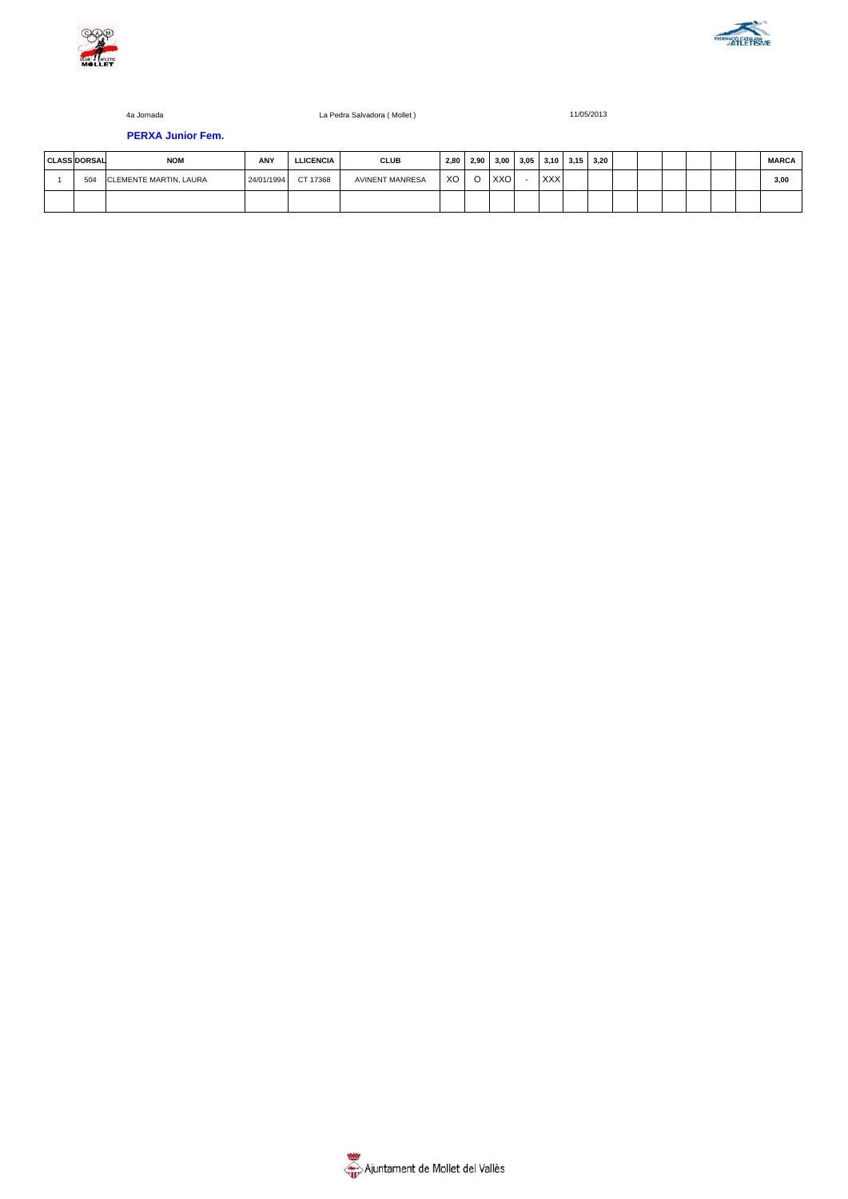



**PERXA Junior Fem.**

# **CLASS DORSAL NOM ANY LLICENCIA CLUB 2,80 2,90 3,00 3,05 3,10 3,15 3,20 MARCA** 1 504 CLEMENTE MARTIN, LAURA 24/01/1994 CT 17368 AVINENT MANRESA XO O XXO - XXX | | | | | | | | | | 3,**00**

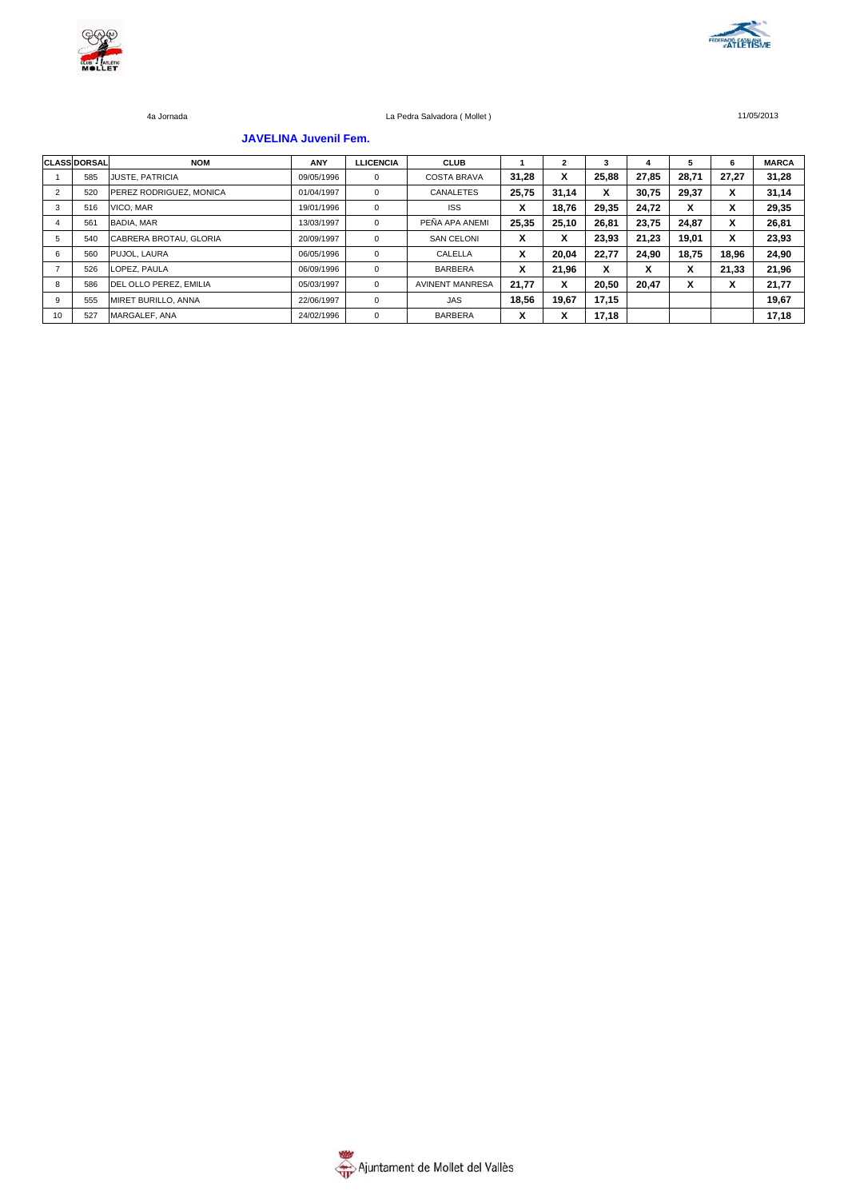



### **JAVELINA Juvenil Fem.**

|    | <b>CLASS DORSAL</b> | <b>NOM</b>                     | ANY        | <b>LLICENCIA</b> | <b>CLUB</b>            |                   |        | 3     |       | 5     | 6                       | <b>MARCA</b> |
|----|---------------------|--------------------------------|------------|------------------|------------------------|-------------------|--------|-------|-------|-------|-------------------------|--------------|
|    | 585                 | <b>JUSTE, PATRICIA</b>         | 09/05/1996 | $^{\circ}$       | <b>COSTA BRAVA</b>     | 31.28             | x      | 25.88 | 27.85 | 28.71 | 27.27                   | 31,28        |
| 2  | 520                 | <b>PEREZ RODRIGUEZ, MONICA</b> | 01/04/1997 | $^{\circ}$       | CANALETES              | 25,75             | 31,14  | x     | 30,75 | 29,37 | X                       | 31,14        |
| 3  | 516                 | VICO, MAR                      | 19/01/1996 | $^{\circ}$       | <b>ISS</b>             | v<br>$\lambda$    | 18,76  | 29.35 | 24.72 | X     | X                       | 29,35        |
|    | 561                 | <b>BADIA, MAR</b>              | 13/03/1997 | $^{\circ}$       | PEÑA APA ANEMI         | 25,35             | 25,10  | 26.81 | 23.75 | 24.87 | X                       | 26,81        |
| 5  | 540                 | CABRERA BROTAU, GLORIA         | 20/09/1997 | $^{\circ}$       | <b>SAN CELONI</b>      | v<br>$\mathbf{v}$ | v<br>^ | 23.93 | 21.23 | 19.01 | X                       | 23,93        |
| 6  | 560                 | PUJOL, LAURA                   | 06/05/1996 | $\mathbf 0$      | CALELLA                | v<br>$\lambda$    | 20,04  | 22.77 | 24.90 | 18.75 | 18,96                   | 24,90        |
|    | 526                 | LOPEZ, PAULA                   | 06/09/1996 | $^{\circ}$       | <b>BARBERA</b>         | v<br>$\lambda$    | 21.96  | X     | ^     | X     | 21.33                   | 21,96        |
| 8  | 586                 | DEL OLLO PEREZ. EMILIA         | 05/03/1997 | $\mathbf 0$      | <b>AVINENT MANRESA</b> | 21.77             | x      | 20.50 | 20,47 | X     | $\check{}$<br>$\lambda$ | 21,77        |
| 9  | 555                 | MIRET BURILLO, ANNA            | 22/06/1997 | $^{\circ}$       | JAS                    | 18.56             | 19,67  | 17,15 |       |       |                         | 19,67        |
| 10 | 527                 | MARGALEF, ANA                  | 24/02/1996 | $^{\circ}$       | <b>BARBERA</b>         | v<br>^            | v<br>́ | 17,18 |       |       |                         | 17,18        |